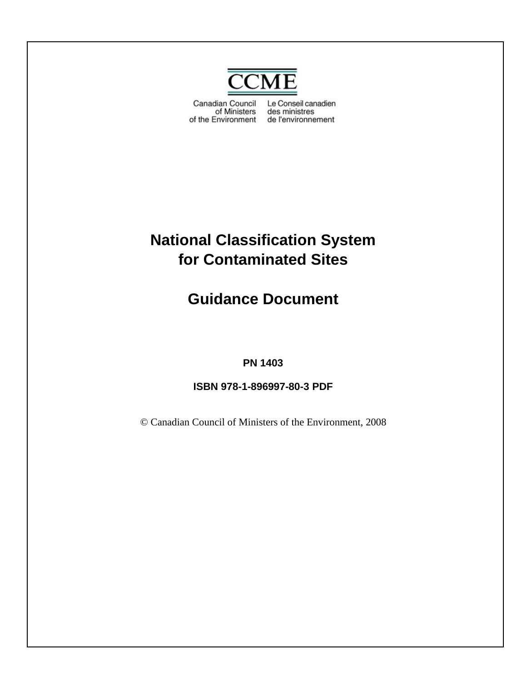

Canadian Council of Ministers of the Environment de l'environnement

Le Conseil canadien des ministres

# **National Classification System for Contaminated Sites**

**Guidance Document**

## **PN 1403**

**ISBN 978-1-896997-80-3 PDF**

© Canadian Council of Ministers of the Environment, 2008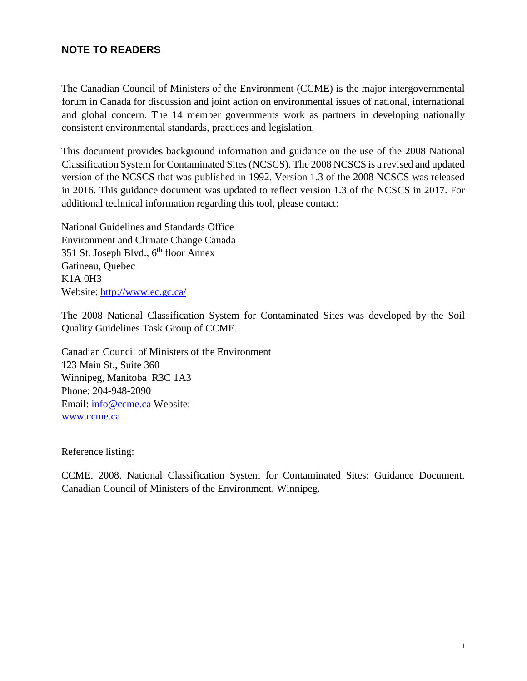#### **NOTE TO READERS**

The Canadian Council of Ministers of the Environment (CCME) is the major intergovernmental forum in Canada for discussion and joint action on environmental issues of national, international and global concern. The 14 member governments work as partners in developing nationally consistent environmental standards, practices and legislation.

This document provides background information and guidance on the use of the 2008 National Classification System for Contaminated Sites (NCSCS). The 2008 NCSCS is a revised and updated version of the NCSCS that was published in 1992. Version 1.3 of the 2008 NCSCS was released in 2016. This guidance document was updated to reflect version 1.3 of the NCSCS in 2017. For additional technical information regarding this tool, please contact:

National Guidelines and Standards Office Environment and Climate Change Canada 351 St. Joseph Blvd.,  $6<sup>th</sup>$  floor Annex Gatineau, Quebec K1A 0H3 Website:<http://www.ec.gc.ca/>

The 2008 National Classification System for Contaminated Sites was developed by the Soil Quality Guidelines Task Group of CCME.

Canadian Council of Ministers of the Environment 123 Main St., Suite 360 Winnipeg, Manitoba R3C 1A3 Phone: 204-948-2090 Email: info@ccme.ca Website: [www.ccme.ca](http://www.ccme.ca/)

Reference listing:

CCME. 2008. National Classification System for Contaminated Sites: Guidance Document. Canadian Council of Ministers of the Environment, Winnipeg.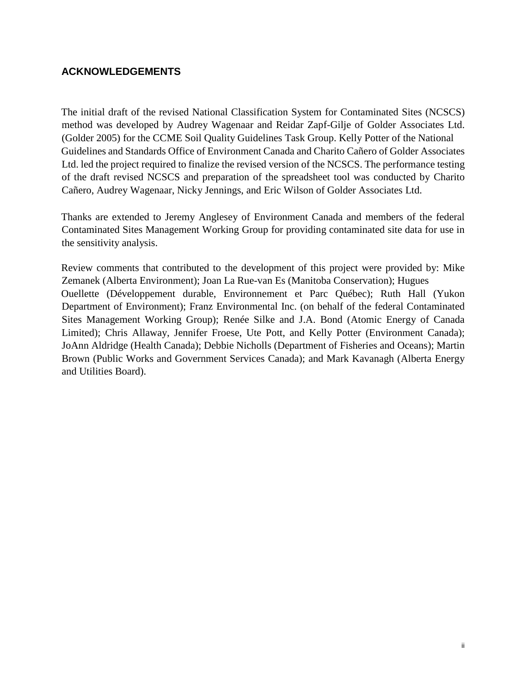#### **ACKNOWLEDGEMENTS**

The initial draft of the revised National Classification System for Contaminated Sites (NCSCS) method was developed by Audrey Wagenaar and Reidar Zapf-Gilje of Golder Associates Ltd. (Golder 2005) for the CCME Soil Quality Guidelines Task Group. Kelly Potter of the National Guidelines and Standards Office of Environment Canada and Charito Cañero of Golder Associates Ltd. led the project required to finalize the revised version of the NCSCS. The performance testing of the draft revised NCSCS and preparation of the spreadsheet tool was conducted by Charito Cañero, Audrey Wagenaar, Nicky Jennings, and Eric Wilson of Golder Associates Ltd.

Thanks are extended to Jeremy Anglesey of Environment Canada and members of the federal Contaminated Sites Management Working Group for providing contaminated site data for use in the sensitivity analysis.

Review comments that contributed to the development of this project were provided by: Mike Zemanek (Alberta Environment); Joan La Rue-van Es (Manitoba Conservation); Hugues Ouellette (Développement durable, Environnement et Parc Québec); Ruth Hall (Yukon Department of Environment); Franz Environmental Inc. (on behalf of the federal Contaminated Sites Management Working Group); Renée Silke and J.A. Bond (Atomic Energy of Canada Limited); Chris Allaway, Jennifer Froese, Ute Pott, and Kelly Potter (Environment Canada); JoAnn Aldridge (Health Canada); Debbie Nicholls (Department of Fisheries and Oceans); Martin Brown (Public Works and Government Services Canada); and Mark Kavanagh (Alberta Energy and Utilities Board).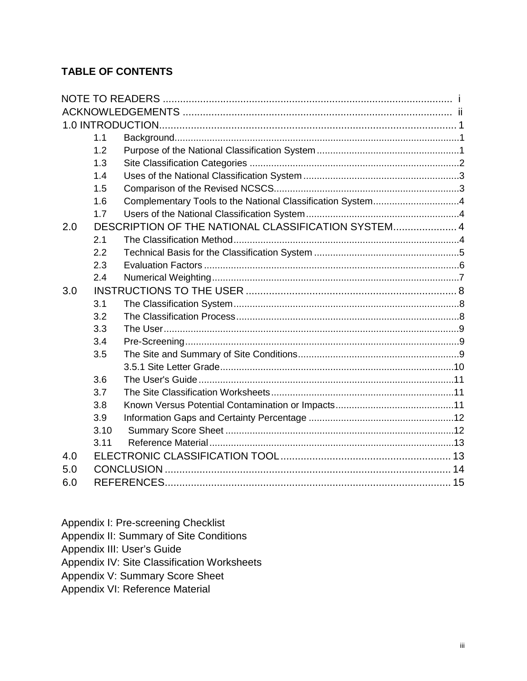## **TABLE OF CONTENTS**

|     | 1.1  |                                                            |  |  |  |  |
|-----|------|------------------------------------------------------------|--|--|--|--|
|     | 1.2  |                                                            |  |  |  |  |
|     | 1.3  |                                                            |  |  |  |  |
|     | 1.4  |                                                            |  |  |  |  |
|     | 1.5  |                                                            |  |  |  |  |
|     | 1.6  | Complementary Tools to the National Classification System4 |  |  |  |  |
|     | 1.7  |                                                            |  |  |  |  |
| 2.0 |      | DESCRIPTION OF THE NATIONAL CLASSIFICATION SYSTEM 4        |  |  |  |  |
|     | 2.1  |                                                            |  |  |  |  |
|     | 2.2  |                                                            |  |  |  |  |
|     | 2.3  |                                                            |  |  |  |  |
|     | 2.4  |                                                            |  |  |  |  |
| 3.0 |      |                                                            |  |  |  |  |
|     | 3.1  |                                                            |  |  |  |  |
|     | 3.2  |                                                            |  |  |  |  |
|     | 3.3  |                                                            |  |  |  |  |
|     | 3.4  |                                                            |  |  |  |  |
|     | 3.5  |                                                            |  |  |  |  |
|     |      |                                                            |  |  |  |  |
|     | 3.6  |                                                            |  |  |  |  |
|     | 3.7  |                                                            |  |  |  |  |
|     | 3.8  |                                                            |  |  |  |  |
|     | 3.9  |                                                            |  |  |  |  |
|     | 3.10 |                                                            |  |  |  |  |
|     | 3.11 |                                                            |  |  |  |  |
| 4.0 |      |                                                            |  |  |  |  |
| 5.0 |      |                                                            |  |  |  |  |
| 6.0 |      |                                                            |  |  |  |  |

Appendix I: Pre-screening Checklist

Appendix II: Summary of Site Conditions

Appendix III: User's Guide

Appendix IV: Site Classification Worksheets

Appendix V: Summary Score Sheet

Appendix VI: Reference Material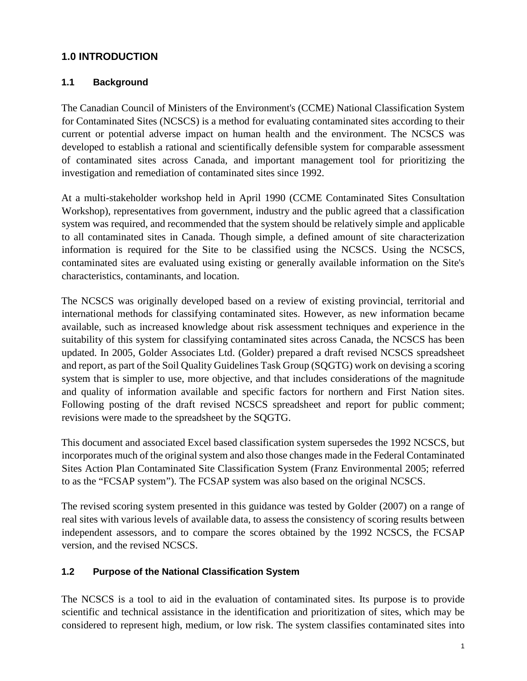## <span id="page-4-0"></span>**1.0 INTRODUCTION**

#### <span id="page-4-1"></span>**1.1 Background**

The Canadian Council of Ministers of the Environment's (CCME) National Classification System for Contaminated Sites (NCSCS) is a method for evaluating contaminated sites according to their current or potential adverse impact on human health and the environment. The NCSCS was developed to establish a rational and scientifically defensible system for comparable assessment of contaminated sites across Canada, and important management tool for prioritizing the investigation and remediation of contaminated sites since 1992.

At a multi-stakeholder workshop held in April 1990 (CCME Contaminated Sites Consultation Workshop), representatives from government, industry and the public agreed that a classification system was required, and recommended that the system should be relatively simple and applicable to all contaminated sites in Canada. Though simple, a defined amount of site characterization information is required for the Site to be classified using the NCSCS. Using the NCSCS, contaminated sites are evaluated using existing or generally available information on the Site's characteristics, contaminants, and location.

The NCSCS was originally developed based on a review of existing provincial, territorial and international methods for classifying contaminated sites. However, as new information became available, such as increased knowledge about risk assessment techniques and experience in the suitability of this system for classifying contaminated sites across Canada, the NCSCS has been updated. In 2005, Golder Associates Ltd. (Golder) prepared a draft revised NCSCS spreadsheet and report, as part of the Soil Quality Guidelines Task Group (SQGTG) work on devising a scoring system that is simpler to use, more objective, and that includes considerations of the magnitude and quality of information available and specific factors for northern and First Nation sites. Following posting of the draft revised NCSCS spreadsheet and report for public comment; revisions were made to the spreadsheet by the SQGTG.

This document and associated Excel based classification system supersedes the 1992 NCSCS, but incorporates much of the original system and also those changes made in the Federal Contaminated Sites Action Plan Contaminated Site Classification System (Franz Environmental 2005; referred to as the "FCSAP system"). The FCSAP system was also based on the original NCSCS.

The revised scoring system presented in this guidance was tested by Golder (2007) on a range of real sites with various levels of available data, to assess the consistency of scoring results between independent assessors, and to compare the scores obtained by the 1992 NCSCS, the FCSAP version, and the revised NCSCS.

#### <span id="page-4-2"></span>**1.2 Purpose of the National Classification System**

The NCSCS is a tool to aid in the evaluation of contaminated sites. Its purpose is to provide scientific and technical assistance in the identification and prioritization of sites, which may be considered to represent high, medium, or low risk. The system classifies contaminated sites into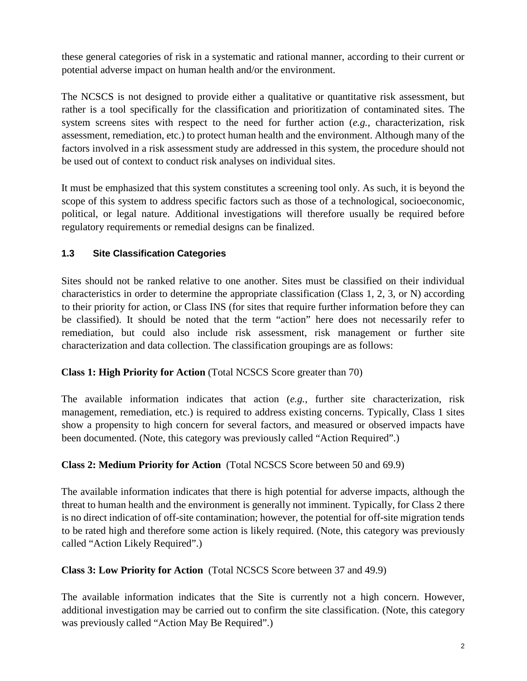these general categories of risk in a systematic and rational manner, according to their current or potential adverse impact on human health and/or the environment.

The NCSCS is not designed to provide either a qualitative or quantitative risk assessment, but rather is a tool specifically for the classification and prioritization of contaminated sites. The system screens sites with respect to the need for further action (*e.g.*, characterization, risk assessment, remediation, etc.) to protect human health and the environment. Although many of the factors involved in a risk assessment study are addressed in this system, the procedure should not be used out of context to conduct risk analyses on individual sites.

It must be emphasized that this system constitutes a screening tool only. As such, it is beyond the scope of this system to address specific factors such as those of a technological, socioeconomic, political, or legal nature. Additional investigations will therefore usually be required before regulatory requirements or remedial designs can be finalized.

### <span id="page-5-0"></span>**1.3 Site Classification Categories**

Sites should not be ranked relative to one another. Sites must be classified on their individual characteristics in order to determine the appropriate classification (Class 1, 2, 3, or N) according to their priority for action, or Class INS (for sites that require further information before they can be classified). It should be noted that the term "action" here does not necessarily refer to remediation, but could also include risk assessment, risk management or further site characterization and data collection. The classification groupings are as follows:

### **Class 1: High Priority for Action** (Total NCSCS Score greater than 70)

The available information indicates that action (*e.g.*, further site characterization, risk management, remediation, etc.) is required to address existing concerns. Typically, Class 1 sites show a propensity to high concern for several factors, and measured or observed impacts have been documented. (Note, this category was previously called "Action Required".)

### **Class 2: Medium Priority for Action** (Total NCSCS Score between 50 and 69.9)

The available information indicates that there is high potential for adverse impacts, although the threat to human health and the environment is generally not imminent. Typically, for Class 2 there is no direct indication of off-site contamination; however, the potential for off-site migration tends to be rated high and therefore some action is likely required. (Note, this category was previously called "Action Likely Required".)

### **Class 3: Low Priority for Action** (Total NCSCS Score between 37 and 49.9)

The available information indicates that the Site is currently not a high concern. However, additional investigation may be carried out to confirm the site classification. (Note, this category was previously called "Action May Be Required".)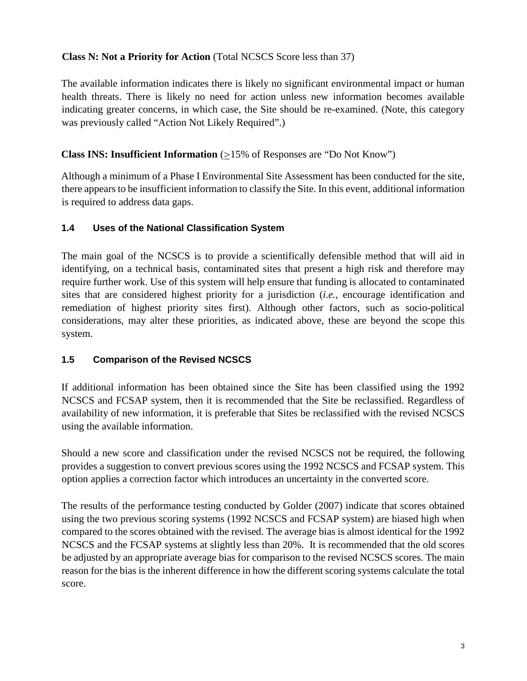#### **Class N: Not a Priority for Action** (Total NCSCS Score less than 37)

The available information indicates there is likely no significant environmental impact or human health threats. There is likely no need for action unless new information becomes available indicating greater concerns, in which case, the Site should be re-examined. (Note, this category was previously called "Action Not Likely Required".)

#### **Class INS: Insufficient Information**  $(\geq)15\%$  of Responses are "Do Not Know")

Although a minimum of a Phase I Environmental Site Assessment has been conducted for the site, there appears to be insufficient information to classify the Site. In this event, additional information is required to address data gaps.

#### <span id="page-6-0"></span>**1.4 Uses of the National Classification System**

The main goal of the NCSCS is to provide a scientifically defensible method that will aid in identifying, on a technical basis, contaminated sites that present a high risk and therefore may require further work. Use of this system will help ensure that funding is allocated to contaminated sites that are considered highest priority for a jurisdiction (*i.e.*, encourage identification and remediation of highest priority sites first). Although other factors, such as socio-political considerations, may alter these priorities, as indicated above, these are beyond the scope this system.

### <span id="page-6-1"></span>**1.5 Comparison of the Revised NCSCS**

If additional information has been obtained since the Site has been classified using the 1992 NCSCS and FCSAP system, then it is recommended that the Site be reclassified. Regardless of availability of new information, it is preferable that Sites be reclassified with the revised NCSCS using the available information.

Should a new score and classification under the revised NCSCS not be required, the following provides a suggestion to convert previous scores using the 1992 NCSCS and FCSAP system. This option applies a correction factor which introduces an uncertainty in the converted score.

The results of the performance testing conducted by Golder (2007) indicate that scores obtained using the two previous scoring systems (1992 NCSCS and FCSAP system) are biased high when compared to the scores obtained with the revised. The average bias is almost identical for the 1992 NCSCS and the FCSAP systems at slightly less than 20%. It is recommended that the old scores be adjusted by an appropriate average bias for comparison to the revised NCSCS scores. The main reason for the bias is the inherent difference in how the different scoring systems calculate the total score.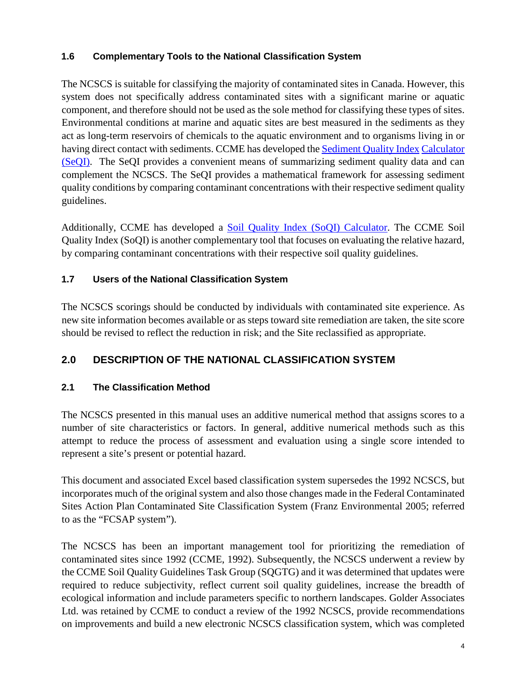### <span id="page-7-0"></span>**1.6 Complementary Tools to the National Classification System**

The NCSCS is suitable for classifying the majority of contaminated sites in Canada. However, this system does not specifically address contaminated sites with a significant marine or aquatic component, and therefore should not be used as the sole method for classifying these types of sites. Environmental conditions at marine and aquatic sites are best measured in the sediments as they act as long-term reservoirs of chemicals to the aquatic environment and to organisms living in or having direct contact with sediments. CCME has developed the [Sediment Quality Index](http://www.ccme.ca/ourwork/water.html?category_id=103) [Calculator](http://www.ccme.ca/ourwork/water.html?category_id=103)  [\(SeQI\).](http://www.ccme.ca/ourwork/water.html?category_id=103) The SeQI provides a convenient means of summarizing sediment quality data and can complement the NCSCS. The SeQI provides a mathematical framework for assessing sediment quality conditions by comparing contaminant concentrations with their respective sediment quality guidelines.

Additionally, CCME has developed a [Soil Quality Index \(SoQI\) Calculator.](http://www.ccme.ca/ourwork/soil.html?category_id=122) The CCME Soil Quality Index (SoQI) is another complementary tool that focuses on evaluating the relative hazard, by comparing contaminant concentrations with their respective soil quality guidelines.

### <span id="page-7-1"></span>**1.7 Users of the National Classification System**

The NCSCS scorings should be conducted by individuals with contaminated site experience. As new site information becomes available or as steps toward site remediation are taken, the site score should be revised to reflect the reduction in risk; and the Site reclassified as appropriate.

## <span id="page-7-2"></span>**2.0 DESCRIPTION OF THE NATIONAL CLASSIFICATION SYSTEM**

### <span id="page-7-3"></span>**2.1 The Classification Method**

The NCSCS presented in this manual uses an additive numerical method that assigns scores to a number of site characteristics or factors. In general, additive numerical methods such as this attempt to reduce the process of assessment and evaluation using a single score intended to represent a site's present or potential hazard.

This document and associated Excel based classification system supersedes the 1992 NCSCS, but incorporates much of the original system and also those changes made in the Federal Contaminated Sites Action Plan Contaminated Site Classification System (Franz Environmental 2005; referred to as the "FCSAP system").

The NCSCS has been an important management tool for prioritizing the remediation of contaminated sites since 1992 (CCME, 1992). Subsequently, the NCSCS underwent a review by the CCME Soil Quality Guidelines Task Group (SQGTG) and it was determined that updates were required to reduce subjectivity, reflect current soil quality guidelines, increase the breadth of ecological information and include parameters specific to northern landscapes. Golder Associates Ltd. was retained by CCME to conduct a review of the 1992 NCSCS, provide recommendations on improvements and build a new electronic NCSCS classification system, which was completed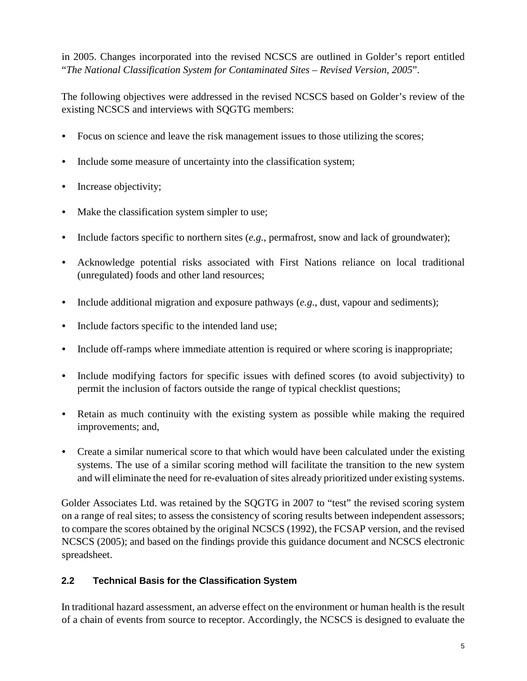in 2005. Changes incorporated into the revised NCSCS are outlined in Golder's report entitled "*The National Classification System for Contaminated Sites – Revised Version, 2005*".

The following objectives were addressed in the revised NCSCS based on Golder's review of the existing NCSCS and interviews with SQGTG members:

- Focus on science and leave the risk management issues to those utilizing the scores;
- Include some measure of uncertainty into the classification system;
- Increase objectivity;
- Make the classification system simpler to use;
- Include factors specific to northern sites (*e.g.*, permafrost, snow and lack of groundwater);
- Acknowledge potential risks associated with First Nations reliance on local traditional (unregulated) foods and other land resources;
- Include additional migration and exposure pathways (*e.g.*, dust, vapour and sediments);
- Include factors specific to the intended land use;
- Include off-ramps where immediate attention is required or where scoring is inappropriate;
- Include modifying factors for specific issues with defined scores (to avoid subjectivity) to permit the inclusion of factors outside the range of typical checklist questions;
- Retain as much continuity with the existing system as possible while making the required improvements; and,
- Create a similar numerical score to that which would have been calculated under the existing systems. The use of a similar scoring method will facilitate the transition to the new system and will eliminate the need for re-evaluation of sites already prioritized under existing systems.

Golder Associates Ltd. was retained by the SQGTG in 2007 to "test" the revised scoring system on a range of real sites; to assess the consistency of scoring results between independent assessors; to compare the scores obtained by the original NCSCS (1992), the FCSAP version, and the revised NCSCS (2005); and based on the findings provide this guidance document and NCSCS electronic spreadsheet.

#### <span id="page-8-0"></span>**2.2 Technical Basis for the Classification System**

In traditional hazard assessment, an adverse effect on the environment or human health is the result of a chain of events from source to receptor. Accordingly, the NCSCS is designed to evaluate the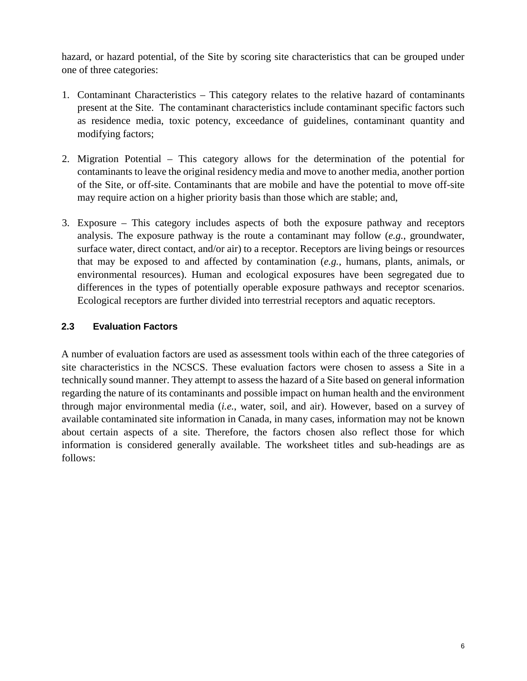hazard, or hazard potential, of the Site by scoring site characteristics that can be grouped under one of three categories:

- 1. Contaminant Characteristics This category relates to the relative hazard of contaminants present at the Site. The contaminant characteristics include contaminant specific factors such as residence media, toxic potency, exceedance of guidelines, contaminant quantity and modifying factors;
- 2. Migration Potential This category allows for the determination of the potential for contaminants to leave the original residency media and move to another media, another portion of the Site, or off-site. Contaminants that are mobile and have the potential to move off-site may require action on a higher priority basis than those which are stable; and,
- 3. Exposure This category includes aspects of both the exposure pathway and receptors analysis. The exposure pathway is the route a contaminant may follow (*e.g.*, groundwater, surface water, direct contact, and/or air) to a receptor. Receptors are living beings or resources that may be exposed to and affected by contamination (*e.g.*, humans, plants, animals, or environmental resources). Human and ecological exposures have been segregated due to differences in the types of potentially operable exposure pathways and receptor scenarios. Ecological receptors are further divided into terrestrial receptors and aquatic receptors.

#### <span id="page-9-0"></span>**2.3 Evaluation Factors**

A number of evaluation factors are used as assessment tools within each of the three categories of site characteristics in the NCSCS. These evaluation factors were chosen to assess a Site in a technically sound manner. They attempt to assess the hazard of a Site based on general information regarding the nature of its contaminants and possible impact on human health and the environment through major environmental media (*i.e.*, water, soil, and air). However, based on a survey of available contaminated site information in Canada, in many cases, information may not be known about certain aspects of a site. Therefore, the factors chosen also reflect those for which information is considered generally available. The worksheet titles and sub-headings are as follows: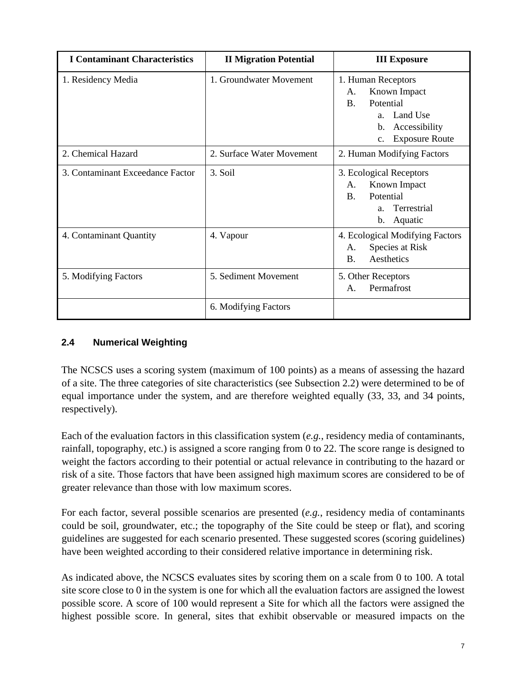| <b>I Contaminant Characteristics</b> | <b>II Migration Potential</b> | <b>III Exposure</b>                                                                                                                                                     |
|--------------------------------------|-------------------------------|-------------------------------------------------------------------------------------------------------------------------------------------------------------------------|
| 1. Residency Media                   | 1. Groundwater Movement       | 1. Human Receptors<br>Known Impact<br>A.<br>Potential<br>$\mathbf{B}$ .<br>Land Use<br>a <sub>z</sub><br>Accessibility<br>b.<br><b>Exposure Route</b><br>$\mathbf{c}$ . |
| 2. Chemical Hazard                   | 2. Surface Water Movement     | 2. Human Modifying Factors                                                                                                                                              |
| 3. Contaminant Exceedance Factor     | 3. Soil                       | 3. Ecological Receptors<br>Known Impact<br>A.<br>Potential<br>$\mathbf{B}$ .<br>Terrestrial<br>a <sub>z</sub><br>Aquatic<br>b.                                          |
| 4. Contaminant Quantity              | 4. Vapour                     | 4. Ecological Modifying Factors<br>Species at Risk<br>A.<br>Aesthetics<br><b>B.</b>                                                                                     |
| 5. Modifying Factors                 | 5. Sediment Movement          | 5. Other Receptors<br>Permafrost<br>$\mathsf{A}$ .                                                                                                                      |
|                                      | 6. Modifying Factors          |                                                                                                                                                                         |

#### <span id="page-10-0"></span>**2.4 Numerical Weighting**

The NCSCS uses a scoring system (maximum of 100 points) as a means of assessing the hazard of a site. The three categories of site characteristics (see Subsection 2.2) were determined to be of equal importance under the system, and are therefore weighted equally (33, 33, and 34 points, respectively).

Each of the evaluation factors in this classification system (*e.g.*, residency media of contaminants, rainfall, topography, etc.) is assigned a score ranging from 0 to 22. The score range is designed to weight the factors according to their potential or actual relevance in contributing to the hazard or risk of a site. Those factors that have been assigned high maximum scores are considered to be of greater relevance than those with low maximum scores.

For each factor, several possible scenarios are presented (*e.g.*, residency media of contaminants could be soil, groundwater, etc.; the topography of the Site could be steep or flat), and scoring guidelines are suggested for each scenario presented. These suggested scores (scoring guidelines) have been weighted according to their considered relative importance in determining risk.

As indicated above, the NCSCS evaluates sites by scoring them on a scale from 0 to 100. A total site score close to 0 in the system is one for which all the evaluation factors are assigned the lowest possible score. A score of 100 would represent a Site for which all the factors were assigned the highest possible score. In general, sites that exhibit observable or measured impacts on the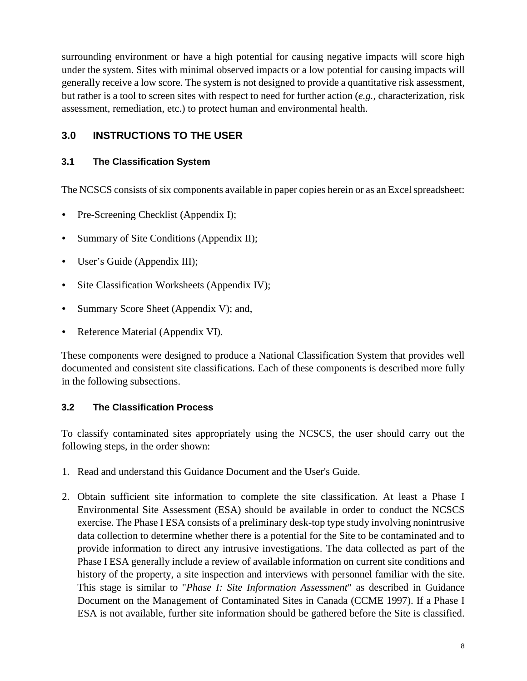surrounding environment or have a high potential for causing negative impacts will score high under the system. Sites with minimal observed impacts or a low potential for causing impacts will generally receive a low score. The system is not designed to provide a quantitative risk assessment, but rather is a tool to screen sites with respect to need for further action (*e.g.*, characterization, risk assessment, remediation, etc.) to protect human and environmental health.

## <span id="page-11-0"></span>**3.0 INSTRUCTIONS TO THE USER**

#### <span id="page-11-1"></span>**3.1 The Classification System**

The NCSCS consists of six components available in paper copies herein or as an Excel spreadsheet:

- Pre-Screening Checklist (Appendix I);
- Summary of Site Conditions (Appendix II);
- User's Guide (Appendix III);
- Site Classification Worksheets (Appendix IV);
- Summary Score Sheet (Appendix V); and,
- Reference Material (Appendix VI).

These components were designed to produce a National Classification System that provides well documented and consistent site classifications. Each of these components is described more fully in the following subsections.

#### <span id="page-11-2"></span>**3.2 The Classification Process**

To classify contaminated sites appropriately using the NCSCS, the user should carry out the following steps, in the order shown:

- 1. Read and understand this Guidance Document and the User's Guide.
- 2. Obtain sufficient site information to complete the site classification. At least a Phase I Environmental Site Assessment (ESA) should be available in order to conduct the NCSCS exercise. The Phase I ESA consists of a preliminary desk-top type study involving nonintrusive data collection to determine whether there is a potential for the Site to be contaminated and to provide information to direct any intrusive investigations. The data collected as part of the Phase I ESA generally include a review of available information on current site conditions and history of the property, a site inspection and interviews with personnel familiar with the site. This stage is similar to "*Phase I: Site Information Assessment*" as described in Guidance Document on the Management of Contaminated Sites in Canada (CCME 1997). If a Phase I ESA is not available, further site information should be gathered before the Site is classified.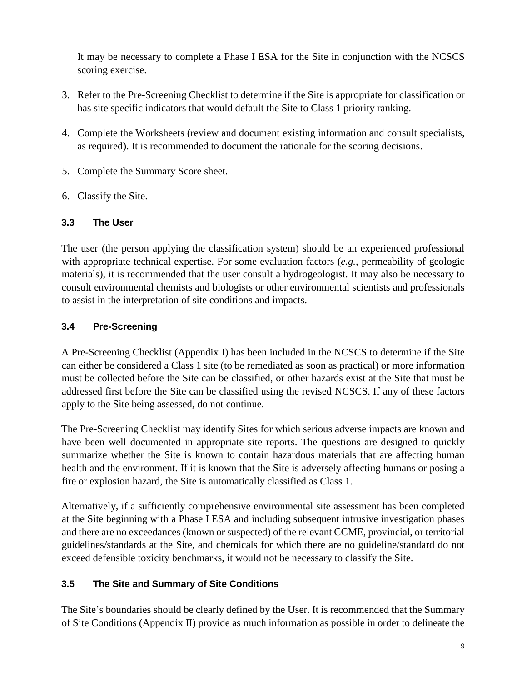It may be necessary to complete a Phase I ESA for the Site in conjunction with the NCSCS scoring exercise.

- 3. Refer to the Pre-Screening Checklist to determine if the Site is appropriate for classification or has site specific indicators that would default the Site to Class 1 priority ranking.
- 4. Complete the Worksheets (review and document existing information and consult specialists, as required). It is recommended to document the rationale for the scoring decisions.
- 5. Complete the Summary Score sheet.
- 6. Classify the Site.

#### <span id="page-12-0"></span>**3.3 The User**

The user (the person applying the classification system) should be an experienced professional with appropriate technical expertise. For some evaluation factors (*e.g.*, permeability of geologic materials), it is recommended that the user consult a hydrogeologist. It may also be necessary to consult environmental chemists and biologists or other environmental scientists and professionals to assist in the interpretation of site conditions and impacts.

#### <span id="page-12-1"></span>**3.4 Pre-Screening**

A Pre-Screening Checklist (Appendix I) has been included in the NCSCS to determine if the Site can either be considered a Class 1 site (to be remediated as soon as practical) or more information must be collected before the Site can be classified, or other hazards exist at the Site that must be addressed first before the Site can be classified using the revised NCSCS. If any of these factors apply to the Site being assessed, do not continue.

The Pre-Screening Checklist may identify Sites for which serious adverse impacts are known and have been well documented in appropriate site reports. The questions are designed to quickly summarize whether the Site is known to contain hazardous materials that are affecting human health and the environment. If it is known that the Site is adversely affecting humans or posing a fire or explosion hazard, the Site is automatically classified as Class 1.

Alternatively, if a sufficiently comprehensive environmental site assessment has been completed at the Site beginning with a Phase I ESA and including subsequent intrusive investigation phases and there are no exceedances (known or suspected) of the relevant CCME, provincial, or territorial guidelines/standards at the Site, and chemicals for which there are no guideline/standard do not exceed defensible toxicity benchmarks, it would not be necessary to classify the Site.

### <span id="page-12-2"></span>**3.5 The Site and Summary of Site Conditions**

The Site's boundaries should be clearly defined by the User. It is recommended that the Summary of Site Conditions (Appendix II) provide as much information as possible in order to delineate the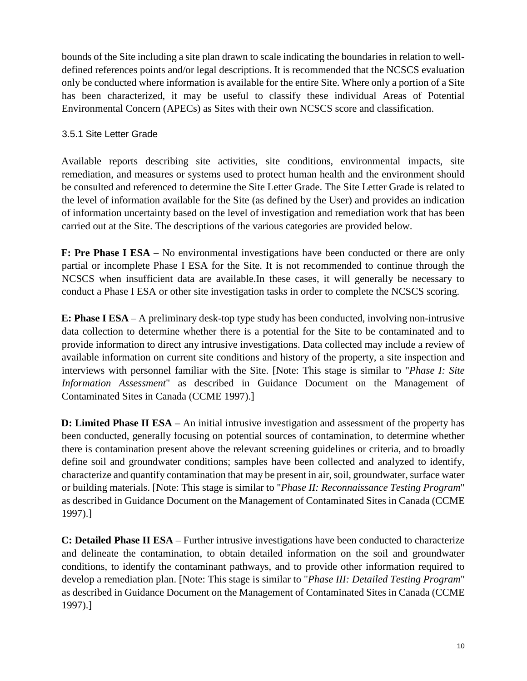bounds of the Site including a site plan drawn to scale indicating the boundaries in relation to welldefined references points and/or legal descriptions. It is recommended that the NCSCS evaluation only be conducted where information is available for the entire Site. Where only a portion of a Site has been characterized, it may be useful to classify these individual Areas of Potential Environmental Concern (APECs) as Sites with their own NCSCS score and classification.

#### <span id="page-13-0"></span>3.5.1 Site Letter Grade

Available reports describing site activities, site conditions, environmental impacts, site remediation, and measures or systems used to protect human health and the environment should be consulted and referenced to determine the Site Letter Grade. The Site Letter Grade is related to the level of information available for the Site (as defined by the User) and provides an indication of information uncertainty based on the level of investigation and remediation work that has been carried out at the Site. The descriptions of the various categories are provided below.

**F: Pre Phase I ESA** – No environmental investigations have been conducted or there are only partial or incomplete Phase I ESA for the Site. It is not recommended to continue through the NCSCS when insufficient data are available.In these cases, it will generally be necessary to conduct a Phase I ESA or other site investigation tasks in order to complete the NCSCS scoring.

**E: Phase I ESA** – A preliminary desk-top type study has been conducted, involving non-intrusive data collection to determine whether there is a potential for the Site to be contaminated and to provide information to direct any intrusive investigations. Data collected may include a review of available information on current site conditions and history of the property, a site inspection and interviews with personnel familiar with the Site. [Note: This stage is similar to "*Phase I: Site Information Assessment*" as described in Guidance Document on the Management of Contaminated Sites in Canada (CCME 1997).]

**D: Limited Phase II ESA** – An initial intrusive investigation and assessment of the property has been conducted, generally focusing on potential sources of contamination, to determine whether there is contamination present above the relevant screening guidelines or criteria, and to broadly define soil and groundwater conditions; samples have been collected and analyzed to identify, characterize and quantify contamination that may be present in air, soil, groundwater, surface water or building materials. [Note: This stage is similar to "*Phase II: Reconnaissance Testing Program*" as described in Guidance Document on the Management of Contaminated Sites in Canada (CCME 1997).]

**C: Detailed Phase II ESA** – Further intrusive investigations have been conducted to characterize and delineate the contamination, to obtain detailed information on the soil and groundwater conditions, to identify the contaminant pathways, and to provide other information required to develop a remediation plan. [Note: This stage is similar to "*Phase III: Detailed Testing Program*" as described in Guidance Document on the Management of Contaminated Sites in Canada (CCME 1997).]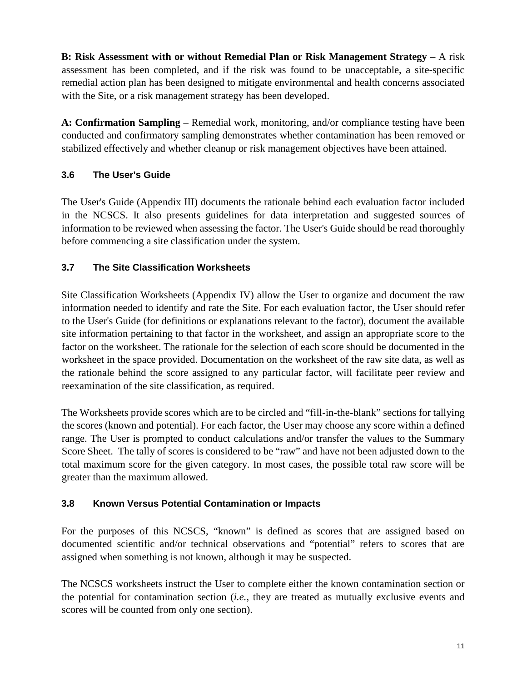**B: Risk Assessment with or without Remedial Plan or Risk Management Strategy** – A risk assessment has been completed, and if the risk was found to be unacceptable, a site-specific remedial action plan has been designed to mitigate environmental and health concerns associated with the Site, or a risk management strategy has been developed.

**A: Confirmation Sampling** – Remedial work, monitoring, and/or compliance testing have been conducted and confirmatory sampling demonstrates whether contamination has been removed or stabilized effectively and whether cleanup or risk management objectives have been attained.

## <span id="page-14-0"></span>**3.6 The User's Guide**

The User's Guide (Appendix III) documents the rationale behind each evaluation factor included in the NCSCS. It also presents guidelines for data interpretation and suggested sources of information to be reviewed when assessing the factor. The User's Guide should be read thoroughly before commencing a site classification under the system.

## <span id="page-14-1"></span>**3.7 The Site Classification Worksheets**

Site Classification Worksheets (Appendix IV) allow the User to organize and document the raw information needed to identify and rate the Site. For each evaluation factor, the User should refer to the User's Guide (for definitions or explanations relevant to the factor), document the available site information pertaining to that factor in the worksheet, and assign an appropriate score to the factor on the worksheet. The rationale for the selection of each score should be documented in the worksheet in the space provided. Documentation on the worksheet of the raw site data, as well as the rationale behind the score assigned to any particular factor, will facilitate peer review and reexamination of the site classification, as required.

The Worksheets provide scores which are to be circled and "fill-in-the-blank" sections for tallying the scores (known and potential). For each factor, the User may choose any score within a defined range. The User is prompted to conduct calculations and/or transfer the values to the Summary Score Sheet. The tally of scores is considered to be "raw" and have not been adjusted down to the total maximum score for the given category. In most cases, the possible total raw score will be greater than the maximum allowed.

## <span id="page-14-2"></span>**3.8 Known Versus Potential Contamination or Impacts**

For the purposes of this NCSCS, "known" is defined as scores that are assigned based on documented scientific and/or technical observations and "potential" refers to scores that are assigned when something is not known, although it may be suspected.

The NCSCS worksheets instruct the User to complete either the known contamination section or the potential for contamination section (*i.e.*, they are treated as mutually exclusive events and scores will be counted from only one section).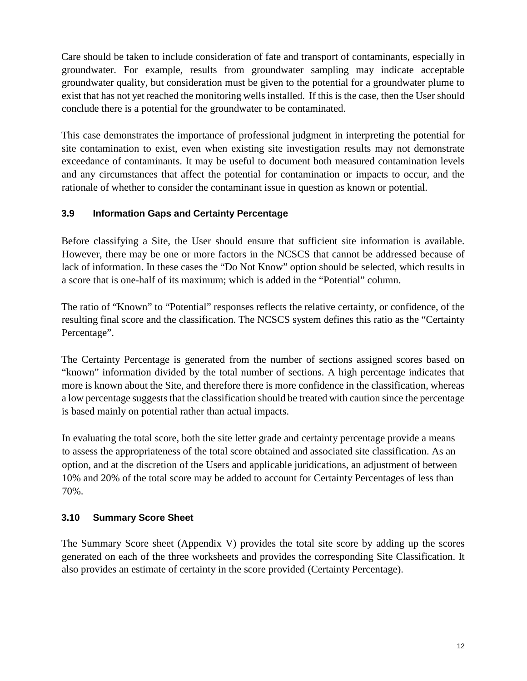Care should be taken to include consideration of fate and transport of contaminants, especially in groundwater. For example, results from groundwater sampling may indicate acceptable groundwater quality, but consideration must be given to the potential for a groundwater plume to exist that has not yet reached the monitoring wells installed. If this is the case, then the User should conclude there is a potential for the groundwater to be contaminated.

This case demonstrates the importance of professional judgment in interpreting the potential for site contamination to exist, even when existing site investigation results may not demonstrate exceedance of contaminants. It may be useful to document both measured contamination levels and any circumstances that affect the potential for contamination or impacts to occur, and the rationale of whether to consider the contaminant issue in question as known or potential.

#### <span id="page-15-0"></span>**3.9 Information Gaps and Certainty Percentage**

Before classifying a Site, the User should ensure that sufficient site information is available. However, there may be one or more factors in the NCSCS that cannot be addressed because of lack of information. In these cases the "Do Not Know" option should be selected, which results in a score that is one-half of its maximum; which is added in the "Potential" column.

The ratio of "Known" to "Potential" responses reflects the relative certainty, or confidence, of the resulting final score and the classification. The NCSCS system defines this ratio as the "Certainty Percentage".

The Certainty Percentage is generated from the number of sections assigned scores based on "known" information divided by the total number of sections. A high percentage indicates that more is known about the Site, and therefore there is more confidence in the classification, whereas a low percentage suggests that the classification should be treated with caution since the percentage is based mainly on potential rather than actual impacts.

In evaluating the total score, both the site letter grade and certainty percentage provide a means to assess the appropriateness of the total score obtained and associated site classification. As an option, and at the discretion of the Users and applicable juridications, an adjustment of between 10% and 20% of the total score may be added to account for Certainty Percentages of less than 70%.

### <span id="page-15-1"></span>**3.10 Summary Score Sheet**

The Summary Score sheet (Appendix V) provides the total site score by adding up the scores generated on each of the three worksheets and provides the corresponding Site Classification. It also provides an estimate of certainty in the score provided (Certainty Percentage).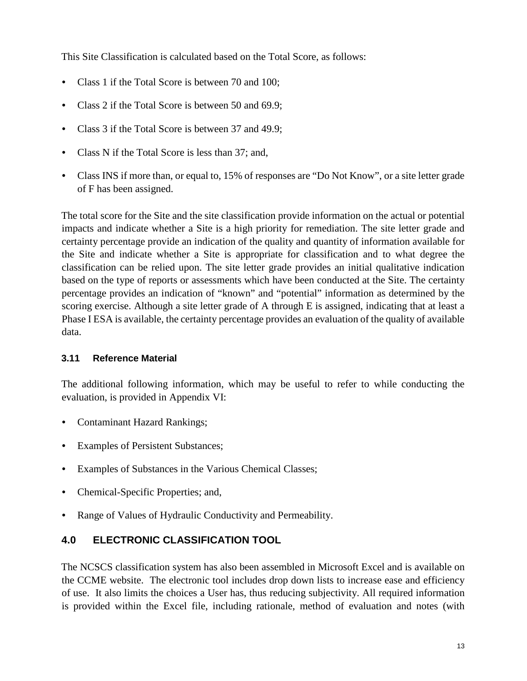This Site Classification is calculated based on the Total Score, as follows:

- Class 1 if the Total Score is between 70 and 100;
- Class 2 if the Total Score is between 50 and 69.9;
- Class 3 if the Total Score is between 37 and 49.9;
- Class N if the Total Score is less than 37; and,
- Class INS if more than, or equal to, 15% of responses are "Do Not Know", or a site letter grade of F has been assigned.

The total score for the Site and the site classification provide information on the actual or potential impacts and indicate whether a Site is a high priority for remediation. The site letter grade and certainty percentage provide an indication of the quality and quantity of information available for the Site and indicate whether a Site is appropriate for classification and to what degree the classification can be relied upon. The site letter grade provides an initial qualitative indication based on the type of reports or assessments which have been conducted at the Site. The certainty percentage provides an indication of "known" and "potential" information as determined by the scoring exercise. Although a site letter grade of A through E is assigned, indicating that at least a Phase I ESA is available, the certainty percentage provides an evaluation of the quality of available data.

#### <span id="page-16-0"></span>**3.11 Reference Material**

The additional following information, which may be useful to refer to while conducting the evaluation, is provided in Appendix VI:

- Contaminant Hazard Rankings;
- Examples of Persistent Substances;
- Examples of Substances in the Various Chemical Classes;
- Chemical-Specific Properties; and,
- Range of Values of Hydraulic Conductivity and Permeability.

### <span id="page-16-1"></span>**4.0 ELECTRONIC CLASSIFICATION TOOL**

The NCSCS classification system has also been assembled in Microsoft Excel and is available on the CCME website. The electronic tool includes drop down lists to increase ease and efficiency of use. It also limits the choices a User has, thus reducing subjectivity. All required information is provided within the Excel file, including rationale, method of evaluation and notes (with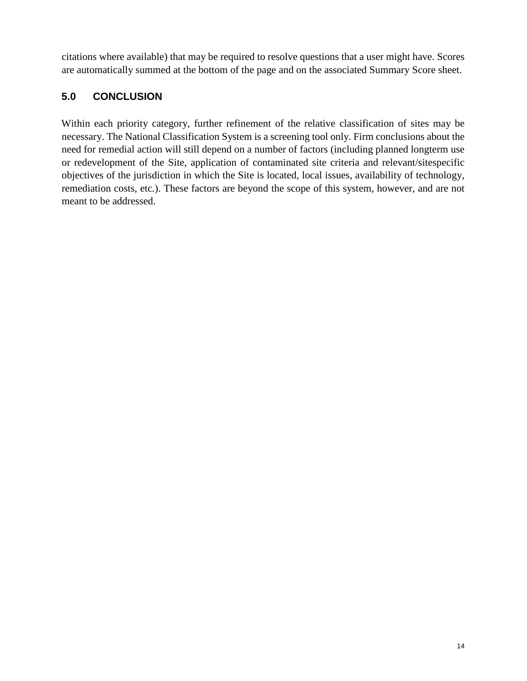citations where available) that may be required to resolve questions that a user might have. Scores are automatically summed at the bottom of the page and on the associated Summary Score sheet.

## <span id="page-17-0"></span>**5.0 CONCLUSION**

Within each priority category, further refinement of the relative classification of sites may be necessary. The National Classification System is a screening tool only. Firm conclusions about the need for remedial action will still depend on a number of factors (including planned longterm use or redevelopment of the Site, application of contaminated site criteria and relevant/sitespecific objectives of the jurisdiction in which the Site is located, local issues, availability of technology, remediation costs, etc*.*). These factors are beyond the scope of this system, however, and are not meant to be addressed.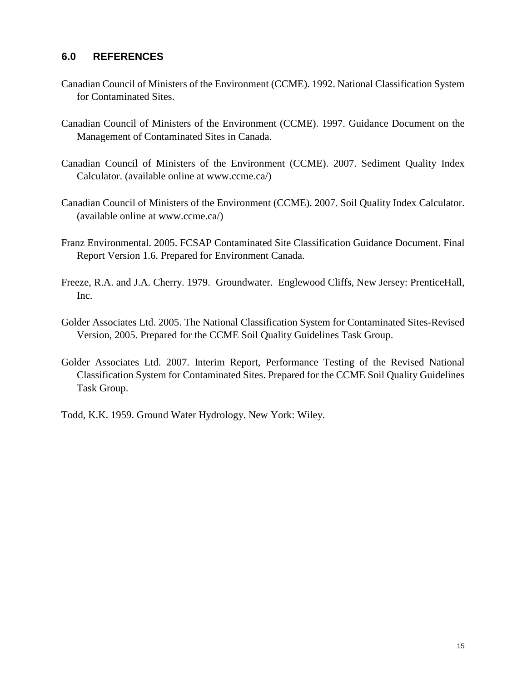#### <span id="page-18-0"></span>**6.0 REFERENCES**

- Canadian Council of Ministers of the Environment (CCME). 1992. National Classification System for Contaminated Sites.
- Canadian Council of Ministers of the Environment (CCME). 1997. Guidance Document on the Management of Contaminated Sites in Canada.
- Canadian Council of Ministers of the Environment (CCME). 2007. Sediment Quality Index Calculator. (available online at [www.ccme.ca/\)](http://www.ccme.ca/en/resources/canadian_environmental_quality_guidelines/calculators.html)
- Canadian Council of Ministers of the Environment (CCME). 2007. Soil Quality Index Calculator. (available online at [www.ccme.ca/\)](http://www.ccme.ca/en/resources/canadian_environmental_quality_guidelines/calculators.html)
- Franz Environmental. 2005. FCSAP Contaminated Site Classification Guidance Document. Final Report Version 1.6. Prepared for Environment Canada.
- Freeze, R.A. and J.A. Cherry. 1979. Groundwater. Englewood Cliffs, New Jersey: PrenticeHall, Inc.
- Golder Associates Ltd. 2005. The National Classification System for Contaminated Sites-Revised Version, 2005. Prepared for the CCME Soil Quality Guidelines Task Group.
- Golder Associates Ltd. 2007. Interim Report, Performance Testing of the Revised National Classification System for Contaminated Sites. Prepared for the CCME Soil Quality Guidelines Task Group.
- Todd, K.K. 1959. Ground Water Hydrology. New York: Wiley.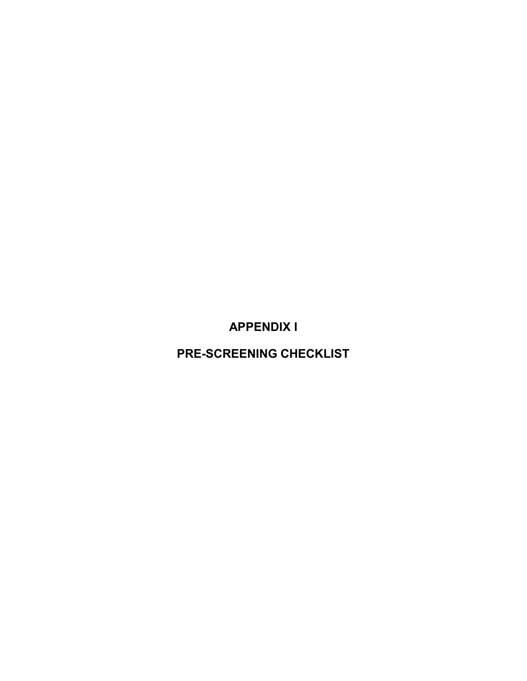**APPENDIX I**

**PRE-SCREENING CHECKLIST**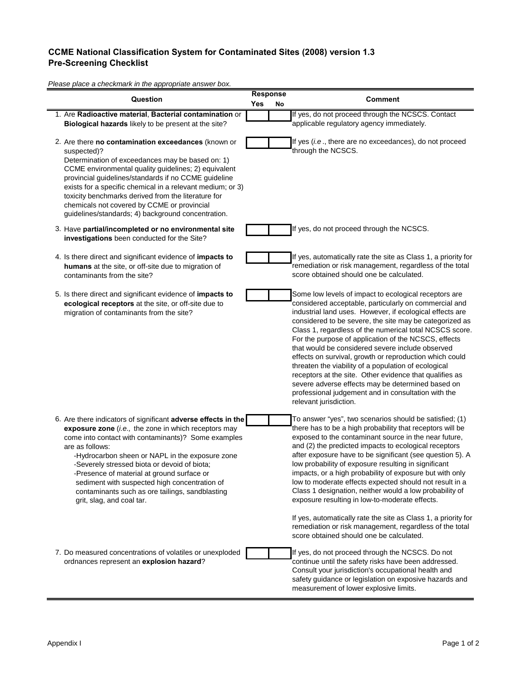#### **CCME National Classification System for Contaminated Sites (2008) version 1.3 Pre-Screening Checklist**

*Please place a checkmark in the appropriate answer box.* **Yes No** 1. Are **Radioactive material**, **Bacterial contamination** or 2. Are there **no contamination exceedances** (known or 3. Have **partial/incompleted or no environmental site**  4. Is there direct and significant evidence of **impacts to**  5. Is there direct and significant evidence of **impacts to**  6. Are there indicators of significant **adverse effects in the**  7. Do measured concentrations of volatiles or unexploded **Response Question Comment exposure zone** (*i.e.,* the zone in which receptors may come into contact with contaminants)? Some examples are as follows: -Hydrocarbon sheen or NAPL in the exposure zone -Severely stressed biota or devoid of biota; -Presence of material at ground surface or sediment with suspected high concentration of contaminants such as ore tailings, sandblasting grit, slag, and coal tar. To answer "yes", two scenarios should be satisfied; (1) there has to be a high probability that receptors will be exposed to the contaminant source in the near future, and (2) the predicted impacts to ecological receptors after exposure have to be significant (see question 5). A low probability of exposure resulting in significant impacts, or a high probability of exposure but with only low to moderate effects expected should not result in a Class 1 designation, neither would a low probability of exposure resulting in low-to-moderate effects. If yes, automatically rate the site as Class 1, a priority for remediation or risk management, regardless of the total score obtained should one be calculated. suspected)? Determination of exceedances may be based on: 1) CCME environmental quality guidelines; 2) equivalent provincial guidelines/standards if no CCME guideline exists for a specific chemical in a relevant medium; or 3) toxicity benchmarks derived from the literature for chemicals not covered by CCME or provincial guidelines/standards; 4) background concentration. If yes (*i.e* ., there are no exceedances), do not proceed through the NCSCS. **investigations** been conducted for the Site? If yes, do not proceed through the NCSCS. **Biological hazards** likely to be present at the site? If yes, do not proceed through the NCSCS. Contact applicable regulatory agency immediately. **humans** at the site, or off-site due to migration of contaminants from the site? If yes, automatically rate the site as Class 1, a priority for remediation or risk management, regardless of the total score obtained should one be calculated. **ecological receptors** at the site, or off-site due to migration of contaminants from the site? Some low levels of impact to ecological receptors are considered acceptable, particularly on commercial and industrial land uses. However, if ecological effects are considered to be severe, the site may be categorized as Class 1, regardless of the numerical total NCSCS score. For the purpose of application of the NCSCS, effects that would be considered severe include observed effects on survival, growth or reproduction which could threaten the viability of a population of ecological receptors at the site. Other evidence that qualifies as severe adverse effects may be determined based on professional judgement and in consultation with the relevant jurisdiction. ordnances represent an **explosion hazard**? If yes, do not proceed through the NCSCS. Do not continue until the safety risks have been addressed. Consult your jurisdiction's occupational health and safety guidance or legislation on exposive hazards and measurement of lower explosive limits.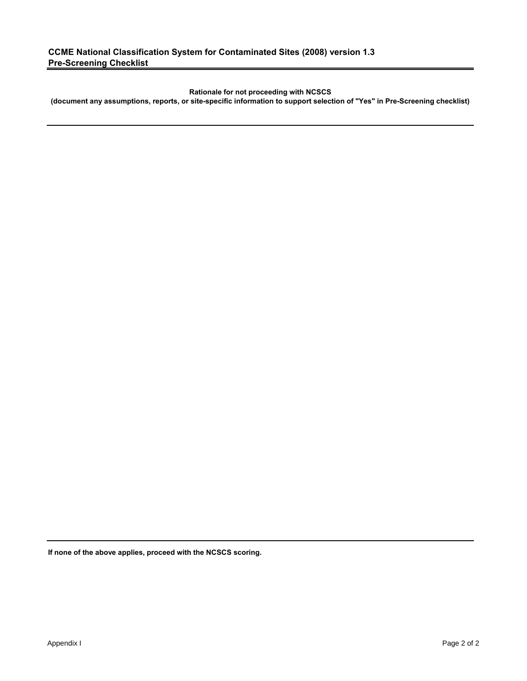**Rationale for not proceeding with NCSCS** 

**(document any assumptions, reports, or site-specific information to support selection of "Yes" in Pre-Screening checklist)**

**If none of the above applies, proceed with the NCSCS scoring.**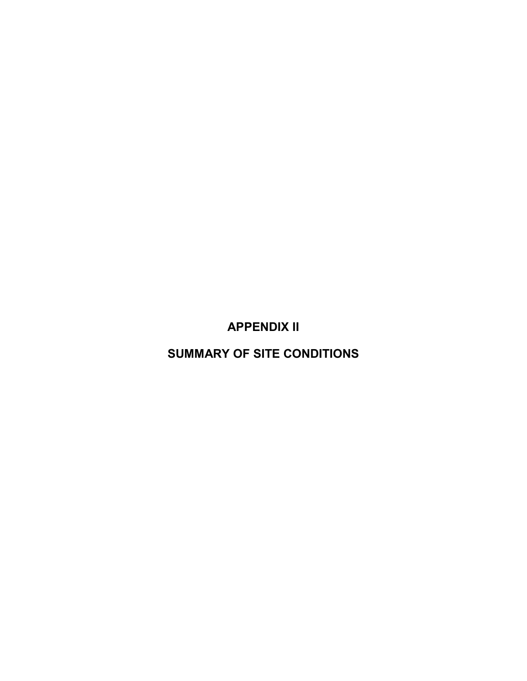**APPENDIX II**

**SUMMARY OF SITE CONDITIONS**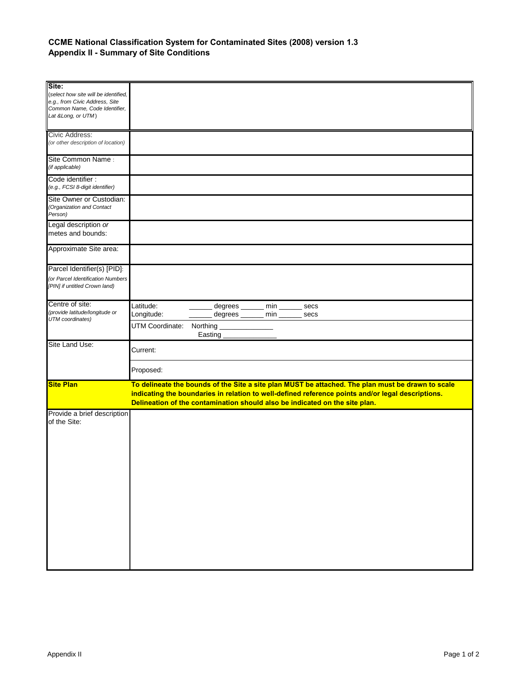#### **CCME National Classification System for Contaminated Sites (2008) version 1.3 Appendix II - Summary of Site Conditions**

| Site:<br>(select how site will be identified,<br>e.g., from Civic Address, Site<br>Common Name, Code Identifier,<br>Lat & Long, or UTM) |                                                                                                                                                                                                                                                                                       |
|-----------------------------------------------------------------------------------------------------------------------------------------|---------------------------------------------------------------------------------------------------------------------------------------------------------------------------------------------------------------------------------------------------------------------------------------|
| Civic Address:<br>(or other description of location)                                                                                    |                                                                                                                                                                                                                                                                                       |
| Site Common Name:<br>(if applicable)                                                                                                    |                                                                                                                                                                                                                                                                                       |
| Code identifier:<br>(e.g., FCSI 8-digit identifier)                                                                                     |                                                                                                                                                                                                                                                                                       |
| Site Owner or Custodian:<br>(Organization and Contact<br>Person)                                                                        |                                                                                                                                                                                                                                                                                       |
| Legal description or<br>metes and bounds:                                                                                               |                                                                                                                                                                                                                                                                                       |
| Approximate Site area:                                                                                                                  |                                                                                                                                                                                                                                                                                       |
| Parcel Identifier(s) [PID]:                                                                                                             |                                                                                                                                                                                                                                                                                       |
| (or Parcel Identification Numbers<br>[PIN] if untitled Crown land)                                                                      |                                                                                                                                                                                                                                                                                       |
| Centre of site:                                                                                                                         | Latitude:<br>degrees ______ min ______ secs                                                                                                                                                                                                                                           |
| (provide latitude/longitude or                                                                                                          | degrees _______ min _______ secs<br>Longitude:                                                                                                                                                                                                                                        |
| UTM coordinates)                                                                                                                        | UTM Coordinate:<br>Northing ____________________<br>Easting                                                                                                                                                                                                                           |
| Site Land Use:                                                                                                                          | Current:                                                                                                                                                                                                                                                                              |
|                                                                                                                                         | Proposed:                                                                                                                                                                                                                                                                             |
| <b>Site Plan</b>                                                                                                                        | To delineate the bounds of the Site a site plan MUST be attached. The plan must be drawn to scale<br>indicating the boundaries in relation to well-defined reference points and/or legal descriptions.<br>Delineation of the contamination should also be indicated on the site plan. |
| Provide a brief description<br>of the Site:                                                                                             |                                                                                                                                                                                                                                                                                       |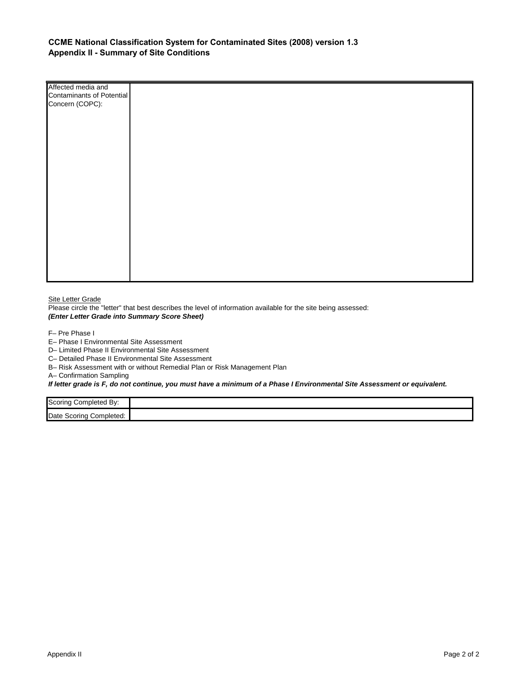#### **CCME National Classification System for Contaminated Sites (2008) version 1.3 Appendix II - Summary of Site Conditions**

| Affected media and        |  |
|---------------------------|--|
| Contaminants of Potential |  |
| Concern (COPC):           |  |
|                           |  |
|                           |  |
|                           |  |
|                           |  |
|                           |  |
|                           |  |
|                           |  |
|                           |  |
|                           |  |
|                           |  |
|                           |  |
|                           |  |
|                           |  |
|                           |  |
|                           |  |
|                           |  |
|                           |  |
|                           |  |
|                           |  |
|                           |  |

**Site Letter Grade** 

Please circle the "letter" that best describes the level of information available for the site being assessed: *(Enter Letter Grade into Summary Score Sheet)*

F– Pre Phase I

E– Phase I Environmental Site Assessment

D– Limited Phase II Environmental Site Assessment

C– Detailed Phase II Environmental Site Assessment

B– Risk Assessment with or without Remedial Plan or Risk Management Plan

A– Confirmation Sampling

*If letter grade is F, do not continue, you must have a minimum of a Phase I Environmental Site Assessment or equivalent.*

| Scoring<br>Completed By:      |  |
|-------------------------------|--|
| Date<br>Completed:<br>Scoring |  |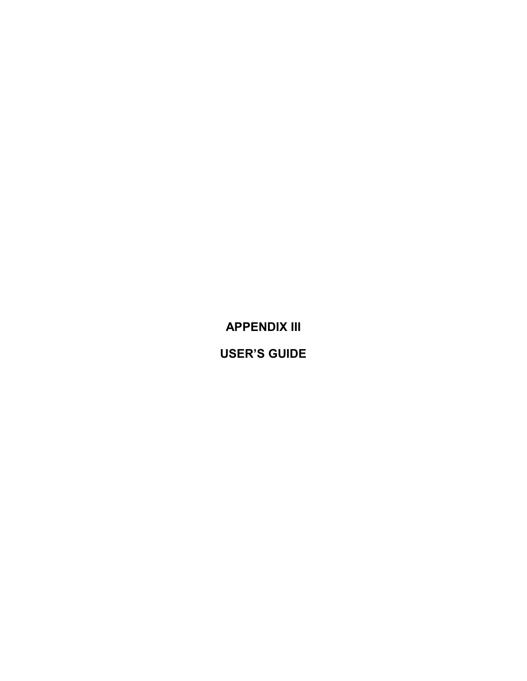**APPENDIX III**

**USER'S GUIDE**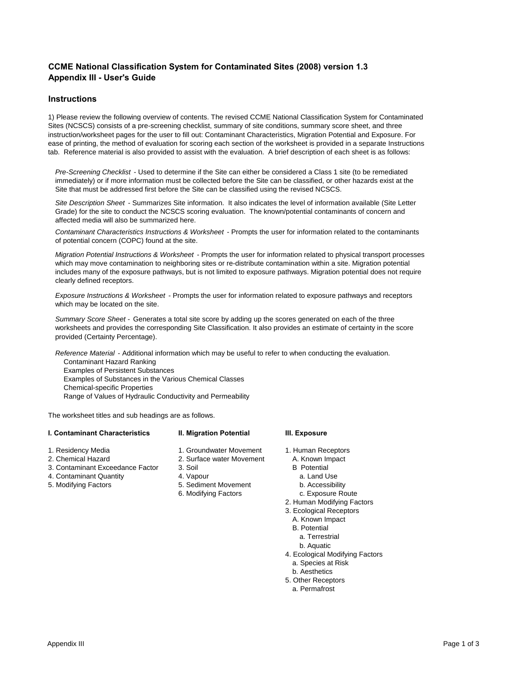#### **CCME National Classification System for Contaminated Sites (2008) version 1.3 Appendix III - User's Guide**

#### **Instructions**

1) Please review the following overview of contents. The revised CCME National Classification System for Contaminated Sites (NCSCS) consists of a pre-screening checklist, summary of site conditions, summary score sheet, and three instruction/worksheet pages for the user to fill out: Contaminant Characteristics, Migration Potential and Exposure. For ease of printing, the method of evaluation for scoring each section of the worksheet is provided in a separate Instructions tab. Reference material is also provided to assist with the evaluation. A brief description of each sheet is as follows:

*Pre-Screening Checklist* - Used to determine if the Site can either be considered a Class 1 site (to be remediated immediately) or if more information must be collected before the Site can be classified, or other hazards exist at the Site that must be addressed first before the Site can be classified using the revised NCSCS.

*Site Description Sheet* - Summarizes Site information. It also indicates the level of information available (Site Letter Grade) for the site to conduct the NCSCS scoring evaluation. The known/potential contaminants of concern and affected media will also be summarized here.

*Contaminant Characteristics Instructions & Worksheet* - Prompts the user for information related to the contaminants of potential concern (COPC) found at the site.

*Migration Potential Instructions & Worksheet* - Prompts the user for information related to physical transport processes which may move contamination to neighboring sites or re-distribute contamination within a site. Migration potential includes many of the exposure pathways, but is not limited to exposure pathways. Migration potential does not require clearly defined receptors.

*Exposure Instructions & Worksheet* - Prompts the user for information related to exposure pathways and receptors which may be located on the site.

*Summary Score Sheet -* Generates a total site score by adding up the scores generated on each of the three worksheets and provides the corresponding Site Classification. It also provides an estimate of certainty in the score provided (Certainty Percentage).

*Reference Material* - Additional information which may be useful to refer to when conducting the evaluation.

Contaminant Hazard Ranking Examples of Persistent Substances Examples of Substances in the Various Chemical Classes Chemical-specific Properties Range of Values of Hydraulic Conductivity and Permeability

The worksheet titles and sub headings are as follows.

#### **I. Contaminant Characteristics II. Migration Potential III. Exposure**

- 
- 
- 3. Contaminant Exceedance Factor 3. Soil B Potential<br>
4. Contaminant Quantity 4. Vapour<br>
2. Land Use
- 4. Contaminant Quantity **4. Vapour 4. Vapour a. Land Use 3.** Accessibility a. Land Use 5. Modifying Factors
- 
- 
- 1. Residency Media 1. Groundwater Movement 1. Human Receptors<br>2. Chemical Hazard 2. Surface water Movement 2. Known Impact
	- 2. Surface water Movement A. Known Impact<br>3. Soil B Potential

6. Modifying Factors

- -
	-
- 5. Sediment Movement b. Accessibility<br>6. Modifying Factors c. Exposure Route
	- 2. Human Modifying Factors
	- 3. Ecological Receptors
		- A. Known Impact
		- B. Potential
		- a. Terrestrial
		- b. Aquatic
	- 4. Ecological Modifying Factors
		- a. Species at Risk
		- b. Aesthetics
	- 5. Other Receptors a. Permafrost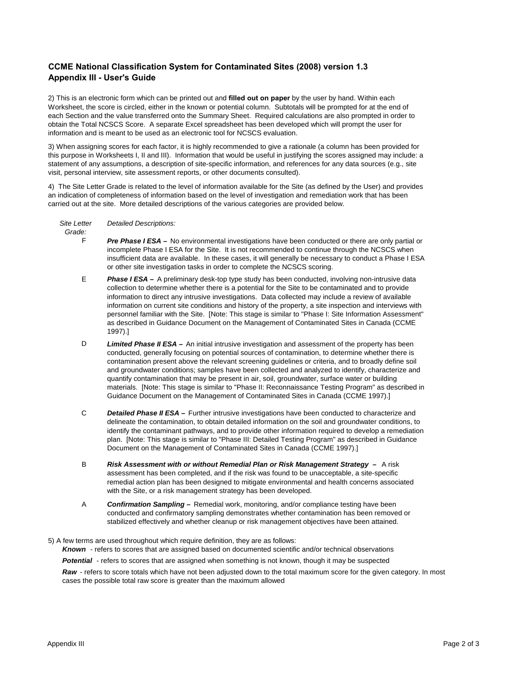#### **CCME National Classification System for Contaminated Sites (2008) version 1.3 Appendix III - User's Guide**

2) This is an electronic form which can be printed out and **filled out on paper** by the user by hand. Within each Worksheet, the score is circled, either in the known or potential column. Subtotals will be prompted for at the end of each Section and the value transferred onto the Summary Sheet. Required calculations are also prompted in order to obtain the Total NCSCS Score. A separate Excel spreadsheet has been developed which will prompt the user for information and is meant to be used as an electronic tool for NCSCS evaluation.

3) When assigning scores for each factor, it is highly recommended to give a rationale (a column has been provided for this purpose in Worksheets I, II and III). Information that would be useful in justifying the scores assigned may include: a statement of any assumptions, a description of site-specific information, and references for any data sources (e.g., site visit, personal interview, site assessment reports, or other documents consulted).

4) The Site Letter Grade is related to the level of information available for the Site (as defined by the User) and provides an indication of completeness of information based on the level of investigation and remediation work that has been carried out at the site. More detailed descriptions of the various categories are provided below.

*Detailed Descriptions: Site Letter* 

*Grade:*

- F *Pre Phase I ESA –* No environmental investigations have been conducted or there are only partial or incomplete Phase I ESA for the Site. It is not recommended to continue through the NCSCS when insufficient data are available. In these cases, it will generally be necessary to conduct a Phase I ESA or other site investigation tasks in order to complete the NCSCS scoring.
- E **Phase I ESA** – A preliminary desk-top type study has been conducted, involving non-intrusive data collection to determine whether there is a potential for the Site to be contaminated and to provide information to direct any intrusive investigations. Data collected may include a review of available information on current site conditions and history of the property, a site inspection and interviews with personnel familiar with the Site. [Note: This stage is similar to "Phase I: Site Information Assessment" as described in Guidance Document on the Management of Contaminated Sites in Canada (CCME 1997).]
- D **Limited Phase II ESA** – An initial intrusive investigation and assessment of the property has been conducted, generally focusing on potential sources of contamination, to determine whether there is contamination present above the relevant screening guidelines or criteria, and to broadly define soil and groundwater conditions; samples have been collected and analyzed to identify, characterize and quantify contamination that may be present in air, soil, groundwater, surface water or building materials. [Note: This stage is similar to "Phase II: Reconnaissance Testing Program" as described in Guidance Document on the Management of Contaminated Sites in Canada (CCME 1997).]
- C **Detailed Phase II ESA –** Further intrusive investigations have been conducted to characterize and delineate the contamination, to obtain detailed information on the soil and groundwater conditions, to identify the contaminant pathways, and to provide other information required to develop a remediation plan. [Note: This stage is similar to "Phase III: Detailed Testing Program" as described in Guidance Document on the Management of Contaminated Sites in Canada (CCME 1997).]
- B *Risk Assessment with or without Remedial Plan or Risk Management Strategy –* A risk assessment has been completed, and if the risk was found to be unacceptable, a site-specific remedial action plan has been designed to mitigate environmental and health concerns associated with the Site, or a risk management strategy has been developed.
- A *Confirmation Sampling –* Remedial work, monitoring, and/or compliance testing have been conducted and confirmatory sampling demonstrates whether contamination has been removed or stabilized effectively and whether cleanup or risk management objectives have been attained.
- 5) A few terms are used throughout which require definition, they are as follows:

*Known* - refers to scores that are assigned based on documented scientific and/or technical observations

*Potential* - refers to scores that are assigned when something is not known, though it may be suspected

*Raw* - refers to score totals which have not been adjusted down to the total maximum score for the given category. In most cases the possible total raw score is greater than the maximum allowed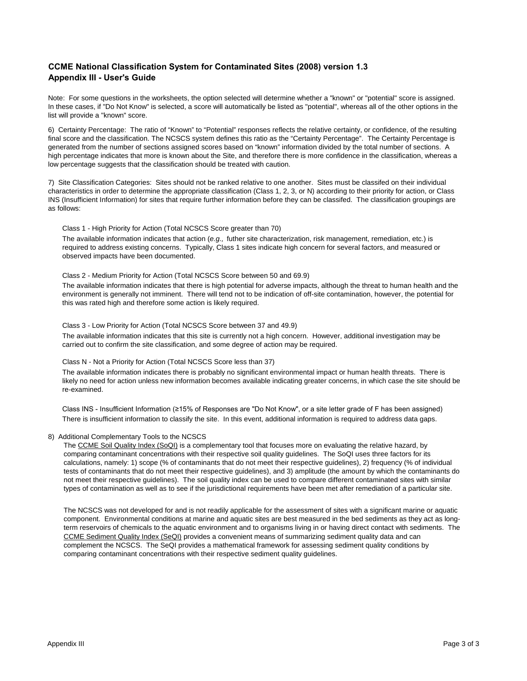#### **CCME National Classification System for Contaminated Sites (2008) version 1.3 Appendix III - User's Guide**

Note: For some questions in the worksheets, the option selected will determine whether a "known" or "potential" score is assigned. In these cases, if "Do Not Know" is selected, a score will automatically be listed as "potential", whereas all of the other options in the list will provide a "known" score.

6) Certainty Percentage: The ratio of "Known" to "Potential" responses reflects the relative certainty, or confidence, of the resulting final score and the classification. The NCSCS system defines this ratio as the "Certainty Percentage". The Certainty Percentage is generated from the number of sections assigned scores based on "known" information divided by the total number of sections. A high percentage indicates that more is known about the Site, and therefore there is more confidence in the classification, whereas a low percentage suggests that the classification should be treated with caution.

7) Site Classification Categories: Sites should not be ranked relative to one another. Sites must be classifed on their individual characteristics in order to determine the appropriate classification (Class 1, 2, 3, or N) according to their priority for action, or Class INS (Insufficient Information) for sites that require further information before they can be classifed. The classification groupings are as follows:

#### Class 1 - High Priority for Action (Total NCSCS Score greater than 70)

The available information indicates that action (*e.g.,* futher site characterization, risk management, remediation, etc.) is required to address existing concerns. Typically, Class 1 sites indicate high concern for several factors, and measured or observed impacts have been documented.

#### Class 2 - Medium Priority for Action (Total NCSCS Score between 50 and 69.9)

The available information indicates that there is high potential for adverse impacts, although the threat to human health and the environment is generally not imminent. There will tend not to be indication of off-site contamination, however, the potential for this was rated high and therefore some action is likely required.

#### Class 3 - Low Priority for Action (Total NCSCS Score between 37 and 49.9)

The available information indicates that this site is currently not a high concern. However, additional investigation may be carried out to confirm the site classification, and some degree of action may be required.

#### Class N - Not a Priority for Action (Total NCSCS Score less than 37)

The available information indicates there is probably no significant environmental impact or human health threats. There is likely no need for action unless new information becomes available indicating greater concerns, in which case the site should be re-examined.

Class INS - Insufficient Information (≥15% of Responses are "Do Not Know", or a site letter grade of F has been assigned) There is insufficient information to classify the site. In this event, additional information is required to address data gaps.

#### 8) Additional Complementary Tools to the NCSCS

The [CCME Soil Quality Index \(SoQI\)](http://www.ccme.ca/en/resources/canadian_environmental_quality_guidelines/calculators.html) is a complementary tool that focuses more on evaluating the relative hazard, by comparing contaminant concentrations with their respective soil quality guidelines. The SoQI uses three factors for its calculations, namely: 1) scope (% of contaminants that do not meet their respective guidelines), 2) frequency (% of individual tests of contaminants that do not meet their respective guidelines), and 3) amplitude (the amount by which the contaminants do not meet their respective guidelines). The soil quality index can be used to compare different contaminated sites with similar types of contamination as well as to see if the jurisdictional requirements have been met after remediation of a particular site.

The NCSCS was not developed for and is not readily applicable for the assessment of sites with a significant marine or aquatic component. Environmental conditions at marine and aquatic sites are best measured in the bed sediments as they act as longterm reservoirs of chemicals to the aquatic environment and to organisms living in or having direct contact with sediments. The [CCME Sediment Quality Index \(SeQI\)](http://www.ccme.ca/en/resources/canadian_environmental_quality_guidelines/calculators.html) provides a convenient means of summarizing sediment quality data and can complement the NCSCS. The SeQI provides a mathematical framework for assessing sediment quality conditions by comparing contaminant concentrations with their respective sediment quality guidelines.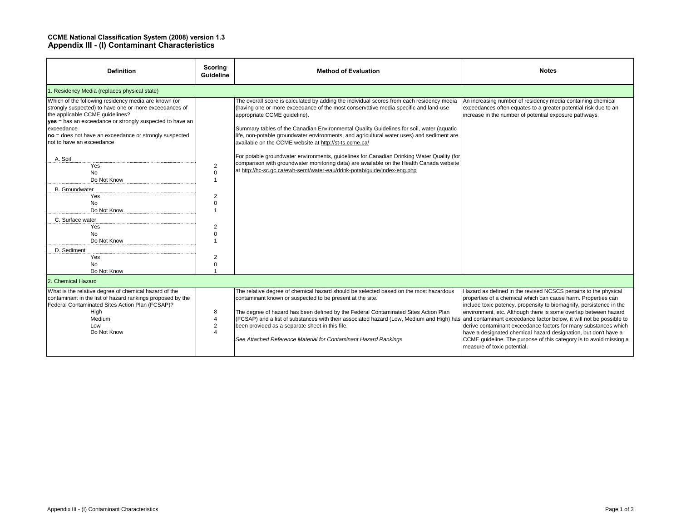#### **CCME National Classification System (2008) version 1.3 Appendix III - (I) Contaminant Characteristics**

| <b>Definition</b>                                                                                                                                                                                                                                                                                                  | Scoring<br><b>Guideline</b>                                                                                                   | <b>Method of Evaluation</b>                                                                                                                                                                                                                                                                                                                                                                                                                                                                                                      | <b>Notes</b>                                                                                                                                                                                                                                                                                                                                                                                                                                                                                                          |  |  |  |  |  |
|--------------------------------------------------------------------------------------------------------------------------------------------------------------------------------------------------------------------------------------------------------------------------------------------------------------------|-------------------------------------------------------------------------------------------------------------------------------|----------------------------------------------------------------------------------------------------------------------------------------------------------------------------------------------------------------------------------------------------------------------------------------------------------------------------------------------------------------------------------------------------------------------------------------------------------------------------------------------------------------------------------|-----------------------------------------------------------------------------------------------------------------------------------------------------------------------------------------------------------------------------------------------------------------------------------------------------------------------------------------------------------------------------------------------------------------------------------------------------------------------------------------------------------------------|--|--|--|--|--|
| 1. Residency Media (replaces physical state)                                                                                                                                                                                                                                                                       |                                                                                                                               |                                                                                                                                                                                                                                                                                                                                                                                                                                                                                                                                  |                                                                                                                                                                                                                                                                                                                                                                                                                                                                                                                       |  |  |  |  |  |
| Which of the following residency media are known (or<br>strongly suspected) to have one or more exceedances of<br>the applicable CCME guidelines?<br>yes = has an exceedance or strongly suspected to have an<br>exceedance<br>no = does not have an exceedance or strongly suspected<br>not to have an exceedance |                                                                                                                               | The overall score is calculated by adding the individual scores from each residency media<br>(having one or more exceedance of the most conservative media specific and land-use<br>appropriate CCME guideline).<br>Summary tables of the Canadian Environmental Quality Guidelines for soil, water (aquatic<br>life, non-potable groundwater environments, and agricultural water uses) and sediment are<br>available on the CCME website at http://st-ts.ccme.ca/                                                              | An increasing number of residency media containing chemical<br>exceedances often equates to a greater potential risk due to an<br>increase in the number of potential exposure pathways.                                                                                                                                                                                                                                                                                                                              |  |  |  |  |  |
| A. Soil<br>Yes<br><b>No</b><br>Do Not Know<br><b>B.</b> Groundwater<br>Yes<br>No<br>Do Not Know<br>C. Surface water<br>Yes<br><b>No</b><br>Do Not Know<br>D. Sediment<br>Yes<br><b>No</b><br>Do Not Know                                                                                                           | $\overline{2}$<br>$\mathbf 0$<br>$\overline{2}$<br>$\Omega$<br>$\overline{2}$<br>$\mathbf 0$<br>$\overline{2}$<br>$\mathbf 0$ | For potable groundwater environments, quidelines for Canadian Drinking Water Quality (for<br>comparison with groundwater monitoring data) are available on the Health Canada website<br>at http://hc-sc.qc.ca/ewh-semt/water-eau/drink-potab/quide/index-eng.php                                                                                                                                                                                                                                                                 |                                                                                                                                                                                                                                                                                                                                                                                                                                                                                                                       |  |  |  |  |  |
| 2. Chemical Hazard                                                                                                                                                                                                                                                                                                 |                                                                                                                               |                                                                                                                                                                                                                                                                                                                                                                                                                                                                                                                                  |                                                                                                                                                                                                                                                                                                                                                                                                                                                                                                                       |  |  |  |  |  |
| What is the relative degree of chemical hazard of the<br>contaminant in the list of hazard rankings proposed by the<br>Federal Contaminated Sites Action Plan (FCSAP)?<br>High<br>Medium<br>Low<br>Do Not Know                                                                                                     | 8<br>$\overline{4}$<br>$\overline{2}$<br>$\boldsymbol{\varDelta}$                                                             | The relative degree of chemical hazard should be selected based on the most hazardous<br>contaminant known or suspected to be present at the site.<br>The degree of hazard has been defined by the Federal Contaminated Sites Action Plan<br>(FCSAP) and a list of substances with their associated hazard (Low, Medium and High) has and contaminant exceedance factor below, it will not be possible to<br>been provided as a separate sheet in this file.<br>See Attached Reference Material for Contaminant Hazard Rankings. | Hazard as defined in the revised NCSCS pertains to the physical<br>properties of a chemical which can cause harm. Properties can<br>include toxic potency, propensity to biomagnify, persistence in the<br>environment, etc. Although there is some overlap between hazard<br>derive contaminant exceedance factors for many substances which<br>have a designated chemical hazard designation, but don't have a<br>CCME guideline. The purpose of this category is to avoid missing a<br>measure of toxic potential. |  |  |  |  |  |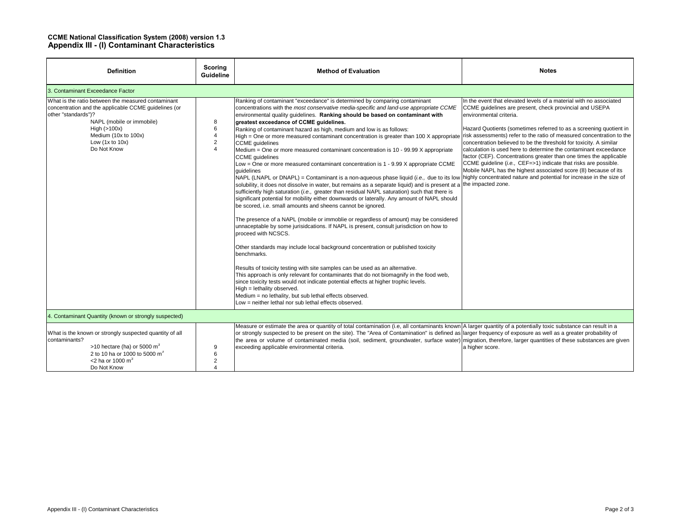#### **CCME National Classification System (2008) version 1.3 Appendix III - (I) Contaminant Characteristics**

| <b>Definition</b>                                                                                                                                                                                                                            | Scoring<br>Guideline                                   | <b>Method of Evaluation</b>                                                                                                                                                                                                                                                                                                                                                                                                                                                                                                                                                                                                                                                                                                                                                                                                                                                                                                                                                                                                                                                                                                                                                                                                                                                                                                                                                                                                                                                                                                                                                                                                                                                                                                                                                                                                                                                                                                                                                                                     | <b>Notes</b>                                                                                                                                                                                                                                                                                                                                                                                                                                                                                                                                                                                                                                                  |  |  |  |
|----------------------------------------------------------------------------------------------------------------------------------------------------------------------------------------------------------------------------------------------|--------------------------------------------------------|-----------------------------------------------------------------------------------------------------------------------------------------------------------------------------------------------------------------------------------------------------------------------------------------------------------------------------------------------------------------------------------------------------------------------------------------------------------------------------------------------------------------------------------------------------------------------------------------------------------------------------------------------------------------------------------------------------------------------------------------------------------------------------------------------------------------------------------------------------------------------------------------------------------------------------------------------------------------------------------------------------------------------------------------------------------------------------------------------------------------------------------------------------------------------------------------------------------------------------------------------------------------------------------------------------------------------------------------------------------------------------------------------------------------------------------------------------------------------------------------------------------------------------------------------------------------------------------------------------------------------------------------------------------------------------------------------------------------------------------------------------------------------------------------------------------------------------------------------------------------------------------------------------------------------------------------------------------------------------------------------------------------|---------------------------------------------------------------------------------------------------------------------------------------------------------------------------------------------------------------------------------------------------------------------------------------------------------------------------------------------------------------------------------------------------------------------------------------------------------------------------------------------------------------------------------------------------------------------------------------------------------------------------------------------------------------|--|--|--|
| 3. Contaminant Exceedance Factor                                                                                                                                                                                                             |                                                        |                                                                                                                                                                                                                                                                                                                                                                                                                                                                                                                                                                                                                                                                                                                                                                                                                                                                                                                                                                                                                                                                                                                                                                                                                                                                                                                                                                                                                                                                                                                                                                                                                                                                                                                                                                                                                                                                                                                                                                                                                 |                                                                                                                                                                                                                                                                                                                                                                                                                                                                                                                                                                                                                                                               |  |  |  |
| What is the ratio between the measured contaminant<br>concentration and the applicable CCME guidelines (or<br>other "standards")?<br>NAPL (mobile or immobile)<br>High $(>100x)$<br>Medium (10x to 100x)<br>Low $(1x to 10x)$<br>Do Not Know | 8<br>6<br>$\overline{4}$<br>$\overline{2}$<br>$\Delta$ | Ranking of contaminant "exceedance" is determined by comparing contaminant<br>concentrations with the most conservative media-specific and land-use appropriate CCME<br>environmental quality guidelines. Ranking should be based on contaminant with<br>greatest exceedance of CCME guidelines.<br>Ranking of contaminant hazard as high, medium and low is as follows:<br>High = One or more measured contaminant concentration is greater than 100 X appropriate<br><b>CCME</b> guidelines<br>Medium = One or more measured contaminant concentration is $10 - 99.99$ X appropriate<br><b>CCME</b> quidelines<br>Low = One or more measured contaminant concentration is 1 - 9.99 X appropriate CCME<br>quidelines<br>NAPL (LNAPL or DNAPL) = Contaminant is a non-aqueous phase liquid (i.e., due to its low   highly concentrated nature and potential for increase in the size of<br>solubility, it does not dissolve in water, but remains as a separate liquid) and is present at a the impacted zone.<br>sufficiently high saturation (i.e., greater than residual NAPL saturation) such that there is<br>significant potential for mobility either downwards or laterally. Any amount of NAPL should<br>be scored, i.e. small amounts and sheens cannot be ignored.<br>The presence of a NAPL (mobile or immobile or regardless of amount) may be considered<br>unnaceptable by some jurisidcations. If NAPL is present, consult jurisdiction on how to<br>proceed with NCSCS.<br>Other standards may include local background concentration or published toxicity<br>benchmarks.<br>Results of toxicity testing with site samples can be used as an alternative.<br>This approach is only relevant for contaminants that do not biomagnify in the food web,<br>since toxicity tests would not indicate potential effects at higher trophic levels.<br>High = lethality observed.<br>Medium = no lethality, but sub lethal effects observed.<br>Low = neither lethal nor sub lethal effects observed. | In the event that elevated levels of a material with no associated<br>CCME guidelines are present, check provincial and USEPA<br>environmental criteria.<br>Hazard Quotients (sometimes referred to as a screening quotient in<br>risk assessments) refer to the ratio of measured concentration to the<br>concentration believed to be the threshold for toxicity. A similar<br>calculation is used here to determine the contaminant exceedance<br>factor (CEF). Concentrations greater than one times the applicable<br>CCME guideline (i.e., CEF=>1) indicate that risks are possible.<br>Mobile NAPL has the highest associated score (8) because of its |  |  |  |
| 4. Contaminant Quantity (known or strongly suspected)                                                                                                                                                                                        |                                                        |                                                                                                                                                                                                                                                                                                                                                                                                                                                                                                                                                                                                                                                                                                                                                                                                                                                                                                                                                                                                                                                                                                                                                                                                                                                                                                                                                                                                                                                                                                                                                                                                                                                                                                                                                                                                                                                                                                                                                                                                                 |                                                                                                                                                                                                                                                                                                                                                                                                                                                                                                                                                                                                                                                               |  |  |  |
| What is the known or strongly suspected quantity of all<br>contaminants?<br>>10 hectare (ha) or 5000 $m3$<br>2 to 10 ha or 1000 to 5000 m <sup>3</sup><br><2 ha or 1000 $m^3$<br>Do Not Know                                                 | 9<br>6<br>$\overline{2}$<br>$\overline{4}$             | Measure or estimate the area or quantity of total contamination (i.e, all contaminants known A larger quantity of a potentially toxic substance can result in a<br>or strongly suspected to be present on the site). The "Area of Contamination" is defined as larger frequency of exposure as well as a greater probability of<br>the area or volume of contaminated media (soil, sediment, groundwater, surface water) migration, therefore, larger quantities of these substances are given<br>exceeding applicable environmental criteria.                                                                                                                                                                                                                                                                                                                                                                                                                                                                                                                                                                                                                                                                                                                                                                                                                                                                                                                                                                                                                                                                                                                                                                                                                                                                                                                                                                                                                                                                  | a higher score.                                                                                                                                                                                                                                                                                                                                                                                                                                                                                                                                                                                                                                               |  |  |  |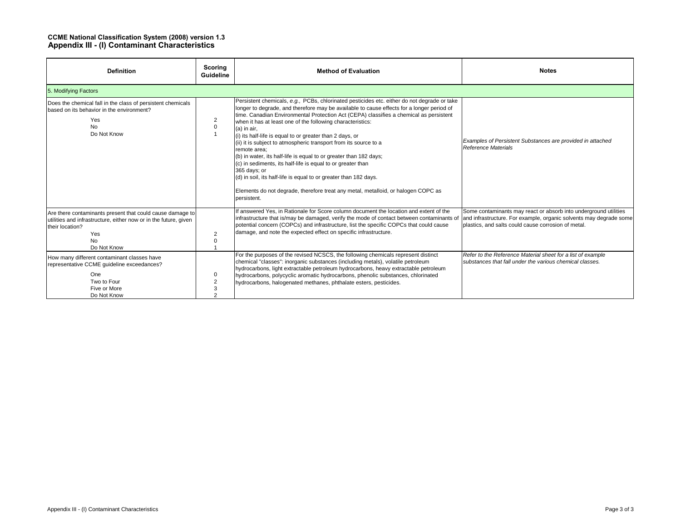#### **CCME National Classification System (2008) version 1.3 Appendix III - (I) Contaminant Characteristics**

| <b>Definition</b>                                                                                                                                                                        | Scoring<br><b>Guideline</b> | <b>Method of Evaluation</b>                                                                                                                                                                                                                                                                                                                                                                                                                                                                                                                                                                                                                                                                                                                                                                                                                   | <b>Notes</b>                                                                                                                                                                                  |  |  |  |  |
|------------------------------------------------------------------------------------------------------------------------------------------------------------------------------------------|-----------------------------|-----------------------------------------------------------------------------------------------------------------------------------------------------------------------------------------------------------------------------------------------------------------------------------------------------------------------------------------------------------------------------------------------------------------------------------------------------------------------------------------------------------------------------------------------------------------------------------------------------------------------------------------------------------------------------------------------------------------------------------------------------------------------------------------------------------------------------------------------|-----------------------------------------------------------------------------------------------------------------------------------------------------------------------------------------------|--|--|--|--|
| 5. Modifying Factors                                                                                                                                                                     |                             |                                                                                                                                                                                                                                                                                                                                                                                                                                                                                                                                                                                                                                                                                                                                                                                                                                               |                                                                                                                                                                                               |  |  |  |  |
| Does the chemical fall in the class of persistent chemicals<br>based on its behavior in the environment?<br>Yes<br><b>No</b><br>Do Not Know                                              | $\overline{2}$<br>0         | Persistent chemicals, e.g., PCBs, chlorinated pesticides etc. either do not degrade or take<br>longer to degrade, and therefore may be available to cause effects for a longer period of<br>time. Canadian Environmental Protection Act (CEPA) classifies a chemical as persistent<br>when it has at least one of the following characteristics:<br>$(a)$ in air,<br>(i) its half-life is equal to or greater than 2 days, or<br>(ii) it is subject to atmospheric transport from its source to a<br>remote area:<br>(b) in water, its half-life is equal to or greater than 182 days;<br>(c) in sediments, its half-life is equal to or greater than<br>365 days; or<br>(d) in soil, its half-life is equal to or greater than 182 days.<br>Elements do not degrade, therefore treat any metal, metalloid, or halogen COPC as<br>persistent. | Examples of Persistent Substances are provided in attached<br>Reference Materials                                                                                                             |  |  |  |  |
| Are there contaminants present that could cause damage to<br>utilities and infrastructure, either now or in the future, given<br>their location?<br>Yes<br>N <sub>o</sub><br>Do Not Know | $\overline{2}$<br>$\Omega$  | If answered Yes, in Rationale for Score column document the location and extent of the<br>infrastructure that is/may be damaged, verify the mode of contact between contaminants of<br>potential concern (COPCs) and infrastructure, list the specific COPCs that could cause<br>damage, and note the expected effect on specific infrastructure.                                                                                                                                                                                                                                                                                                                                                                                                                                                                                             | Some contaminants may react or absorb into underground utilities<br>and infrastructure. For example, organic solvents may degrade some<br>plastics, and salts could cause corrosion of metal. |  |  |  |  |
| How many different contaminant classes have<br>representative CCME quideline exceedances?<br>One<br>Two to Four<br>Five or More<br>Do Not Know                                           | 0<br>3<br>$\Omega$          | For the purposes of the revised NCSCS, the following chemicals represent distinct<br>chemical "classes": inorganic substances (including metals), volatile petroleum<br>hydrocarbons, light extractable petroleum hydrocarbons, heavy extractable petroleum<br>hydrocarbons, polycyclic aromatic hydrocarbons, phenolic substances, chlorinated<br>hydrocarbons, halogenated methanes, phthalate esters, pesticides.                                                                                                                                                                                                                                                                                                                                                                                                                          | Refer to the Reference Material sheet for a list of example<br>substances that fall under the various chemical classes.                                                                       |  |  |  |  |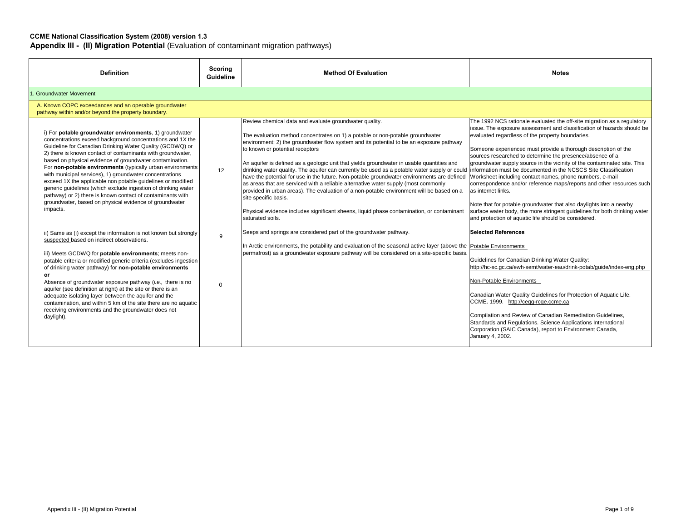#### **CCME National Classification System (2008) version 1.3**

**Appendix III - (II) Migration Potential** (Evaluation of contaminant migration pathways)

| <b>Definition</b>                                                                                                                                                                                                                                                                                                                                                                                                                                                                                                                                                                                                                                                                                         | Scoring<br><b>Guideline</b> | <b>Method Of Evaluation</b>                                                                                                                                                                                                                                                                                                                                                                                                                                                                                                                                                                                                                                                                                                                                                                                                                                                                                                                                 | <b>Notes</b>                                                                                                                                                                                                                                                                                                                                                                                                                                                                                                                                                                                                                                                                                                                                                                            |  |  |  |
|-----------------------------------------------------------------------------------------------------------------------------------------------------------------------------------------------------------------------------------------------------------------------------------------------------------------------------------------------------------------------------------------------------------------------------------------------------------------------------------------------------------------------------------------------------------------------------------------------------------------------------------------------------------------------------------------------------------|-----------------------------|-------------------------------------------------------------------------------------------------------------------------------------------------------------------------------------------------------------------------------------------------------------------------------------------------------------------------------------------------------------------------------------------------------------------------------------------------------------------------------------------------------------------------------------------------------------------------------------------------------------------------------------------------------------------------------------------------------------------------------------------------------------------------------------------------------------------------------------------------------------------------------------------------------------------------------------------------------------|-----------------------------------------------------------------------------------------------------------------------------------------------------------------------------------------------------------------------------------------------------------------------------------------------------------------------------------------------------------------------------------------------------------------------------------------------------------------------------------------------------------------------------------------------------------------------------------------------------------------------------------------------------------------------------------------------------------------------------------------------------------------------------------------|--|--|--|
| 1. Groundwater Movement                                                                                                                                                                                                                                                                                                                                                                                                                                                                                                                                                                                                                                                                                   |                             |                                                                                                                                                                                                                                                                                                                                                                                                                                                                                                                                                                                                                                                                                                                                                                                                                                                                                                                                                             |                                                                                                                                                                                                                                                                                                                                                                                                                                                                                                                                                                                                                                                                                                                                                                                         |  |  |  |
| A. Known COPC exceedances and an operable groundwater<br>pathway within and/or beyond the property boundary.                                                                                                                                                                                                                                                                                                                                                                                                                                                                                                                                                                                              |                             |                                                                                                                                                                                                                                                                                                                                                                                                                                                                                                                                                                                                                                                                                                                                                                                                                                                                                                                                                             |                                                                                                                                                                                                                                                                                                                                                                                                                                                                                                                                                                                                                                                                                                                                                                                         |  |  |  |
| i) For potable groundwater environments, 1) groundwater<br>concentrations exceed background concentrations and 1X the<br>Guideline for Canadian Drinking Water Quality (GCDWQ) or<br>2) there is known contact of contaminants with groundwater,<br>based on physical evidence of groundwater contamination.<br>For non-potable environments (typically urban environments<br>with municipal services), 1) groundwater concentrations<br>exceed 1X the applicable non potable guidelines or modified<br>generic quidelines (which exclude ingestion of drinking water<br>pathway) or 2) there is known contact of contaminants with<br>groundwater, based on physical evidence of groundwater<br>impacts. | 12                          | Review chemical data and evaluate groundwater quality.<br>The evaluation method concentrates on 1) a potable or non-potable groundwater<br>environment; 2) the groundwater flow system and its potential to be an exposure pathway<br>to known or potential receptors<br>An aquifer is defined as a geologic unit that yields groundwater in usable quantities and<br>drinking water quality. The aquifer can currently be used as a potable water supply or could information must be documented in the NCSCS Site Classification<br>have the potential for use in the future. Non-potable groundwater environments are defined<br>as areas that are serviced with a reliable alternative water supply (most commonly<br>provided in urban areas). The evaluation of a non-potable environment will be based on a<br>site specific basis.<br>Physical evidence includes significant sheens, liquid phase contamination, or contaminant<br>saturated soils. | The 1992 NCS rationale evaluated the off-site migration as a regulatory<br>issue. The exposure assessment and classification of hazards should be<br>evaluated regardless of the property boundaries.<br>Someone experienced must provide a thorough description of the<br>sources researched to determine the presence/absence of a<br>groundwater supply source in the vicinity of the contaminated site. This<br>Worksheet including contact names, phone numbers, e-mail<br>correspondence and/or reference maps/reports and other resources such<br>as internet links.<br>Note that for potable groundwater that also daylights into a nearby<br>surface water body, the more stringent guidelines for both drinking water<br>and protection of aquatic life should be considered. |  |  |  |
| ii) Same as (i) except the information is not known but strongly<br>suspected based on indirect observations.<br>iii) Meets GCDWQ for potable environments; meets non-<br>potable criteria or modified generic criteria (excludes ingestion<br>of drinking water pathway) for non-potable environments<br>or<br>Absence of groundwater exposure pathway ( <i>i.e.</i> , there is no<br>aquifer (see definition at right) at the site or there is an<br>adequate isolating layer between the aquifer and the<br>contamination, and within 5 km of the site there are no aquatic<br>receiving environments and the groundwater does not<br>daylight).                                                       | 9<br>$\Omega$               | Seeps and springs are considered part of the groundwater pathway.<br>In Arctic environments, the potability and evaluation of the seasonal active layer (above the Potable Environments<br>permafrost) as a groundwater exposure pathway will be considered on a site-specific basis.                                                                                                                                                                                                                                                                                                                                                                                                                                                                                                                                                                                                                                                                       | <b>Selected References</b><br>Guidelines for Canadian Drinking Water Quality:<br>http://hc-sc.gc.ca/ewh-semt/water-eau/drink-potab/guide/index-eng.php<br>Non-Potable Environments<br>Canadian Water Quality Guidelines for Protection of Aquatic Life.<br>CCME. 1999. http://cegg-rcqe.ccme.ca<br>Compilation and Review of Canadian Remediation Guidelines,<br>Standards and Regulations. Science Applications International<br>Corporation (SAIC Canada), report to Environment Canada,<br>January 4, 2002.                                                                                                                                                                                                                                                                          |  |  |  |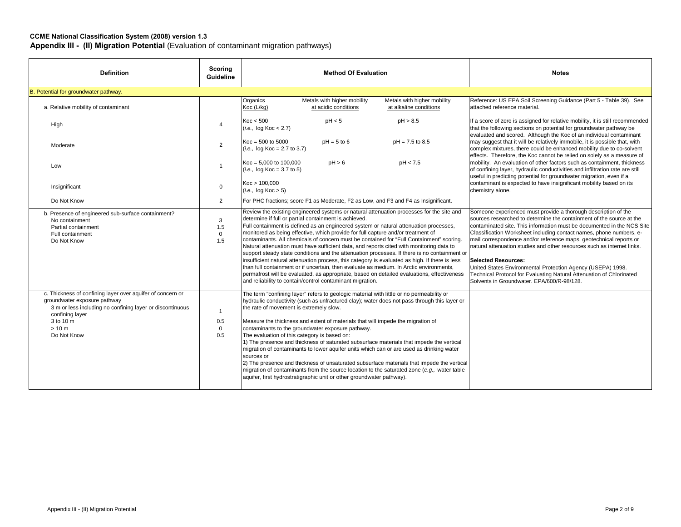#### **CCME National Classification System (2008) version 1.3**

**Appendix III - (II) Migration Potential** (Evaluation of contaminant migration pathways)

| <b>Definition</b>                                                                                                                                                                                                | Scoring<br><b>Guideline</b>               | <b>Method Of Evaluation</b>                                                                                                                                                                                                                                                                                                                                                                                                                                                                                                                                                                                                                                                                                                                                                                                                                                                                                                                                                    | <b>Notes</b>                                                                                                                                                                                                                                                                                                                                                                                                                                                                                                                                                                                                                                                |
|------------------------------------------------------------------------------------------------------------------------------------------------------------------------------------------------------------------|-------------------------------------------|--------------------------------------------------------------------------------------------------------------------------------------------------------------------------------------------------------------------------------------------------------------------------------------------------------------------------------------------------------------------------------------------------------------------------------------------------------------------------------------------------------------------------------------------------------------------------------------------------------------------------------------------------------------------------------------------------------------------------------------------------------------------------------------------------------------------------------------------------------------------------------------------------------------------------------------------------------------------------------|-------------------------------------------------------------------------------------------------------------------------------------------------------------------------------------------------------------------------------------------------------------------------------------------------------------------------------------------------------------------------------------------------------------------------------------------------------------------------------------------------------------------------------------------------------------------------------------------------------------------------------------------------------------|
| B. Potential for groundwater pathway.                                                                                                                                                                            |                                           |                                                                                                                                                                                                                                                                                                                                                                                                                                                                                                                                                                                                                                                                                                                                                                                                                                                                                                                                                                                |                                                                                                                                                                                                                                                                                                                                                                                                                                                                                                                                                                                                                                                             |
| a. Relative mobility of contaminant                                                                                                                                                                              |                                           | Organics<br>Metals with higher mobility<br>Metals with higher mobility<br>Koc (L/kg)<br>at acidic conditions<br>at alkaline conditions                                                                                                                                                                                                                                                                                                                                                                                                                                                                                                                                                                                                                                                                                                                                                                                                                                         | Reference: US EPA Soil Screening Guidance (Part 5 - Table 39). See<br>attached reference material.                                                                                                                                                                                                                                                                                                                                                                                                                                                                                                                                                          |
| High                                                                                                                                                                                                             | $\overline{4}$                            | pH < 5<br>Koc < 500<br>pH > 8.5<br>(i.e., log Koc < 2.7)                                                                                                                                                                                                                                                                                                                                                                                                                                                                                                                                                                                                                                                                                                                                                                                                                                                                                                                       | If a score of zero is assigned for relative mobility, it is still recommended<br>that the following sections on potential for groundwater pathway be                                                                                                                                                                                                                                                                                                                                                                                                                                                                                                        |
| Moderate                                                                                                                                                                                                         | $\overline{2}$                            | $Koc = 500$ to $5000$<br>$pH = 5$ to 6<br>$pH = 7.5$ to 8.5<br>$(i.e.,$ log Koc = 2.7 to 3.7)                                                                                                                                                                                                                                                                                                                                                                                                                                                                                                                                                                                                                                                                                                                                                                                                                                                                                  | evaluated and scored. Although the Koc of an individual contaminant<br>may suggest that it will be relatively immobile, it is possible that, with<br>complex mixtures, there could be enhanced mobility due to co-solvent                                                                                                                                                                                                                                                                                                                                                                                                                                   |
| Low                                                                                                                                                                                                              | $\mathbf{1}$                              | $Koc = 5,000$ to 100,000<br>pH > 6<br>pH < 7.5<br>$(i.e., log Koc = 3.7 to 5)$                                                                                                                                                                                                                                                                                                                                                                                                                                                                                                                                                                                                                                                                                                                                                                                                                                                                                                 | effects. Therefore, the Koc cannot be relied on solely as a measure of<br>mobility. An evaluation of other factors such as containment, thickness<br>of confining layer, hydraulic conductivities and infiltration rate are still                                                                                                                                                                                                                                                                                                                                                                                                                           |
| Insignificant                                                                                                                                                                                                    | $\Omega$                                  | Koc > 100.000<br>(i.e., log Koc > 5)                                                                                                                                                                                                                                                                                                                                                                                                                                                                                                                                                                                                                                                                                                                                                                                                                                                                                                                                           | useful in predicting potential for groundwater migration, even if a<br>contaminant is expected to have insignificant mobility based on its<br>chemistry alone.                                                                                                                                                                                                                                                                                                                                                                                                                                                                                              |
| Do Not Know                                                                                                                                                                                                      | $\overline{2}$                            | For PHC fractions; score F1 as Moderate, F2 as Low, and F3 and F4 as Insignificant.                                                                                                                                                                                                                                                                                                                                                                                                                                                                                                                                                                                                                                                                                                                                                                                                                                                                                            |                                                                                                                                                                                                                                                                                                                                                                                                                                                                                                                                                                                                                                                             |
| b. Presence of engineered sub-surface containment?<br>No containment<br>Partial containment<br>Full containment<br>Do Not Know                                                                                   | 3<br>1.5<br>$\Omega$<br>1.5               | Review the existing engineered systems or natural attenuation processes for the site and<br>determine if full or partial containment is achieved.<br>Full containment is defined as an engineered system or natural attenuation processes,<br>monitored as being effective, which provide for full capture and/or treatment of<br>contaminants. All chemicals of concern must be contained for "Full Containment" scoring.<br>Natural attenuation must have sufficient data, and reports cited with monitoring data to<br>support steady state conditions and the attenuation processes. If there is no containment or<br>insufficient natural attenuation process, this category is evaluated as high. If there is less<br>than full containment or if uncertain, then evaluate as medium. In Arctic environments,<br>permafrost will be evaluated, as appropriate, based on detailed evaluations, effectiveness<br>and reliability to contain/control contaminant migration. | Someone experienced must provide a thorough description of the<br>sources researched to determine the containment of the source at the<br>contaminated site. This information must be documented in the NCS Site<br>Classification Worksheet including contact names, phone numbers, e-<br>mail correspondence and/or reference maps, geotechnical reports or<br>natural attenuation studies and other resources such as internet links.<br><b>Selected Resources:</b><br>United States Environmental Protection Agency (USEPA) 1998.<br>Technical Protocol for Evaluating Natural Attenuation of Chlorinated<br>Solvents in Groundwater, EPA/600/R-98/128. |
| c. Thickness of confining layer over aquifer of concern or<br>groundwater exposure pathway<br>3 m or less including no confining layer or discontinuous<br>confining layer<br>3 to 10 m<br>> 10 m<br>Do Not Know | $\mathbf{1}$<br>0.5<br>$\mathbf 0$<br>0.5 | The term "confining layer" refers to geologic material with little or no permeability or<br>hydraulic conductivity (such as unfractured clay); water does not pass through this layer or<br>the rate of movement is extremely slow.<br>Measure the thickness and extent of materials that will impede the migration of<br>contaminants to the groundwater exposure pathway.<br>The evaluation of this category is based on:<br>1) The presence and thickness of saturated subsurface materials that impede the vertical<br>migration of contaminants to lower aquifer units which can or are used as drinking water<br>sources or<br>[2] The presence and thickness of unsaturated subsurface materials that impede the vertical<br>migration of contaminants from the source location to the saturated zone (e.g., water table<br>aquifer, first hydrostratigraphic unit or other groundwater pathway).                                                                       |                                                                                                                                                                                                                                                                                                                                                                                                                                                                                                                                                                                                                                                             |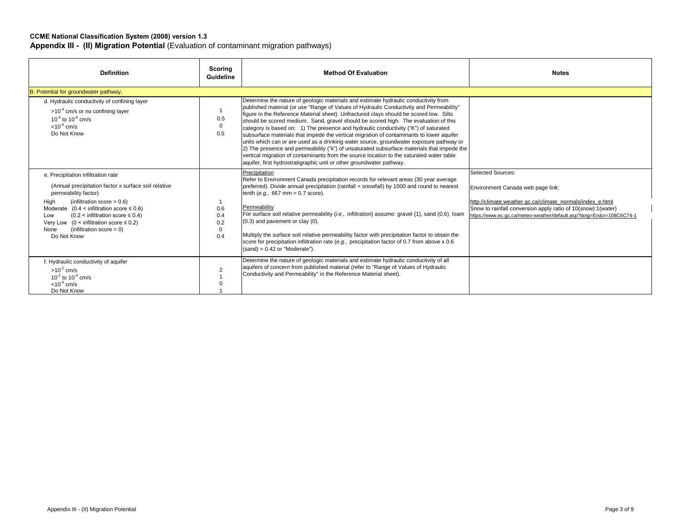#### **CCME National Classification System (2008) version 1.3 Appendix III - (II) Migration Potential** (Evaluation of contaminant migration pathways)

| <b>Definition</b>                                                                                                                                                                                                                                                                                                                                                                     | Scoring<br>Guideline                 | <b>Method Of Evaluation</b>                                                                                                                                                                                                                                                                                                                                                                                                                                                                                                                                                                                                                                                                                                                                                                                                                                                                                     | <b>Notes</b>                                                                                                                                                                                                                                                      |
|---------------------------------------------------------------------------------------------------------------------------------------------------------------------------------------------------------------------------------------------------------------------------------------------------------------------------------------------------------------------------------------|--------------------------------------|-----------------------------------------------------------------------------------------------------------------------------------------------------------------------------------------------------------------------------------------------------------------------------------------------------------------------------------------------------------------------------------------------------------------------------------------------------------------------------------------------------------------------------------------------------------------------------------------------------------------------------------------------------------------------------------------------------------------------------------------------------------------------------------------------------------------------------------------------------------------------------------------------------------------|-------------------------------------------------------------------------------------------------------------------------------------------------------------------------------------------------------------------------------------------------------------------|
| B. Potential for groundwater pathway.                                                                                                                                                                                                                                                                                                                                                 |                                      |                                                                                                                                                                                                                                                                                                                                                                                                                                                                                                                                                                                                                                                                                                                                                                                                                                                                                                                 |                                                                                                                                                                                                                                                                   |
| d. Hydraulic conductivity of confining layer<br>$>10^{-4}$ cm/s or no confining layer<br>$10^{-4}$ to $10^{-6}$ cm/s<br>$< 10^{-6}$ cm/s<br>Do Not Know                                                                                                                                                                                                                               | 0.5<br>$\mathbf 0$<br>0.5            | Determine the nature of geologic materials and estimate hydraulic conductivity from<br>published material (or use "Range of Values of Hydraulic Conductivity and Permeability"<br>figure in the Reference Material sheet). Unfractured clays should be scored low. Silts<br>should be scored medium. Sand, gravel should be scored high. The evaluation of this<br>category is based on: 1) The presence and hydraulic conductivity ("K") of saturated<br>subsurface materials that impede the vertical migration of contaminants to lower aquifer<br>units which can or are used as a drinking water source, groundwater exposure pathway or<br>2) The presence and permeability ("k") of unsaturated subsurface materials that impede the<br>vertical migration of contaminants from the source location to the saturated water table<br>aquifer, first hydrostratigraphic unit or other groundwater pathway. |                                                                                                                                                                                                                                                                   |
| e. Precipitation infiltration rate<br>(Annual precipitation factor x surface soil relative<br>permeability factor)<br>High<br>(infiltration score $> 0.6$ )<br>Moderate $(0.4 \times$ infiltration score $\leq 0.6$ )<br>$(0.2 \leq \text{infiltration score} \leq 0.4)$<br>Low<br>Very Low (0 < infiltration score $\leq$ 0.2)<br>(infiltration score = $0$ )<br>None<br>Do Not Know | 0.6<br>0.4<br>0.2<br>$\Omega$<br>0.4 | Precipitation<br>Refer to Environment Canada precipitation records for relevant areas (30 year average<br>preferred). Divide annual precipitation (rainfall + snowfall) by 1000 and round to nearest<br>tenth (e.g., 667 mm = $0.7$ score).<br>Permeability<br>For surface soil relative permeability (i.e., infiltration) assume: gravel (1), sand (0.6), loam<br>$(0.3)$ and pavement or clay $(0)$ .<br>Multiply the surface soil relative permeability factor with precipitation factor to obtain the<br>score for precipitation infiltration rate (e.g., precipitation factor of 0.7 from above $x$ 0.6<br>$(sand) = 0.42$ or "Moderate").                                                                                                                                                                                                                                                                 | <b>Selected Sources:</b><br>Environment Canada web page link:<br>http://climate.weather.gc.ca/climate_normals/index_e.html<br>Snow to rainfall conversion apply ratio of 10(snow):1(water)<br>https://www.ec.gc.ca/meteo-weather/default.asp?lang=En&n=108C6C74-1 |
| f. Hydraulic conductivity of aquifer<br>$>10^{-2}$ cm/s<br>$10^{-2}$ to $10^{-4}$ cm/s<br>$< 10^{-4}$ cm/s<br>Do Not Know                                                                                                                                                                                                                                                             | $\overline{2}$                       | Determine the nature of geologic materials and estimate hydraulic conductivity of all<br>aquifers of concern from published material (refer to "Range of Values of Hydraulic<br>Conductivity and Permeability" in the Reference Material sheet).                                                                                                                                                                                                                                                                                                                                                                                                                                                                                                                                                                                                                                                                |                                                                                                                                                                                                                                                                   |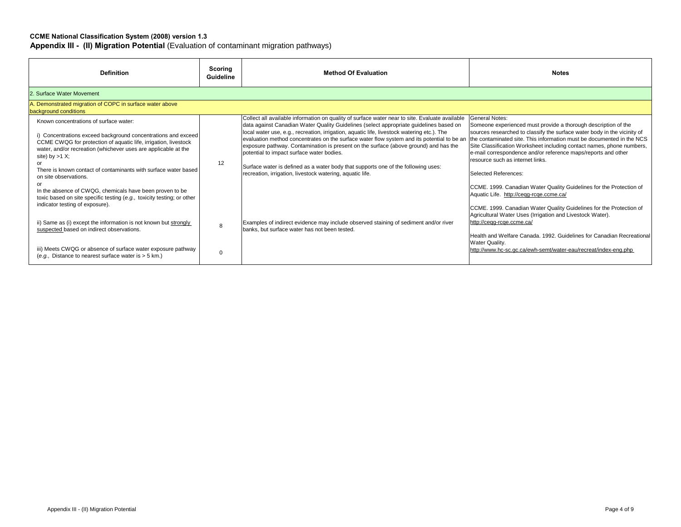#### **CCME National Classification System (2008) version 1.3**

**Appendix III - (II) Migration Potential** (Evaluation of contaminant migration pathways)

| <b>Definition</b>                                                                                                                                                                                                                                                                                                                                                                                                        | Scoring<br><b>Guideline</b> | <b>Method Of Evaluation</b>                                                                                                                                                                                                                                                                                                                                                                                                                                                                                                                                                                                                                                                 | <b>Notes</b>                                                                                                                                                                                                                                                                                                                                                                                                                                                                                                                                                         |  |  |  |  |
|--------------------------------------------------------------------------------------------------------------------------------------------------------------------------------------------------------------------------------------------------------------------------------------------------------------------------------------------------------------------------------------------------------------------------|-----------------------------|-----------------------------------------------------------------------------------------------------------------------------------------------------------------------------------------------------------------------------------------------------------------------------------------------------------------------------------------------------------------------------------------------------------------------------------------------------------------------------------------------------------------------------------------------------------------------------------------------------------------------------------------------------------------------------|----------------------------------------------------------------------------------------------------------------------------------------------------------------------------------------------------------------------------------------------------------------------------------------------------------------------------------------------------------------------------------------------------------------------------------------------------------------------------------------------------------------------------------------------------------------------|--|--|--|--|
| 2. Surface Water Movement                                                                                                                                                                                                                                                                                                                                                                                                |                             |                                                                                                                                                                                                                                                                                                                                                                                                                                                                                                                                                                                                                                                                             |                                                                                                                                                                                                                                                                                                                                                                                                                                                                                                                                                                      |  |  |  |  |
| Demonstrated migration of COPC in surface water above<br>background conditions                                                                                                                                                                                                                                                                                                                                           |                             |                                                                                                                                                                                                                                                                                                                                                                                                                                                                                                                                                                                                                                                                             |                                                                                                                                                                                                                                                                                                                                                                                                                                                                                                                                                                      |  |  |  |  |
| Known concentrations of surface water:<br>i) Concentrations exceed background concentrations and exceed<br>CCME CWQG for protection of aquatic life, irrigation, livestock<br>water, and/or recreation (whichever uses are applicable at the<br>site) by $>1$ X;<br>There is known contact of contaminants with surface water based<br>on site observations.<br>In the absence of CWQG, chemicals have been proven to be | 12                          | Collect all available information on quality of surface water near to site. Evaluate available<br>data against Canadian Water Quality Guidelines (select appropriate guidelines based on<br>local water use, e.g., recreation, irrigation, aquatic life, livestock watering etc.). The<br>evaluation method concentrates on the surface water flow system and its potential to be an<br>exposure pathway. Contamination is present on the surface (above ground) and has the<br>potential to impact surface water bodies.<br>Surface water is defined as a water body that supports one of the following uses:<br>recreation, irrigation, livestock watering, aquatic life. | <b>General Notes:</b><br>Someone experienced must provide a thorough description of the<br>sources researched to classify the surface water body in the vicinity of<br>the contaminated site. This information must be documented in the NCS<br>Site Classification Worksheet including contact names, phone numbers,<br>e-mail correspondence and/or reference maps/reports and other<br>resource such as internet links.<br>Selected References:<br>CCME. 1999. Canadian Water Quality Guidelines for the Protection of<br>Aquatic Life. http://cegg-rcge.ccme.ca/ |  |  |  |  |
| toxic based on site specific testing (e.g., toxicity testing; or other<br>indicator testing of exposure).<br>ii) Same as (i) except the information is not known but strongly<br>suspected based on indirect observations.<br>iii) Meets CWQG or absence of surface water exposure pathway<br>(e.g., Distance to nearest surface water is > 5 km.)                                                                       | 8<br>0                      | Examples of indirect evidence may include observed staining of sediment and/or river<br>banks, but surface water has not been tested.                                                                                                                                                                                                                                                                                                                                                                                                                                                                                                                                       | CCME. 1999. Canadian Water Quality Guidelines for the Protection of<br>Agricultural Water Uses (Irrigation and Livestock Water).<br>http://ceqg-rcqe.ccme.ca/<br>Health and Welfare Canada, 1992. Guidelines for Canadian Recreational<br>Water Quality.<br>http://www.hc-sc.gc.ca/ewh-semt/water-eau/recreat/index-eng.php                                                                                                                                                                                                                                          |  |  |  |  |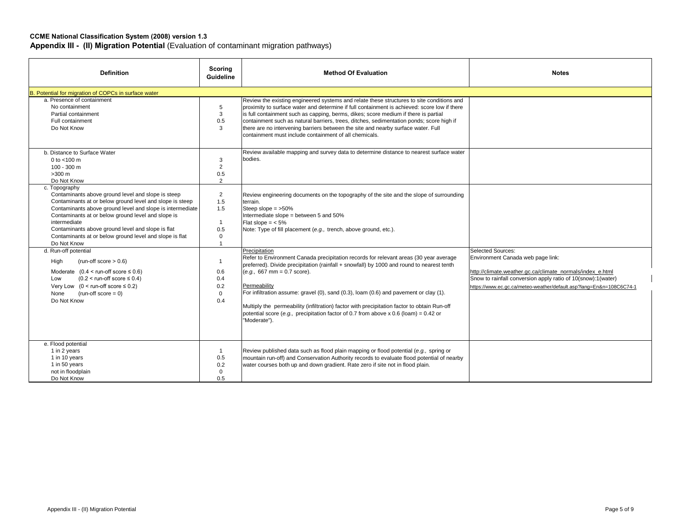| <b>Definition</b>                                                                                                                                                                                                                                                                                                                                                                                 | Scoring<br><b>Guideline</b>                                                          | <b>Method Of Evaluation</b>                                                                                                                                                                                                                                                                                                                                                                                                                                                                                                                          | <b>Notes</b>                                                                                                                                                                                                                                                      |
|---------------------------------------------------------------------------------------------------------------------------------------------------------------------------------------------------------------------------------------------------------------------------------------------------------------------------------------------------------------------------------------------------|--------------------------------------------------------------------------------------|------------------------------------------------------------------------------------------------------------------------------------------------------------------------------------------------------------------------------------------------------------------------------------------------------------------------------------------------------------------------------------------------------------------------------------------------------------------------------------------------------------------------------------------------------|-------------------------------------------------------------------------------------------------------------------------------------------------------------------------------------------------------------------------------------------------------------------|
| B. Potential for migration of COPCs in surface water                                                                                                                                                                                                                                                                                                                                              |                                                                                      |                                                                                                                                                                                                                                                                                                                                                                                                                                                                                                                                                      |                                                                                                                                                                                                                                                                   |
| a. Presence of containment<br>No containment<br>Partial containment<br>Full containment<br>Do Not Know                                                                                                                                                                                                                                                                                            | 5<br>3<br>0.5<br>3                                                                   | Review the existing engineered systems and relate these structures to site conditions and<br>proximity to surface water and determine if full containment is achieved: score low if there<br>is full containment such as capping, berms, dikes; score medium if there is partial<br>containment such as natural barriers, trees, ditches, sedimentation ponds; score high if<br>there are no intervening barriers between the site and nearby surface water. Full<br>containment must include containment of all chemicals.                          |                                                                                                                                                                                                                                                                   |
| b. Distance to Surface Water<br>0 to $<$ 100 m<br>$100 - 300$ m<br>$>300$ m<br>Do Not Know                                                                                                                                                                                                                                                                                                        | 3<br>2<br>0.5<br>2                                                                   | Review available mapping and survey data to determine distance to nearest surface water<br>bodies.                                                                                                                                                                                                                                                                                                                                                                                                                                                   |                                                                                                                                                                                                                                                                   |
| c. Topography<br>Contaminants above ground level and slope is steep<br>Contaminants at or below ground level and slope is steep<br>Contaminants above ground level and slope is intermediate<br>Contaminants at or below ground level and slope is<br>intermediate<br>Contaminants above ground level and slope is flat<br>Contaminants at or below ground level and slope is flat<br>Do Not Know | $\overline{2}$<br>1.5<br>1.5<br>$\mathbf{1}$<br>0.5<br>$\mathbf 0$<br>$\overline{1}$ | Review engineering documents on the topography of the site and the slope of surrounding<br>terrain.<br>Steep slope $=$ >50%<br>Intermediate slope = between 5 and 50%<br>Flat slope $=$ < 5%<br>Note: Type of fill placement (e.g., trench, above ground, etc.).                                                                                                                                                                                                                                                                                     |                                                                                                                                                                                                                                                                   |
| d. Run-off potential<br>High<br>(run-off score $> 0.6$ )<br>Moderate $(0.4 < \text{run-off score} \le 0.6)$<br>$(0.2 <$ run-off score $\leq 0.4$ )<br>Low<br>Very Low $(0 \leq$ run-off score $\leq 0.2$ )<br>$(run-off score = 0)$<br>None<br>Do Not Know                                                                                                                                        | $\mathbf{1}$<br>0.6<br>0.4<br>0.2<br>$\Omega$<br>0.4                                 | Precipitation<br>Refer to Environment Canada precipitation records for relevant areas (30 year average<br>preferred). Divide precipitation (rainfall + snowfall) by 1000 and round to nearest tenth<br>$(e.g., 667 mm = 0.7 score).$<br>Permeability<br>For infiltration assume: gravel (0), sand (0.3), loam (0.6) and pavement or clay (1).<br>Multiply the permeability (infiltration) factor with precipitation factor to obtain Run-off<br>potential score (e.g., precipitation factor of 0.7 from above x 0.6 (loam) = 0.42 or<br>"Moderate"). | <b>Selected Sources:</b><br>Environment Canada web page link:<br>http://climate.weather.gc.ca/climate_normals/index_e.html<br>Snow to rainfall conversion apply ratio of 10(snow):1(water)<br>https://www.ec.gc.ca/meteo-weather/default.asp?lang=En&n=108C6C74-1 |
| e. Flood potential<br>1 in 2 years<br>1 in 10 years<br>1 in 50 years<br>not in floodplain<br>Do Not Know                                                                                                                                                                                                                                                                                          | $\mathbf{1}$<br>0.5<br>0.2<br>$\Omega$<br>0.5                                        | Review published data such as flood plain mapping or flood potential (e.g., spring or<br>mountain run-off) and Conservation Authority records to evaluate flood potential of nearby<br>water courses both up and down gradient. Rate zero if site not in flood plain.                                                                                                                                                                                                                                                                                |                                                                                                                                                                                                                                                                   |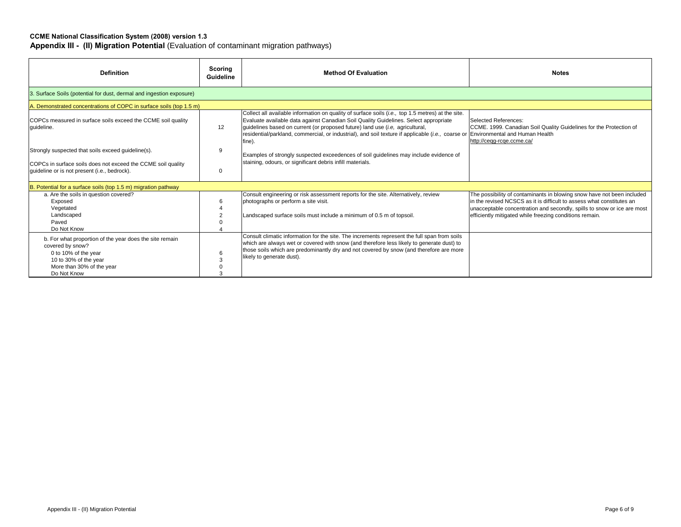| <b>Definition</b>                                                                                                                                                        | Scoring<br>Guideline | <b>Method Of Evaluation</b>                                                                                                                                                                                                                                                                                                                                                                                              | <b>Notes</b>                                                                                                                                                                                                                                                                          |  |  |
|--------------------------------------------------------------------------------------------------------------------------------------------------------------------------|----------------------|--------------------------------------------------------------------------------------------------------------------------------------------------------------------------------------------------------------------------------------------------------------------------------------------------------------------------------------------------------------------------------------------------------------------------|---------------------------------------------------------------------------------------------------------------------------------------------------------------------------------------------------------------------------------------------------------------------------------------|--|--|
| 3. Surface Soils (potential for dust, dermal and ingestion exposure)                                                                                                     |                      |                                                                                                                                                                                                                                                                                                                                                                                                                          |                                                                                                                                                                                                                                                                                       |  |  |
| A. Demonstrated concentrations of COPC in surface soils (top 1.5 m)                                                                                                      |                      |                                                                                                                                                                                                                                                                                                                                                                                                                          |                                                                                                                                                                                                                                                                                       |  |  |
| COPCs measured in surface soils exceed the CCME soil quality<br>quideline.                                                                                               | 12                   | Collect all available information on quality of surface soils (i.e., top 1.5 metres) at the site.<br>Evaluate available data against Canadian Soil Quality Guidelines. Select appropriate<br>guidelines based on current (or proposed future) land use (i.e, agricultural,<br>residential/parkland, commercial, or industrial), and soil texture if applicable (i.e., coarse or Environmental and Human Health<br>fine). | Selected References:<br>CCME. 1999. Canadian Soil Quality Guidelines for the Protection of<br>http://ceqg-rcqe.ccme.ca/                                                                                                                                                               |  |  |
| Strongly suspected that soils exceed guideline(s).                                                                                                                       | 9                    | Examples of strongly suspected exceedences of soil guidelines may include evidence of                                                                                                                                                                                                                                                                                                                                    |                                                                                                                                                                                                                                                                                       |  |  |
| COPCs in surface soils does not exceed the CCME soil quality<br>guideline or is not present (i.e., bedrock).                                                             | $\Omega$             | staining, odours, or significant debris infill materials.                                                                                                                                                                                                                                                                                                                                                                |                                                                                                                                                                                                                                                                                       |  |  |
| B. Potential for a surface soils (top 1.5 m) migration pathway                                                                                                           |                      |                                                                                                                                                                                                                                                                                                                                                                                                                          |                                                                                                                                                                                                                                                                                       |  |  |
| a. Are the soils in question covered?<br>Exposed<br>Vegetated<br>Landscaped<br>Paved<br>Do Not Know                                                                      | 6                    | Consult engineering or risk assessment reports for the site. Alternatively, review<br>photographs or perform a site visit.<br>Landscaped surface soils must include a minimum of 0.5 m of topsoil.                                                                                                                                                                                                                       | The possibility of contaminants in blowing snow have not been included<br>In the revised NCSCS as it is difficult to assess what constitutes an<br>unacceptable concentration and secondly, spills to snow or ice are most<br>efficiently mitigated while freezing conditions remain. |  |  |
| b. For what proportion of the year does the site remain<br>covered by snow?<br>0 to 10% of the year<br>10 to 30% of the year<br>More than 30% of the year<br>Do Not Know | 6                    | Consult climatic information for the site. The increments represent the full span from soils<br>which are always wet or covered with snow (and therefore less likely to generate dust) to<br>those soils which are predominantly dry and not covered by snow (and therefore are more<br>likely to generate dust).                                                                                                        |                                                                                                                                                                                                                                                                                       |  |  |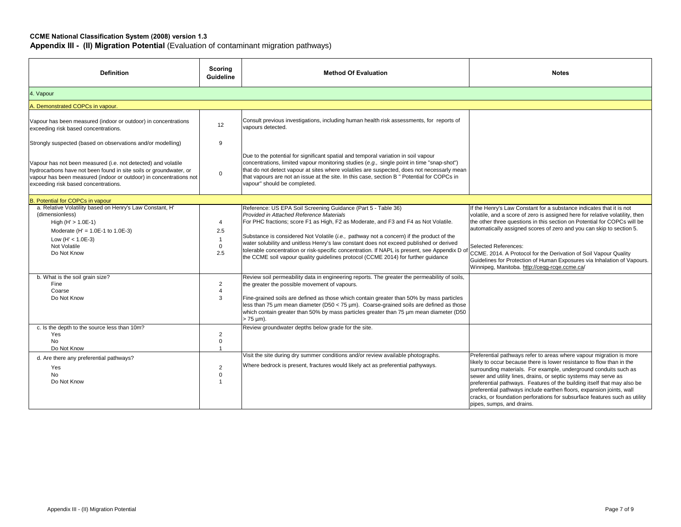| <b>Definition</b>                                                                                                                                                                                                                                | Scoring<br><b>Guideline</b>                          | <b>Method Of Evaluation</b>                                                                                                                                                                                                                                                                                                                                                                                                                                                                                                                                                   | <b>Notes</b>                                                                                                                                                                                                                                                                                                                                                                                                                                                                                                                                      |
|--------------------------------------------------------------------------------------------------------------------------------------------------------------------------------------------------------------------------------------------------|------------------------------------------------------|-------------------------------------------------------------------------------------------------------------------------------------------------------------------------------------------------------------------------------------------------------------------------------------------------------------------------------------------------------------------------------------------------------------------------------------------------------------------------------------------------------------------------------------------------------------------------------|---------------------------------------------------------------------------------------------------------------------------------------------------------------------------------------------------------------------------------------------------------------------------------------------------------------------------------------------------------------------------------------------------------------------------------------------------------------------------------------------------------------------------------------------------|
| 4. Vapour                                                                                                                                                                                                                                        |                                                      |                                                                                                                                                                                                                                                                                                                                                                                                                                                                                                                                                                               |                                                                                                                                                                                                                                                                                                                                                                                                                                                                                                                                                   |
| A. Demonstrated COPCs in vapour.                                                                                                                                                                                                                 |                                                      |                                                                                                                                                                                                                                                                                                                                                                                                                                                                                                                                                                               |                                                                                                                                                                                                                                                                                                                                                                                                                                                                                                                                                   |
| Vapour has been measured (indoor or outdoor) in concentrations<br>exceeding risk based concentrations.                                                                                                                                           | 12                                                   | Consult previous investigations, including human health risk assessments, for reports of<br>vapours detected.                                                                                                                                                                                                                                                                                                                                                                                                                                                                 |                                                                                                                                                                                                                                                                                                                                                                                                                                                                                                                                                   |
| Strongly suspected (based on observations and/or modelling)                                                                                                                                                                                      | 9                                                    |                                                                                                                                                                                                                                                                                                                                                                                                                                                                                                                                                                               |                                                                                                                                                                                                                                                                                                                                                                                                                                                                                                                                                   |
| Vapour has not been measured (i.e. not detected) and volatile<br>hydrocarbons have not been found in site soils or groundwater, or<br>vapour has been measured (indoor or outdoor) in concentrations not<br>exceeding risk based concentrations. | 0                                                    | Due to the potential for significant spatial and temporal variation in soil vapour<br>concentrations, limited vapour monitoring studies (e.g., single point in time "snap-shot")<br>that do not detect vapour at sites where volatiles are suspected, does not necessarly mean<br>that vapours are not an issue at the site. In this case, section B " Potential for COPCs in<br>vapour" should be completed.                                                                                                                                                                 |                                                                                                                                                                                                                                                                                                                                                                                                                                                                                                                                                   |
| <b>B. Potential for COPCs in vapour</b>                                                                                                                                                                                                          |                                                      |                                                                                                                                                                                                                                                                                                                                                                                                                                                                                                                                                                               |                                                                                                                                                                                                                                                                                                                                                                                                                                                                                                                                                   |
| a. Relative Volatility based on Henry's Law Constant, H'<br>(dimensionless)<br>High $(H' > 1.0E-1)$<br>Moderate (H' = $1.0E-1$ to $1.0E-3$ )<br>Low (H' < $1.0E-3$ )<br>Not Volatile<br>Do Not Know                                              | 4<br>$2.5\,$<br>$\overline{1}$<br>$\mathbf 0$<br>2.5 | Reference: US EPA Soil Screening Guidance (Part 5 - Table 36)<br>Provided in Attached Reference Materials<br>For PHC fractions; score F1 as High, F2 as Moderate, and F3 and F4 as Not Volatile.<br>Substance is considered Not Volatile (i.e., pathway not a concern) if the product of the<br>water solubility and unitless Henry's law constant does not exceed published or derived<br>tolerable concentration or risk-specific concentration. If NAPL is present, see Appendix D of<br>the CCME soil vapour quality guidelines protocol (CCME 2014) for further guidance | If the Henry's Law Constant for a substance indicates that it is not<br>volatile, and a score of zero is assigned here for relative volatility, then<br>the other three questions in this section on Potential for COPCs will be<br>automatically assigned scores of zero and you can skip to section 5.<br><b>Selected References:</b><br>CCME. 2014. A Protocol for the Derivation of Soil Vapour Quality<br>Guidelines for Protection of Human Exposures via Inhalation of Vapours.<br>Winnipeg, Manitoba. http://cegg-rcge.ccme.ca/           |
| b. What is the soil grain size?<br>Fine<br>Coarse<br>Do Not Know                                                                                                                                                                                 | $\overline{2}$<br>$\overline{4}$<br>3                | Review soil permeability data in engineering reports. The greater the permeability of soils,<br>the greater the possible movement of vapours.<br>Fine-grained soils are defined as those which contain greater than 50% by mass particles<br>less than 75 µm mean diameter (D50 < 75 µm). Coarse-grained soils are defined as those<br>which contain greater than 50% by mass particles greater than 75 um mean diameter (D50<br>> 75 µm).                                                                                                                                    |                                                                                                                                                                                                                                                                                                                                                                                                                                                                                                                                                   |
| c. Is the depth to the source less than 10m?<br>Yes<br>No<br>Do Not Know                                                                                                                                                                         | $\overline{2}$<br>0<br>$\overline{1}$                | Review groundwater depths below grade for the site.                                                                                                                                                                                                                                                                                                                                                                                                                                                                                                                           |                                                                                                                                                                                                                                                                                                                                                                                                                                                                                                                                                   |
| d. Are there any preferential pathways?<br>Yes<br>No<br>Do Not Know                                                                                                                                                                              | $\overline{2}$<br>$\mathbf 0$<br>$\overline{1}$      | Visit the site during dry summer conditions and/or review available photographs.<br>Where bedrock is present, fractures would likely act as preferential pathyways.                                                                                                                                                                                                                                                                                                                                                                                                           | Preferential pathways refer to areas where vapour migration is more<br>likely to occur because there is lower resistance to flow than in the<br>surrounding materials. For example, underground conduits such as<br>sewer and utility lines, drains, or septic systems may serve as<br>preferential pathways. Features of the building itself that may also be<br>preferential pathways include earthen floors, expansion joints, wall<br>cracks, or foundation perforations for subsurface features such as utility<br>pipes, sumps, and drains. |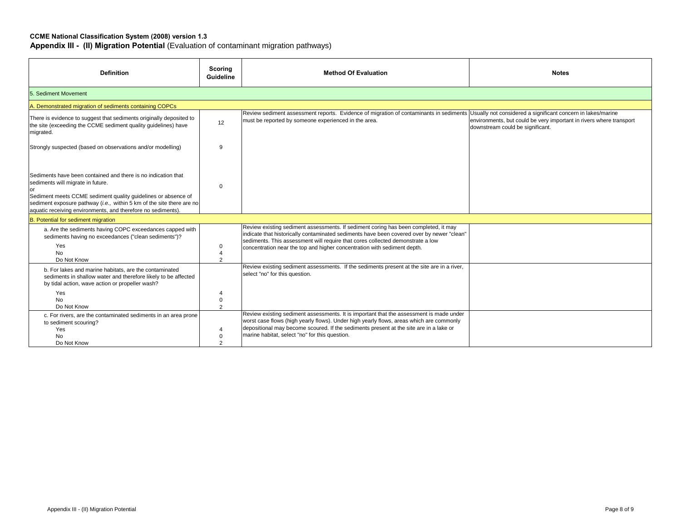| <b>Definition</b>                                                                                                                                                                                                                                                                                            | Scoring<br><b>Guideline</b>  | <b>Method Of Evaluation</b>                                                                                                                                                                                                                                                                                                                    | <b>Notes</b>                                                                                            |
|--------------------------------------------------------------------------------------------------------------------------------------------------------------------------------------------------------------------------------------------------------------------------------------------------------------|------------------------------|------------------------------------------------------------------------------------------------------------------------------------------------------------------------------------------------------------------------------------------------------------------------------------------------------------------------------------------------|---------------------------------------------------------------------------------------------------------|
| 5. Sediment Movement                                                                                                                                                                                                                                                                                         |                              |                                                                                                                                                                                                                                                                                                                                                |                                                                                                         |
| A. Demonstrated migration of sediments containing COPCs                                                                                                                                                                                                                                                      |                              |                                                                                                                                                                                                                                                                                                                                                |                                                                                                         |
| There is evidence to suggest that sediments originally deposited to<br>the site (exceeding the CCME sediment quality guidelines) have<br>migrated.                                                                                                                                                           | 12 <sup>°</sup>              | Review sediment assessment reports. Evidence of migration of contaminants in sediments Usually not considered a significant concern in lakes/marine<br>must be reported by someone experienced in the area.                                                                                                                                    | environments, but could be very important in rivers where transport<br>downstream could be significant. |
| Strongly suspected (based on observations and/or modelling)                                                                                                                                                                                                                                                  | 9                            |                                                                                                                                                                                                                                                                                                                                                |                                                                                                         |
| Sediments have been contained and there is no indication that<br>sediments will migrate in future.<br>Sediment meets CCME sediment quality quidelines or absence of<br>sediment exposure pathway (i.e., within 5 km of the site there are no<br>aquatic receiving environments, and therefore no sediments). | $\Omega$                     |                                                                                                                                                                                                                                                                                                                                                |                                                                                                         |
| B. Potential for sediment migration                                                                                                                                                                                                                                                                          |                              |                                                                                                                                                                                                                                                                                                                                                |                                                                                                         |
| a. Are the sediments having COPC exceedances capped with<br>sediments having no exceedances ("clean sediments")?<br>Yes<br><b>No</b><br>Do Not Know                                                                                                                                                          | $\mathbf 0$<br>$\mathcal{D}$ | Review existing sediment assessments. If sediment coring has been completed, it may<br>indicate that historically contaminated sediments have been covered over by newer "clean"<br>sediments. This assessment will require that cores collected demonstrate a low<br>concentration near the top and higher concentration with sediment depth. |                                                                                                         |
| b. For lakes and marine habitats, are the contaminated<br>sediments in shallow water and therefore likely to be affected<br>by tidal action, wave action or propeller wash?                                                                                                                                  |                              | select "no" for this question.                                                                                                                                                                                                                                                                                                                 |                                                                                                         |
| Yes                                                                                                                                                                                                                                                                                                          | $\overline{4}$               |                                                                                                                                                                                                                                                                                                                                                |                                                                                                         |
| Do Not Know                                                                                                                                                                                                                                                                                                  | $\overline{2}$               |                                                                                                                                                                                                                                                                                                                                                |                                                                                                         |
| c. For rivers, are the contaminated sediments in an area prone<br>to sediment scouring?<br>Yes<br><b>No</b>                                                                                                                                                                                                  | $\overline{4}$<br>0          | Review existing sediment assessments. It is important that the assessment is made under<br>worst case flows (high yearly flows). Under high yearly flows, areas which are commonly<br>depositional may become scoured. If the sediments present at the site are in a lake or<br>marine habitat, select "no" for this question.                 |                                                                                                         |
| <b>No</b><br>Do Not Know                                                                                                                                                                                                                                                                                     | $\mathbf 0$                  | Review existing sediment assessments. If the sediments present at the site are in a river,                                                                                                                                                                                                                                                     |                                                                                                         |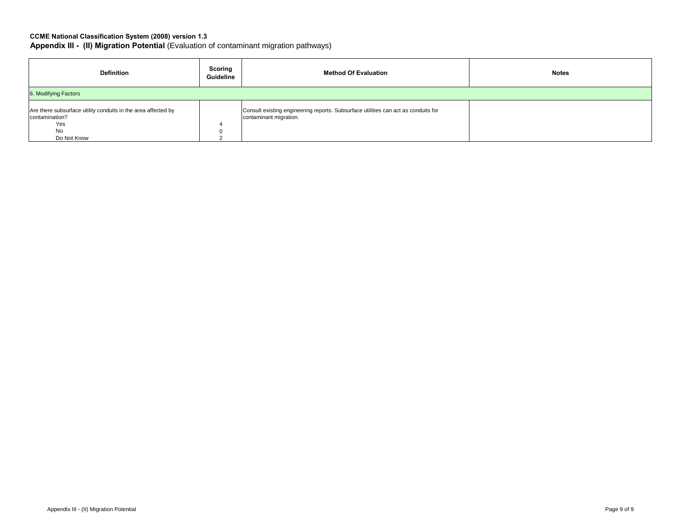| Definition                                                                                                  | Scoring<br>Guideline | <b>Method Of Evaluation</b>                                                                                  | <b>Notes</b> |
|-------------------------------------------------------------------------------------------------------------|----------------------|--------------------------------------------------------------------------------------------------------------|--------------|
| 6. Modifying Factors                                                                                        |                      |                                                                                                              |              |
| Are there subsurface utility conduits in the area affected by<br>contamination?<br>Yes<br>No<br>Do Not Know |                      | Consult existing engineering reports. Subsurface utilities can act as conduits for<br>contaminant migration. |              |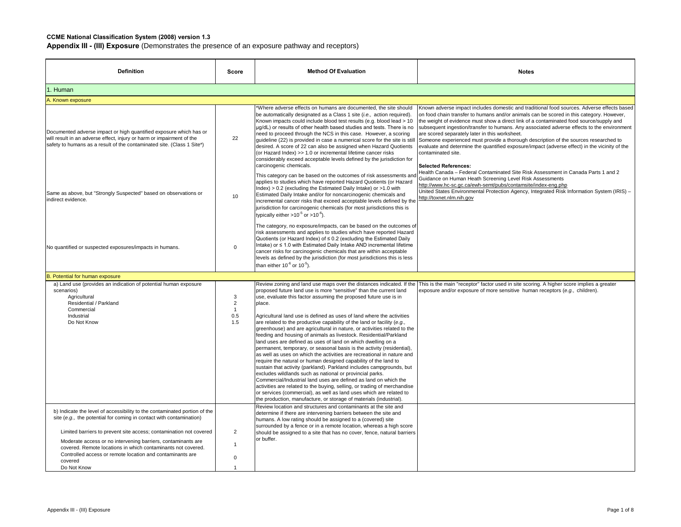| <b>Definition</b>                                                                                                                                                                                                                                                          | Score                                               | <b>Method Of Evaluation</b>                                                                                                                                                                                                                                                                                                                                                                                                                                                                                                                                                                                                                                                                                                                                                                                                                                                                                                                                                                                                                                                                                                                                                                                                                           | <b>Notes</b>                                                                                                                                                                                                                                                                                                                                                                                                                                                                                                                                                                                                                                                                    |
|----------------------------------------------------------------------------------------------------------------------------------------------------------------------------------------------------------------------------------------------------------------------------|-----------------------------------------------------|-------------------------------------------------------------------------------------------------------------------------------------------------------------------------------------------------------------------------------------------------------------------------------------------------------------------------------------------------------------------------------------------------------------------------------------------------------------------------------------------------------------------------------------------------------------------------------------------------------------------------------------------------------------------------------------------------------------------------------------------------------------------------------------------------------------------------------------------------------------------------------------------------------------------------------------------------------------------------------------------------------------------------------------------------------------------------------------------------------------------------------------------------------------------------------------------------------------------------------------------------------|---------------------------------------------------------------------------------------------------------------------------------------------------------------------------------------------------------------------------------------------------------------------------------------------------------------------------------------------------------------------------------------------------------------------------------------------------------------------------------------------------------------------------------------------------------------------------------------------------------------------------------------------------------------------------------|
| 1. Human                                                                                                                                                                                                                                                                   |                                                     |                                                                                                                                                                                                                                                                                                                                                                                                                                                                                                                                                                                                                                                                                                                                                                                                                                                                                                                                                                                                                                                                                                                                                                                                                                                       |                                                                                                                                                                                                                                                                                                                                                                                                                                                                                                                                                                                                                                                                                 |
| A. Known exposure                                                                                                                                                                                                                                                          |                                                     |                                                                                                                                                                                                                                                                                                                                                                                                                                                                                                                                                                                                                                                                                                                                                                                                                                                                                                                                                                                                                                                                                                                                                                                                                                                       |                                                                                                                                                                                                                                                                                                                                                                                                                                                                                                                                                                                                                                                                                 |
| Documented adverse impact or high quantified exposure which has or<br>will result in an adverse effect, injury or harm or impairment of the<br>safety to humans as a result of the contaminated site. (Class 1 Site*)                                                      | 22                                                  | *Where adverse effects on humans are documented, the site should<br>be automatically designated as a Class 1 site (i.e., action required).<br>Known impacts could include blood test results (e.g. blood lead > 10<br>ug/dL) or results of other health based studies and tests. There is no<br>need to proceed through the NCS in this case. However, a scoring<br>guideline (22) is provided in case a numerical score for the site is still<br>desired. A score of 22 can also be assigned when Hazard Quotients<br>(or Hazard Index) >> 1.0 or incremental lifetime cancer risks<br>considerably exceed acceptable levels defined by the jurisdiction for<br>carcinogenic chemicals.                                                                                                                                                                                                                                                                                                                                                                                                                                                                                                                                                              | Known adverse impact includes domestic and traditional food sources. Adverse effects based<br>on food chain transfer to humans and/or animals can be scored in this category. However,<br>the weight of evidence must show a direct link of a contaminated food source/supply and<br>subsequent ingestion/transfer to humans. Any associated adverse effects to the environment<br>are scored separately later in this worksheet.<br>Someone experienced must provide a thorough description of the sources researched to<br>evaluate and determine the quantified exposure/impact (adverse effect) in the vicinity of the<br>contaminated site.<br><b>Selected References:</b> |
| Same as above, but "Strongly Suspected" based on observations or<br>indirect evidence.                                                                                                                                                                                     | 10                                                  | This category can be based on the outcomes of risk assessments and<br>applies to studies which have reported Hazard Quotients (or Hazard<br>Index) > 0.2 (excluding the Estimated Daily Intake) or >1.0 with<br>Estimated Daily Intake and/or for noncarcinogenic chemicals and<br>incremental cancer risks that exceed acceptable levels defined by the<br>jurisdiction for carcinogenic chemicals (for most jurisdictions this is<br>typically either $>10^{-5}$ or $>10^{-6}$ ).                                                                                                                                                                                                                                                                                                                                                                                                                                                                                                                                                                                                                                                                                                                                                                   | Health Canada - Federal Contaminated Site Risk Assessment in Canada Parts 1 and 2<br>Guidance on Human Heath Screening Level Risk Assessments<br>http://www.hc-sc.gc.ca/ewh-semt/pubs/contamsite/index-eng.php<br>United States Environmental Protection Agency, Integrated Risk Information System (IRIS) -<br>http://toxnet.nlm.nih.gov                                                                                                                                                                                                                                                                                                                                       |
| No quantified or suspected exposures/impacts in humans.                                                                                                                                                                                                                    | $\Omega$                                            | The category, no exposure/impacts, can be based on the outcomes of<br>risk assessments and applies to studies which have reported Hazard<br>Quotients (or Hazard Index) of $\leq$ 0.2 (excluding the Estimated Daily<br>Intake) or ≤ 1.0 with Estimated Daily Intake AND incremental lifetime<br>cancer risks for carcinogenic chemicals that are within acceptable<br>levels as defined by the jurisdiction (for most jurisdictions this is less<br>than either $10^{-6}$ or $10^{-5}$ ).                                                                                                                                                                                                                                                                                                                                                                                                                                                                                                                                                                                                                                                                                                                                                            |                                                                                                                                                                                                                                                                                                                                                                                                                                                                                                                                                                                                                                                                                 |
| 3. Potential for human exposure                                                                                                                                                                                                                                            |                                                     |                                                                                                                                                                                                                                                                                                                                                                                                                                                                                                                                                                                                                                                                                                                                                                                                                                                                                                                                                                                                                                                                                                                                                                                                                                                       |                                                                                                                                                                                                                                                                                                                                                                                                                                                                                                                                                                                                                                                                                 |
| a) Land use (provides an indication of potential human exposure<br>scenarios)<br>Agricultural<br>Residential / Parkland<br>Commercial<br>Industrial<br>Do Not Know                                                                                                         | 3<br>$\overline{2}$<br>$\overline{1}$<br>0.5<br>1.5 | Review zoning and land use maps over the distances indicated. If the<br>proposed future land use is more "sensitive" than the current land<br>use, evaluate this factor assuming the proposed future use is in<br>place.<br>Agricultural land use is defined as uses of land where the activities<br>are related to the productive capability of the land or facility (e.g.,<br>greenhouse) and are agricultural in nature, or activities related to the<br>feeding and housing of animals as livestock. Residential/Parkland<br>land uses are defined as uses of land on which dwelling on a<br>permanent, temporary, or seasonal basis is the activity (residential),<br>as well as uses on which the activities are recreational in nature and<br>require the natural or human designed capability of the land to<br>sustain that activity (parkland). Parkland includes campgrounds, but<br>excludes wildlands such as national or provincial parks.<br>Commercial/Industrial land uses are defined as land on which the<br>activities are related to the buying, selling, or trading of merchandise<br>or services (commercial), as well as land uses which are related to<br>the production, manufacture, or storage of materials (industrial). | This is the main "receptor" factor used in site scoring. A higher score implies a greater<br>exposure and/or exposure of more sensitive human receptors (e.g., children).                                                                                                                                                                                                                                                                                                                                                                                                                                                                                                       |
| b) Indicate the level of accessibility to the contaminated portion of the<br>site (e.g., the potential for coming in contact with contamination)                                                                                                                           |                                                     | Review location and structures and contaminants at the site and<br>determine if there are intervening barriers between the site and<br>humans. A low rating should be assigned to a (covered) site<br>surrounded by a fence or in a remote location, whereas a high score                                                                                                                                                                                                                                                                                                                                                                                                                                                                                                                                                                                                                                                                                                                                                                                                                                                                                                                                                                             |                                                                                                                                                                                                                                                                                                                                                                                                                                                                                                                                                                                                                                                                                 |
| Limited barriers to prevent site access; contamination not covered<br>Moderate access or no intervening barriers, contaminants are<br>covered. Remote locations in which contaminants not covered.<br>Controlled access or remote location and contaminants are<br>covered | $\overline{2}$<br>$\overline{1}$<br>$\Omega$        | should be assigned to a site that has no cover, fence, natural barriers<br>or buffer.                                                                                                                                                                                                                                                                                                                                                                                                                                                                                                                                                                                                                                                                                                                                                                                                                                                                                                                                                                                                                                                                                                                                                                 |                                                                                                                                                                                                                                                                                                                                                                                                                                                                                                                                                                                                                                                                                 |
| Do Not Know                                                                                                                                                                                                                                                                | $\overline{1}$                                      |                                                                                                                                                                                                                                                                                                                                                                                                                                                                                                                                                                                                                                                                                                                                                                                                                                                                                                                                                                                                                                                                                                                                                                                                                                                       |                                                                                                                                                                                                                                                                                                                                                                                                                                                                                                                                                                                                                                                                                 |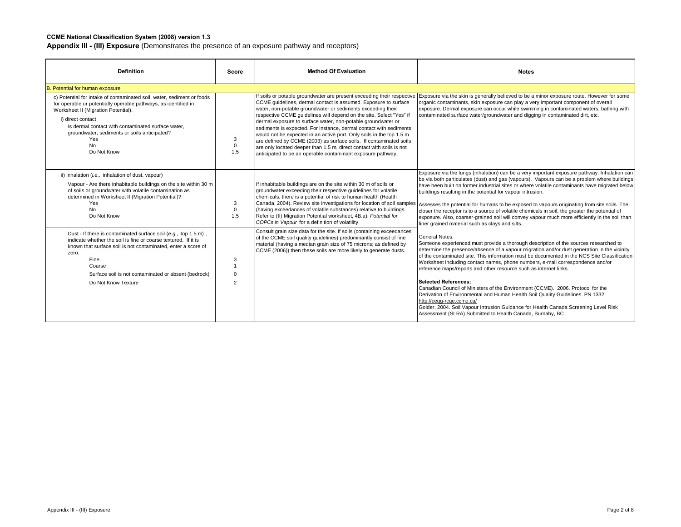| <b>Definition</b>                                                                                                                                                                                                                                                                                                                              | Score                                                | <b>Method Of Evaluation</b>                                                                                                                                                                                                                                                                                                                                                                                                                                                                                                                                                                                                      | <b>Notes</b>                                                                                                                                                                                                                                                                                                                                                                                                                                                                                                                                                                                                                                                                                                                                                                                                                                             |
|------------------------------------------------------------------------------------------------------------------------------------------------------------------------------------------------------------------------------------------------------------------------------------------------------------------------------------------------|------------------------------------------------------|----------------------------------------------------------------------------------------------------------------------------------------------------------------------------------------------------------------------------------------------------------------------------------------------------------------------------------------------------------------------------------------------------------------------------------------------------------------------------------------------------------------------------------------------------------------------------------------------------------------------------------|----------------------------------------------------------------------------------------------------------------------------------------------------------------------------------------------------------------------------------------------------------------------------------------------------------------------------------------------------------------------------------------------------------------------------------------------------------------------------------------------------------------------------------------------------------------------------------------------------------------------------------------------------------------------------------------------------------------------------------------------------------------------------------------------------------------------------------------------------------|
| B. Potential for human exposure                                                                                                                                                                                                                                                                                                                |                                                      |                                                                                                                                                                                                                                                                                                                                                                                                                                                                                                                                                                                                                                  |                                                                                                                                                                                                                                                                                                                                                                                                                                                                                                                                                                                                                                                                                                                                                                                                                                                          |
| c) Potential for intake of contaminated soil, water, sediment or foods<br>for operable or potentially operable pathways, as identified in<br>Worksheet II (Migration Potential).<br>i) direct contact<br>Is dermal contact with contaminated surface water.<br>groundwater, sediments or soils anticipated?<br>Yes<br><b>No</b><br>Do Not Know | 3<br>$\mathbf 0$<br>1.5                              | CCME guidelines, dermal contact is assumed. Exposure to surface<br>water, non-potable groundwater or sediments exceeding their<br>respective CCME quidelines will depend on the site. Select "Yes" if<br>dermal exposure to surface water, non-potable groundwater or<br>sediments is expected. For instance, dermal contact with sediments<br>would not be expected in an active port. Only soils in the top 1.5 m<br>are defined by CCME (2003) as surface soils. If contaminated soils<br>are only located deeper than 1.5 m, direct contact with soils is not<br>anticipated to be an operable contaminant exposure pathway. | If soils or potable groundwater are present exceeding their respective Exposure via the skin is generally believed to be a minor exposure route. However for some<br>organic contaminants, skin exposure can play a very important component of overall<br>exposure. Dermal exposure can occur while swimming in contaminated waters, bathing with<br>contaminated surface water/groundwater and digging in contaminated dirt, etc.                                                                                                                                                                                                                                                                                                                                                                                                                      |
| ii) inhalation (i.e., inhalation of dust, vapour)<br>Vapour - Are there inhabitable buildings on the site within 30 m<br>of soils or groundwater with volatile contamination as<br>determined in Worksheet II (Migration Potential)?<br>Yes<br><b>No</b><br>Do Not Know                                                                        | 3<br>$\mathbf 0$<br>1.5                              | If inhabitable buildings are on the site within 30 m of soils or<br>groundwater exceeding their respective quidelines for volatile<br>chemicals, there is a potential of risk to human health (Health<br>Canada, 2004). Review site investigations for location of soil samples<br>(having exceedances of volatile substances) relative to buildings.<br>Refer to (II) Migration Potential worksheet, 4B.a), Potential for<br>COPCs in Vapour for a definition of volatility.                                                                                                                                                    | Exposure via the lungs (inhalation) can be a very important exposure pathway. Inhalation can<br>be via both particulates (dust) and gas (vapours). Vapours can be a problem where buildings<br>have been built on former industrial sites or where volatile contaminants have migrated below<br>buildings resulting in the potential for vapour intrusion.<br>Assesses the potential for humans to be exposed to vapours originating from site soils. The<br>closer the receptor is to a source of volatile chemicals in soil, the greater the potential of<br>exposure. Also, coarser-grained soil will convey vapour much more efficiently in the soil than<br>finer grained material such as clays and silts.                                                                                                                                         |
| Dust - If there is contaminated surface soil (e.g., top 1.5 m),<br>indicate whether the soil is fine or coarse textured. If it is<br>known that surface soil is not contaminated, enter a score of<br>zero.<br>Fine<br>Coarse<br>Surface soil is not contaminated or absent (bedrock)<br>Do Not Know Texture                                   | 3<br>$\overline{1}$<br>$\mathbf 0$<br>$\overline{2}$ | Consult grain size data for the site. If soils (containing exceedances<br>of the CCME soil quality guidelines) predominantly consist of fine<br>material (having a median grain size of 75 microns; as defined by<br>CCME (2006)) then these soils are more likely to generate dusts.                                                                                                                                                                                                                                                                                                                                            | <b>General Notes:</b><br>Someone experienced must provide a thorough description of the sources researched to<br>determine the presence/absence of a vapour migration and/or dust generation in the vicinity<br>of the contaminated site. This information must be documented in the NCS Site Classification<br>Worksheet including contact names, phone numbers, e-mail correspondence and/or<br>reference maps/reports and other resource such as internet links.<br><b>Selected References:</b><br>Canadian Council of Ministers of the Environment (CCME). 2006. Protocol for the<br>Derivation of Environmental and Human Health Soil Quality Guidelines. PN 1332.<br>http://ceqq-rcqe.ccme.ca/<br>Golder, 2004. Soil Vapour Intrusion Guidance for Health Canada Screening Level Risk<br>Assessment (SLRA) Submitted to Health Canada, Burnaby, BC |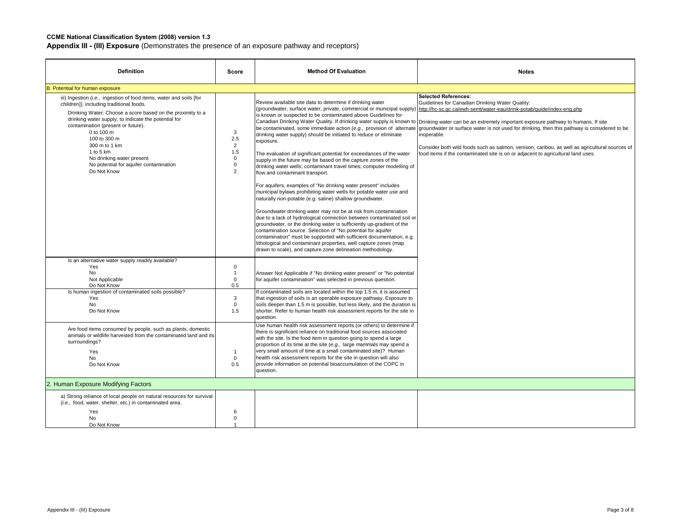| <b>Definition</b>                                                                                                                                                                                                                                                                                                                                                                                                               | Score                                                                             | <b>Method Of Evaluation</b>                                                                                                                                                                                                                                                                                                                                                                                                                                                                                                                                                                                                                                                                                                                                                                                                                                                                                                                                                                                                                                                                                                                                           | <b>Notes</b>                                                                                                                                                                                                                                                                                                                                                                                                                                                                                                                                                                                                                                                                                                                                                      |
|---------------------------------------------------------------------------------------------------------------------------------------------------------------------------------------------------------------------------------------------------------------------------------------------------------------------------------------------------------------------------------------------------------------------------------|-----------------------------------------------------------------------------------|-----------------------------------------------------------------------------------------------------------------------------------------------------------------------------------------------------------------------------------------------------------------------------------------------------------------------------------------------------------------------------------------------------------------------------------------------------------------------------------------------------------------------------------------------------------------------------------------------------------------------------------------------------------------------------------------------------------------------------------------------------------------------------------------------------------------------------------------------------------------------------------------------------------------------------------------------------------------------------------------------------------------------------------------------------------------------------------------------------------------------------------------------------------------------|-------------------------------------------------------------------------------------------------------------------------------------------------------------------------------------------------------------------------------------------------------------------------------------------------------------------------------------------------------------------------------------------------------------------------------------------------------------------------------------------------------------------------------------------------------------------------------------------------------------------------------------------------------------------------------------------------------------------------------------------------------------------|
| B. Potential for human exposure                                                                                                                                                                                                                                                                                                                                                                                                 |                                                                                   |                                                                                                                                                                                                                                                                                                                                                                                                                                                                                                                                                                                                                                                                                                                                                                                                                                                                                                                                                                                                                                                                                                                                                                       |                                                                                                                                                                                                                                                                                                                                                                                                                                                                                                                                                                                                                                                                                                                                                                   |
| iii) Ingestion (i.e., ingestion of food items, water and soils [for<br>children]), including traditional foods.<br>Drinking Water: Choose a score based on the proximity to a<br>drinking water supply, to indicate the potential for<br>contamination (present or future).<br>0 to 100 m<br>100 to 300 m<br>300 m to 1 km<br>1 to 5 $km$<br>No drinking water present<br>No potential for aquifer contamination<br>Do Not Know | 3<br>2.5<br>$\overline{2}$<br>1.5<br>$\mathbf 0$<br>$\mathsf 0$<br>$\overline{2}$ | Review available site data to determine if drinking water<br>is known or suspected to be contaminated above Guidelines for<br>drinking water supply) should be initiated to reduce or eliminate<br>exposure.<br>The evaluation of significant potential for exceedances of the water<br>supply in the future may be based on the capture zones of the<br>drinking water wells; contaminant travel times; computer modelling of<br>flow and contaminant transport.<br>For aquifers, examples of "No drinking water present" includes<br>municipal bylaws prohibiting water wells for potable water use and<br>naturally non-potable (e.g. saline) shallow groundwater.<br>Groundwater drinking water may not be at risk from contamination<br>due to a lack of hydrological connection between contaminated soil or<br>groundwater, or the drinking water is sufficiently up-gradient of the<br>contamination source. Selection of "No potential for aquifer<br>contamination" must be supported with sufficient documentation, e.g.<br>lithological and contaminant properties, well capture zones (map<br>drawn to scale), and capture zone delineation methodology. | <b>Selected References:</b><br>Guidelines for Canadian Drinking Water Quality:<br>(groundwater, surface water, private, commercial or municipal supply)  http://hc-sc.gc.ca/ewh-semt/water-eau/drink-potab/quide/index-eng.php<br>Canadian Drinking Water Quality. If drinking water supply is known to Drinking water can be an extremely important exposure pathway to humans. If site<br>be contaminated, some immediate action (e.g., provision of alternate groundwater or surface water is not used for drinking, then this pathway is considered to be<br>inoperable.<br>Consider both wild foods such as salmon, venison, caribou, as well as agricultural sources of<br>food items if the contaminated site is on or adjacent to agricultural land uses. |
| Is an alternative water supply readily available?<br>Yes<br><b>No</b><br>Not Applicable<br>Do Not Know                                                                                                                                                                                                                                                                                                                          | $\mathbf 0$<br>$\mathbf{1}$<br>$\mathbf 0$<br>0.5                                 | Answer Not Applicable if "No drinking water present" or "No potential<br>for aquifer contamination" was selected in previous question.                                                                                                                                                                                                                                                                                                                                                                                                                                                                                                                                                                                                                                                                                                                                                                                                                                                                                                                                                                                                                                |                                                                                                                                                                                                                                                                                                                                                                                                                                                                                                                                                                                                                                                                                                                                                                   |
| Is human ingestion of contaminated soils possible?<br>Yes<br><b>No</b><br>Do Not Know                                                                                                                                                                                                                                                                                                                                           | 3<br>$\mathbf 0$<br>1.5                                                           | If contaminated soils are located within the top 1.5 m, it is assumed<br>that ingestion of soils is an operable exposure pathway. Exposure to<br>soils deeper than 1.5 m is possible, but less likely, and the duration is<br>shorter. Refer to human health risk assessment reports for the site in<br>question.                                                                                                                                                                                                                                                                                                                                                                                                                                                                                                                                                                                                                                                                                                                                                                                                                                                     |                                                                                                                                                                                                                                                                                                                                                                                                                                                                                                                                                                                                                                                                                                                                                                   |
| Are food items consumed by people, such as plants, domestic<br>animals or wildlife harvested from the contaminated land and its<br>surroundings?<br>Yes<br>No.<br>Do Not Know                                                                                                                                                                                                                                                   | $\overline{1}$<br>$\mathbf 0$<br>0.5                                              | Use human health risk assessment reports (or others) to determine if<br>there is significant reliance on traditional food sources associated<br>with the site. Is the food item in question going to spend a large<br>proportion of its time at the site (e.g., large mammals may spend a<br>very small amount of time at a small contaminated site)? Human<br>health risk assessment reports for the site in question will also<br>provide information on potential bioaccumulation of the COPC in<br>question.                                                                                                                                                                                                                                                                                                                                                                                                                                                                                                                                                                                                                                                      |                                                                                                                                                                                                                                                                                                                                                                                                                                                                                                                                                                                                                                                                                                                                                                   |
| 2. Human Exposure Modifying Factors                                                                                                                                                                                                                                                                                                                                                                                             |                                                                                   |                                                                                                                                                                                                                                                                                                                                                                                                                                                                                                                                                                                                                                                                                                                                                                                                                                                                                                                                                                                                                                                                                                                                                                       |                                                                                                                                                                                                                                                                                                                                                                                                                                                                                                                                                                                                                                                                                                                                                                   |
| a) Strong reliance of local people on natural resources for survival<br>(i.e., food, water, shelter, etc.) in contaminated area.                                                                                                                                                                                                                                                                                                |                                                                                   |                                                                                                                                                                                                                                                                                                                                                                                                                                                                                                                                                                                                                                                                                                                                                                                                                                                                                                                                                                                                                                                                                                                                                                       |                                                                                                                                                                                                                                                                                                                                                                                                                                                                                                                                                                                                                                                                                                                                                                   |
| Yes<br>No<br>Do Not Know                                                                                                                                                                                                                                                                                                                                                                                                        | 6<br>$\mathbf 0$<br>$\overline{1}$                                                |                                                                                                                                                                                                                                                                                                                                                                                                                                                                                                                                                                                                                                                                                                                                                                                                                                                                                                                                                                                                                                                                                                                                                                       |                                                                                                                                                                                                                                                                                                                                                                                                                                                                                                                                                                                                                                                                                                                                                                   |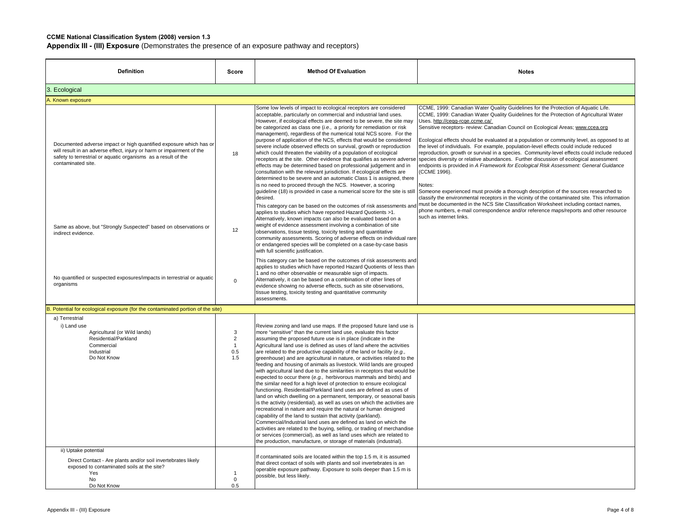| <b>Definition</b>                                                                                                                                                                                                                  | Score                                                      | <b>Method Of Evaluation</b>                                                                                                                                                                                                                                                                                                                                                                                                                                                                                                                                                                                                                                                                                                                                                                                                                                                                                                                                                                                                                                                                                                                                                                                                                                                                                                                                                                          | <b>Notes</b>                                                                                                                                                                                                                                                                                                                                                                                                                                                                                                                                                                                                                                                                                                                                                                                                                                                                                                                                                                                     |
|------------------------------------------------------------------------------------------------------------------------------------------------------------------------------------------------------------------------------------|------------------------------------------------------------|------------------------------------------------------------------------------------------------------------------------------------------------------------------------------------------------------------------------------------------------------------------------------------------------------------------------------------------------------------------------------------------------------------------------------------------------------------------------------------------------------------------------------------------------------------------------------------------------------------------------------------------------------------------------------------------------------------------------------------------------------------------------------------------------------------------------------------------------------------------------------------------------------------------------------------------------------------------------------------------------------------------------------------------------------------------------------------------------------------------------------------------------------------------------------------------------------------------------------------------------------------------------------------------------------------------------------------------------------------------------------------------------------|--------------------------------------------------------------------------------------------------------------------------------------------------------------------------------------------------------------------------------------------------------------------------------------------------------------------------------------------------------------------------------------------------------------------------------------------------------------------------------------------------------------------------------------------------------------------------------------------------------------------------------------------------------------------------------------------------------------------------------------------------------------------------------------------------------------------------------------------------------------------------------------------------------------------------------------------------------------------------------------------------|
| 3. Ecological                                                                                                                                                                                                                      |                                                            |                                                                                                                                                                                                                                                                                                                                                                                                                                                                                                                                                                                                                                                                                                                                                                                                                                                                                                                                                                                                                                                                                                                                                                                                                                                                                                                                                                                                      |                                                                                                                                                                                                                                                                                                                                                                                                                                                                                                                                                                                                                                                                                                                                                                                                                                                                                                                                                                                                  |
| A. Known exposure                                                                                                                                                                                                                  |                                                            |                                                                                                                                                                                                                                                                                                                                                                                                                                                                                                                                                                                                                                                                                                                                                                                                                                                                                                                                                                                                                                                                                                                                                                                                                                                                                                                                                                                                      |                                                                                                                                                                                                                                                                                                                                                                                                                                                                                                                                                                                                                                                                                                                                                                                                                                                                                                                                                                                                  |
| Documented adverse impact or high quantified exposure which has or<br>will result in an adverse effect, injury or harm or impairment of the<br>safety to terrestrial or aquatic organisms as a result of the<br>contaminated site. | 18                                                         | Some low levels of impact to ecological receptors are considered<br>acceptable, particularly on commercial and industrial land uses.<br>However, if ecological effects are deemed to be severe, the site may<br>be categorized as class one (i.e., a priority for remediation or risk<br>management), regardless of the numerical total NCS score. For the<br>purpose of application of the NCS, effects that would be considered<br>severe include observed effects on survival, growth or reproduction<br>which could threaten the viability of a population of ecological<br>receptors at the site. Other evidence that qualifies as severe adverse<br>effects may be determined based on professional judgement and in<br>consultation with the relevant jurisdiction. If ecological effects are<br>determined to be severe and an automatic Class 1 is assigned, there<br>is no need to proceed through the NCS. However, a scoring<br>quideline (18) is provided in case a numerical score for the site is still<br>desired.                                                                                                                                                                                                                                                                                                                                                                   | CCME, 1999: Canadian Water Quality Guidelines for the Protection of Aquatic Life.<br>CCME, 1999: Canadian Water Quality Guidelines for the Protection of Agricultural Water<br>Uses. http://ceqq-rcqe.ccme.ca/<br>Sensitive receptors- review: Canadian Council on Ecological Areas; www.ccea.org<br>Ecological effects should be evaluated at a population or community level, as opposed to at<br>the level of individuals. For example, population-level effects could include reduced<br>reproduction, growth or survival in a species. Community-level effects could include reduced<br>species diversity or relative abundances. Further discussion of ecological assessment<br>endpoints is provided in A Framework for Ecological Risk Assessment: General Guidance<br>(CCME 1996).<br>Notes:<br>Someone experienced must provide a thorough description of the sources researched to<br>classify the environmental receptors in the vicinity of the contaminated site. This information |
| Same as above, but "Strongly Suspected" based on observations or<br>indirect evidence.                                                                                                                                             | 12                                                         | This category can be based on the outcomes of risk assessments and<br>applies to studies which have reported Hazard Quotients >1.<br>Alternatively, known impacts can also be evaluated based on a<br>weight of evidence assessment involving a combination of site<br>observations, tissue testing, toxicity testing and quantitative<br>community assessments. Scoring of adverse effects on individual rare<br>or endangered species will be completed on a case-by-case basis<br>with full scientific justification.                                                                                                                                                                                                                                                                                                                                                                                                                                                                                                                                                                                                                                                                                                                                                                                                                                                                             | must be documented in the NCS Site Classification Worksheet including contact names,<br>phone numbers, e-mail correspondence and/or reference maps/reports and other resource<br>such as internet links.                                                                                                                                                                                                                                                                                                                                                                                                                                                                                                                                                                                                                                                                                                                                                                                         |
| No quantified or suspected exposures/impacts in terrestrial or aquatic<br>organisms                                                                                                                                                | $\Omega$                                                   | This category can be based on the outcomes of risk assessments and<br>applies to studies which have reported Hazard Quotients of less than<br>1 and no other observable or measurable sign of impacts.<br>Alternatively, it can be based on a combination of other lines of<br>evidence showing no adverse effects, such as site observations,<br>tissue testing, toxicity testing and quantitative community<br>assessments.                                                                                                                                                                                                                                                                                                                                                                                                                                                                                                                                                                                                                                                                                                                                                                                                                                                                                                                                                                        |                                                                                                                                                                                                                                                                                                                                                                                                                                                                                                                                                                                                                                                                                                                                                                                                                                                                                                                                                                                                  |
| B. Potential for ecological exposure (for the contaminated portion of the site)                                                                                                                                                    |                                                            |                                                                                                                                                                                                                                                                                                                                                                                                                                                                                                                                                                                                                                                                                                                                                                                                                                                                                                                                                                                                                                                                                                                                                                                                                                                                                                                                                                                                      |                                                                                                                                                                                                                                                                                                                                                                                                                                                                                                                                                                                                                                                                                                                                                                                                                                                                                                                                                                                                  |
| a) Terrestrial<br>i) Land use<br>Agricultural (or Wild lands)<br>Residential/Parkland<br>Commercial<br>Industrial<br>Do Not Know                                                                                                   | $_{\rm 3}$<br>$\overline{2}$<br>$\mathbf{1}$<br>0.5<br>1.5 | Review zoning and land use maps. If the proposed future land use is<br>more "sensitive" than the current land use, evaluate this factor<br>assuming the proposed future use is in place (indicate in the<br>Agricultural land use is defined as uses of land where the activities<br>are related to the productive capability of the land or facility (e.g.,<br>greenhouse) and are agricultural in nature, or activities related to the<br>feeding and housing of animals as livestock. Wild lands are grouped<br>with agricultural land due to the similarities in receptors that would be<br>expected to occur there (e.g., herbivorous mammals and birds) and<br>the similar need for a high level of protection to ensure ecological<br>functioning. Residential/Parkland land uses are defined as uses of<br>land on which dwelling on a permanent, temporary, or seasonal basis<br>is the activity (residential), as well as uses on which the activities are<br>recreational in nature and require the natural or human designed<br>capability of the land to sustain that activity (parkland).<br>Commercial/Industrial land uses are defined as land on which the<br>activities are related to the buying, selling, or trading of merchandise<br>or services (commercial), as well as land uses which are related to<br>the production, manufacture, or storage of materials (industrial). |                                                                                                                                                                                                                                                                                                                                                                                                                                                                                                                                                                                                                                                                                                                                                                                                                                                                                                                                                                                                  |
| ii) Uptake potential<br>Direct Contact - Are plants and/or soil invertebrates likely<br>exposed to contaminated soils at the site?<br>Yes<br>No<br>Do Not Know                                                                     | $\mathbf{1}$<br>$\Omega$<br>0.5                            | If contaminated soils are located within the top 1.5 m, it is assumed<br>that direct contact of soils with plants and soil invertebrates is an<br>operable exposure pathway. Exposure to soils deeper than 1.5 m is<br>possible, but less likely.                                                                                                                                                                                                                                                                                                                                                                                                                                                                                                                                                                                                                                                                                                                                                                                                                                                                                                                                                                                                                                                                                                                                                    |                                                                                                                                                                                                                                                                                                                                                                                                                                                                                                                                                                                                                                                                                                                                                                                                                                                                                                                                                                                                  |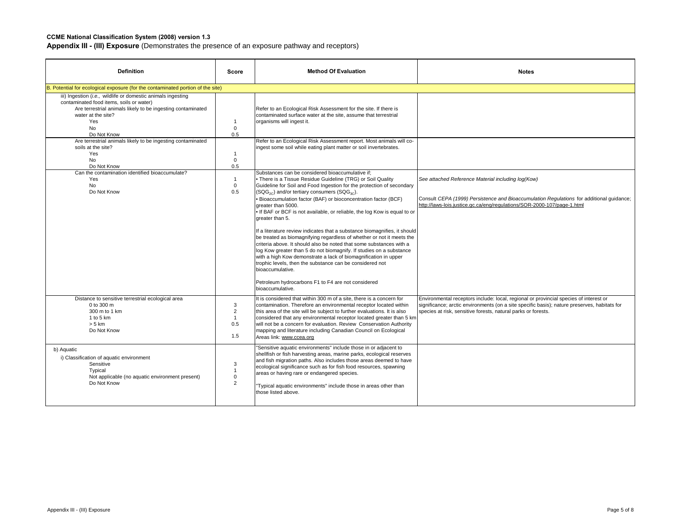| <b>Definition</b>                                                                                                                                                                                                                                                                                                                                                                                                                                     | Score                                                                                                              | <b>Method Of Evaluation</b>                                                                                                                                                                                                                                                                                                                                                                                                                                                                                                                                                                                                                                                                                                                                                                                                                                                                                                                                                                                                                                                                                                                                                                                                                                                              | <b>Notes</b>                                                                                                                                                                                                                                           |
|-------------------------------------------------------------------------------------------------------------------------------------------------------------------------------------------------------------------------------------------------------------------------------------------------------------------------------------------------------------------------------------------------------------------------------------------------------|--------------------------------------------------------------------------------------------------------------------|------------------------------------------------------------------------------------------------------------------------------------------------------------------------------------------------------------------------------------------------------------------------------------------------------------------------------------------------------------------------------------------------------------------------------------------------------------------------------------------------------------------------------------------------------------------------------------------------------------------------------------------------------------------------------------------------------------------------------------------------------------------------------------------------------------------------------------------------------------------------------------------------------------------------------------------------------------------------------------------------------------------------------------------------------------------------------------------------------------------------------------------------------------------------------------------------------------------------------------------------------------------------------------------|--------------------------------------------------------------------------------------------------------------------------------------------------------------------------------------------------------------------------------------------------------|
| B. Potential for ecological exposure (for the contaminated portion of the site)                                                                                                                                                                                                                                                                                                                                                                       |                                                                                                                    |                                                                                                                                                                                                                                                                                                                                                                                                                                                                                                                                                                                                                                                                                                                                                                                                                                                                                                                                                                                                                                                                                                                                                                                                                                                                                          |                                                                                                                                                                                                                                                        |
| iii) Ingestion (i.e., wildlife or domestic animals ingesting<br>contaminated food items, soils or water)<br>Are terrestrial animals likely to be ingesting contaminated<br>water at the site?<br>Yes<br><b>No</b><br>Do Not Know<br>Are terrestrial animals likely to be ingesting contaminated<br>soils at the site?<br><b>Yes</b><br><b>No</b><br>Do Not Know<br>Can the contamination identified bioaccumulate?<br>Yes<br><b>No</b><br>Do Not Know | $\overline{1}$<br>$\mathbf 0$<br>0.5<br>$\overline{1}$<br>$\mathbf 0$<br>0.5<br>$\mathbf{1}$<br>$\mathbf 0$<br>0.5 | Refer to an Ecological Risk Assessment for the site. If there is<br>contaminated surface water at the site, assume that terrestrial<br>organisms will ingest it.<br>Refer to an Ecological Risk Assessment report. Most animals will co-<br>ingest some soil while eating plant matter or soil invertebrates.<br>Substances can be considered bioaccumulative if:<br>• There is a Tissue Residue Guideline (TRG) or Soil Quality<br>Guideline for Soil and Food Ingestion for the protection of secondary<br>$(SQG_{2C})$ and/or tertiary consumers $(SQG_{3C})$ .<br>Bioaccumulation factor (BAF) or bioconcentration factor (BCF)<br>areater than 5000.<br>If BAF or BCF is not available, or reliable, the log Kow is equal to or<br>areater than 5.<br>If a literature review indicates that a substance biomagnifies, it should<br>be treated as biomagnifying regardless of whether or not it meets the<br>criteria above. It should also be noted that some substances with a<br>log Kow greater than 5 do not biomagnify. If studies on a substance<br>with a high Kow demonstrate a lack of biomagnification in upper<br>trophic levels, then the substance can be considered not<br>bioaccumulative.<br>Petroleum hydrocarbons F1 to F4 are not considered<br>bioaccumulative. | See attached Reference Material including log(Kow)<br>Consult CEPA (1999) Persistence and Bioaccumulation Regulations for additional guidance;<br>http://laws-lois.justice.gc.ca/eng/regulations/SOR-2000-107/page-1.html                              |
| Distance to sensitive terrestrial ecological area<br>0 to 300 m<br>300 m to 1 km<br>1 to 5 km<br>$> 5$ km<br>Do Not Know                                                                                                                                                                                                                                                                                                                              | 3<br>$\overline{2}$<br>$\overline{1}$<br>0.5<br>1.5                                                                | It is considered that within 300 m of a site, there is a concern for<br>contamination. Therefore an environmental receptor located within<br>this area of the site will be subject to further evaluations. It is also<br>considered that any environmental receptor located greater than 5 km<br>will not be a concern for evaluation. Review Conservation Authority<br>mapping and literature including Canadian Council on Ecological<br>Areas link: www.ccea.org                                                                                                                                                                                                                                                                                                                                                                                                                                                                                                                                                                                                                                                                                                                                                                                                                      | Environmental receptors include: local, regional or provincial species of interest or<br>significance; arctic environments (on a site specific basis); nature preserves, habitats for<br>species at risk, sensitive forests, natural parks or forests. |
| b) Aquatic<br>i) Classification of aquatic environment<br>Sensitive<br>Typical<br>Not applicable (no aquatic environment present)<br>Do Not Know                                                                                                                                                                                                                                                                                                      | 3<br>$\mathbf{1}$<br>$\mathbf 0$<br>$\overline{2}$                                                                 | 'Sensitive aquatic environments" include those in or adjacent to<br>shellfish or fish harvesting areas, marine parks, ecological reserves<br>and fish migration paths. Also includes those areas deemed to have<br>ecological significance such as for fish food resources, spawning<br>areas or having rare or endangered species.<br>'Typical aquatic environments" include those in areas other than<br>those listed above.                                                                                                                                                                                                                                                                                                                                                                                                                                                                                                                                                                                                                                                                                                                                                                                                                                                           |                                                                                                                                                                                                                                                        |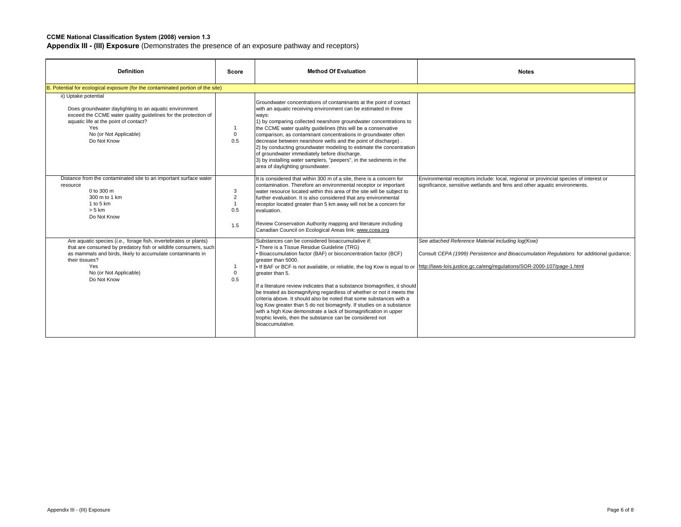| <b>Definition</b>                                                                                                                                                                                                                                                   | Score                                               | <b>Method Of Evaluation</b>                                                                                                                                                                                                                                                                                                                                                                                                                                                                                                                                                                                                                                                                                                                     | <b>Notes</b>                                                                                                                                                                                                              |
|---------------------------------------------------------------------------------------------------------------------------------------------------------------------------------------------------------------------------------------------------------------------|-----------------------------------------------------|-------------------------------------------------------------------------------------------------------------------------------------------------------------------------------------------------------------------------------------------------------------------------------------------------------------------------------------------------------------------------------------------------------------------------------------------------------------------------------------------------------------------------------------------------------------------------------------------------------------------------------------------------------------------------------------------------------------------------------------------------|---------------------------------------------------------------------------------------------------------------------------------------------------------------------------------------------------------------------------|
| B. Potential for ecological exposure (for the contaminated portion of the site)                                                                                                                                                                                     |                                                     |                                                                                                                                                                                                                                                                                                                                                                                                                                                                                                                                                                                                                                                                                                                                                 |                                                                                                                                                                                                                           |
| ii) Uptake potential<br>Does groundwater daylighting to an aquatic environment<br>exceed the CCME water quality quidelines for the protection of<br>aquatic life at the point of contact?<br>Yes<br>No (or Not Applicable)<br>Do Not Know                           | $\mathbf{1}$<br>$\Omega$<br>0.5                     | Groundwater concentrations of contaminants at the point of contact<br>with an aquatic receiving environment can be estimated in three<br>ways:<br>1) by comparing collected nearshore groundwater concentrations to<br>the CCME water quality quidelines (this will be a conservative<br>comparison, as contaminant concentrations in groundwater often<br>decrease between nearshore wells and the point of discharge).<br>2) by conducting groundwater modeling to estimate the concentration<br>of groundwater immediately before discharge.<br>3) by installing water samplers, "peepers", in the sediments in the<br>area of daylighting groundwater.                                                                                      |                                                                                                                                                                                                                           |
| Distance from the contaminated site to an important surface water<br>resource<br>0 to 300 m<br>300 m to 1 km<br>1 to 5 $km$<br>$> 5$ km<br>Do Not Know                                                                                                              | 3<br>$\overline{2}$<br>$\overline{1}$<br>0.5<br>1.5 | It is considered that within 300 m of a site, there is a concern for<br>contamination. Therefore an environmental receptor or important<br>water resource located within this area of the site will be subject to<br>further evaluation. It is also considered that any environmental<br>receptor located greater than 5 km away will not be a concern for<br>evaluation.<br>Review Conservation Authority mapping and literature including<br>Canadian Council on Ecological Areas link: www.ccea.org                                                                                                                                                                                                                                          | Environmental receptors include: local, regional or provincial species of interest or<br>significance, sensitive wetlands and fens and other aquatic environments.                                                        |
| Are aquatic species (i.e., forage fish, invertebrates or plants)<br>that are consumed by predatory fish or wildlife consumers, such<br>as mammals and birds, likely to accumulate contaminants in<br>their tissues?<br>Yes<br>No (or Not Applicable)<br>Do Not Know | $\overline{1}$<br>$\overline{0}$<br>0.5             | Substances can be considered bioaccumulative if:<br>. There is a Tissue Residue Guideline (TRG)<br>· Bioaccumulation factor (BAF) or bioconcentration factor (BCF)<br>greater than 5000.<br>. If BAF or BCF is not available, or reliable, the log Kow is equal to or<br>greater than 5.<br>If a literature review indicates that a substance biomagnifies, it should<br>be treated as biomagnifying regardless of whether or not it meets the<br>criteria above. It should also be noted that some substances with a<br>log Kow greater than 5 do not biomagnify. If studies on a substance<br>with a high Kow demonstrate a lack of biomagnification in upper<br>trophic levels, then the substance can be considered not<br>bioaccumulative. | See attached Reference Material including log(Kow)<br>Consult CEPA (1999) Persistence and Bioaccumulation Regulations for additional quidance;<br>http://laws-lois.justice.gc.ca/eng/regulations/SOR-2000-107/page-1.html |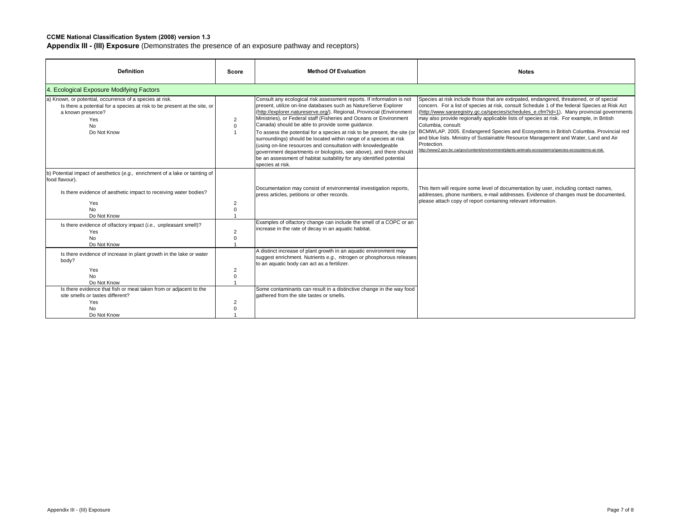| <b>Definition</b>                                                                                                                                                                                 | Score          | <b>Method Of Evaluation</b>                                                                                                                                                                                                                                                                                                                                                                                                                                                                                                                                                                                                                                                                                                     | <b>Notes</b>                                                                                                                                                                                                                                                                                                                                                                                                                                                                                                                                                                                                                                                                                                 |
|---------------------------------------------------------------------------------------------------------------------------------------------------------------------------------------------------|----------------|---------------------------------------------------------------------------------------------------------------------------------------------------------------------------------------------------------------------------------------------------------------------------------------------------------------------------------------------------------------------------------------------------------------------------------------------------------------------------------------------------------------------------------------------------------------------------------------------------------------------------------------------------------------------------------------------------------------------------------|--------------------------------------------------------------------------------------------------------------------------------------------------------------------------------------------------------------------------------------------------------------------------------------------------------------------------------------------------------------------------------------------------------------------------------------------------------------------------------------------------------------------------------------------------------------------------------------------------------------------------------------------------------------------------------------------------------------|
| 4. Ecological Exposure Modifying Factors                                                                                                                                                          |                |                                                                                                                                                                                                                                                                                                                                                                                                                                                                                                                                                                                                                                                                                                                                 |                                                                                                                                                                                                                                                                                                                                                                                                                                                                                                                                                                                                                                                                                                              |
| a) Known, or potential, occurrence of a species at risk.<br>Is there a potential for a species at risk to be present at the site, or<br>a known presence?<br>Yes<br>N <sub>o</sub><br>Do Not Know | 2<br>$\Omega$  | Consult any ecological risk assessment reports. If information is not<br>present, utilize on-line databases such as NatureServe Explorer<br>(http://explorer.natureserve.org/). Regional, Provincial (Environment<br>Ministries), or Federal staff (Fisheries and Oceans or Environment<br>Canada) should be able to provide some quidance.<br>To assess the potential for a species at risk to be present, the site (or<br>surroundings) should be located within range of a species at risk<br>(using on-line resources and consultation with knowledgeable<br>government departments or biologists, see above), and there should<br>be an assessment of habitat suitability for any identified potential<br>species at risk. | Species at risk include those that are extirpated, endangered, threatened, or of special<br>concern. For a list of species at risk, consult Schedule 1 of the federal Species at Risk Act<br>(http://www.sarareqistry.qc.ca/species/schedules e.cfm?id=1). Many provincial governments<br>may also provide regionally applicable lists of species at risk. For example, in British<br>Columbia, consult:<br>BCMWLAP. 2005. Endangered Species and Ecosystems in British Columbia. Provincial red<br>and blue lists. Ministry of Sustainable Resource Management and Water, Land and Air<br>Protection.<br>http://www2.gov.bc.ca/gov/content/environment/plants-animals-ecosystems/species-ecosystems-at-risk |
| b) Potential impact of aesthetics (e.g., enrichment of a lake or tainting of<br>food flavour).                                                                                                    |                |                                                                                                                                                                                                                                                                                                                                                                                                                                                                                                                                                                                                                                                                                                                                 |                                                                                                                                                                                                                                                                                                                                                                                                                                                                                                                                                                                                                                                                                                              |
| Is there evidence of aesthetic impact to receiving water bodies?                                                                                                                                  |                | Documentation may consist of environmental investigation reports,<br>press articles, petitions or other records.                                                                                                                                                                                                                                                                                                                                                                                                                                                                                                                                                                                                                | This Item will require some level of documentation by user, including contact names,<br>addresses, phone numbers, e-mail addresses. Evidence of changes must be documented,                                                                                                                                                                                                                                                                                                                                                                                                                                                                                                                                  |
| Yes<br>No<br>Do Not Know                                                                                                                                                                          | 2<br>$\Omega$  |                                                                                                                                                                                                                                                                                                                                                                                                                                                                                                                                                                                                                                                                                                                                 | please attach copy of report containing relevant information.                                                                                                                                                                                                                                                                                                                                                                                                                                                                                                                                                                                                                                                |
| Is there evidence of olfactory impact (i.e., unpleasant smell)?<br>Yes<br><b>No</b><br>Do Not Know                                                                                                | $\overline{2}$ | Examples of olfactory change can include the smell of a COPC or an<br>increase in the rate of decay in an aquatic habitat.                                                                                                                                                                                                                                                                                                                                                                                                                                                                                                                                                                                                      |                                                                                                                                                                                                                                                                                                                                                                                                                                                                                                                                                                                                                                                                                                              |
| Is there evidence of increase in plant growth in the lake or water<br>body?                                                                                                                       |                | A distinct increase of plant growth in an aquatic environment may<br>suggest enrichment. Nutrients e.g., nitrogen or phosphorous releases<br>to an aquatic body can act as a fertilizer.                                                                                                                                                                                                                                                                                                                                                                                                                                                                                                                                        |                                                                                                                                                                                                                                                                                                                                                                                                                                                                                                                                                                                                                                                                                                              |
| Yes<br>N <sub>o</sub><br>Do Not Know                                                                                                                                                              | 2<br>$\Omega$  |                                                                                                                                                                                                                                                                                                                                                                                                                                                                                                                                                                                                                                                                                                                                 |                                                                                                                                                                                                                                                                                                                                                                                                                                                                                                                                                                                                                                                                                                              |
| Is there evidence that fish or meat taken from or adjacent to the<br>site smells or tastes different?<br>Yes<br><b>No</b><br>Do Not Know                                                          | 2<br>O         | Some contaminants can result in a distinctive change in the way food<br>gathered from the site tastes or smells.                                                                                                                                                                                                                                                                                                                                                                                                                                                                                                                                                                                                                |                                                                                                                                                                                                                                                                                                                                                                                                                                                                                                                                                                                                                                                                                                              |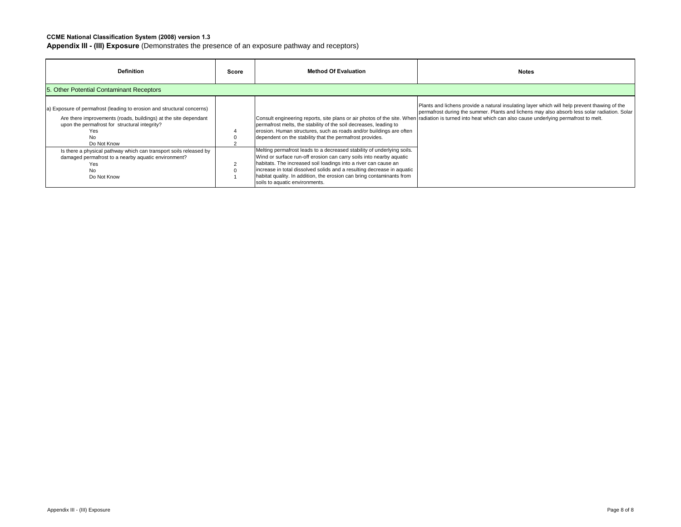| <b>Definition</b>                                                                                                                                                                                                       | Score | <b>Method Of Evaluation</b>                                                                                                                                                                                                                                                                                                                                                                           | <b>Notes</b>                                                                                                                                                                                                                                                                                                                                              |
|-------------------------------------------------------------------------------------------------------------------------------------------------------------------------------------------------------------------------|-------|-------------------------------------------------------------------------------------------------------------------------------------------------------------------------------------------------------------------------------------------------------------------------------------------------------------------------------------------------------------------------------------------------------|-----------------------------------------------------------------------------------------------------------------------------------------------------------------------------------------------------------------------------------------------------------------------------------------------------------------------------------------------------------|
| 5. Other Potential Contaminant Receptors                                                                                                                                                                                |       |                                                                                                                                                                                                                                                                                                                                                                                                       |                                                                                                                                                                                                                                                                                                                                                           |
| a) Exposure of permafrost (leading to erosion and structural concerns)<br>Are there improvements (roads, buildings) at the site dependant<br>upon the permafrost for structural integrity?<br>Yes<br>No.<br>Do Not Know |       | permafrost melts, the stability of the soil decreases, leading to<br>erosion. Human structures, such as roads and/or buildings are often<br>dependent on the stability that the permafrost provides.                                                                                                                                                                                                  | Plants and lichens provide a natural insulating layer which will help prevent thawing of the<br>permafrost during the summer. Plants and lichens may also absorb less solar radiation. Solar<br>Consult engineering reports, site plans or air photos of the site. When radiation is turned into heat which can also cause underlying permafrost to melt. |
| Is there a physical pathway which can transport soils released by<br>damaged permafrost to a nearby aquatic environment?<br>Yes<br>No<br>Do Not Know                                                                    |       | Melting permafrost leads to a decreased stability of underlying soils.<br>Wind or surface run-off erosion can carry soils into nearby aquatic<br>habitats. The increased soil loadings into a river can cause an<br>increase in total dissolved solids and a resulting decrease in aquatic<br>habitat quality. In addition, the erosion can bring contaminants from<br>soils to aquatic environments. |                                                                                                                                                                                                                                                                                                                                                           |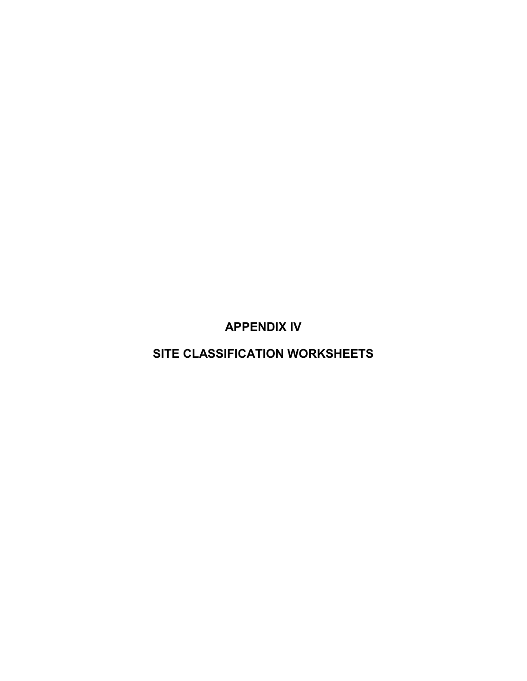**APPENDIX IV**

**SITE CLASSIFICATION WORKSHEETS**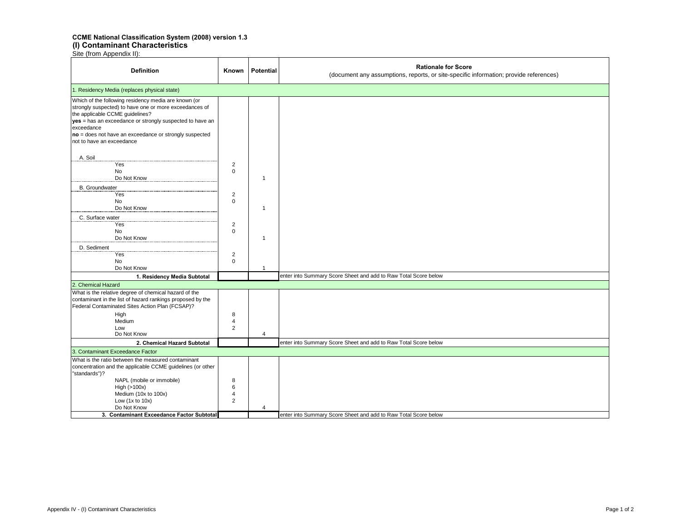#### **CCME National Classification System (2008) version 1.3 (I) Contaminant Characteristics**

| <b>Definition</b>                                                                                                                                                                                                                                                                                                  | Known                                                                         | <b>Potential</b>               | <b>Rationale for Score</b><br>(document any assumptions, reports, or site-specific information; provide references) |
|--------------------------------------------------------------------------------------------------------------------------------------------------------------------------------------------------------------------------------------------------------------------------------------------------------------------|-------------------------------------------------------------------------------|--------------------------------|---------------------------------------------------------------------------------------------------------------------|
| 1. Residency Media (replaces physical state)                                                                                                                                                                                                                                                                       |                                                                               |                                |                                                                                                                     |
| Which of the following residency media are known (or<br>strongly suspected) to have one or more exceedances of<br>the applicable CCME guidelines?<br>yes = has an exceedance or strongly suspected to have an<br>exceedance<br>no = does not have an exceedance or strongly suspected<br>not to have an exceedance |                                                                               |                                |                                                                                                                     |
| A. Soil<br>Yes<br>No<br>Do Not Know<br><b>B.</b> Groundwater<br>Yes<br><b>No</b><br>Do Not Know<br>C. Surface water<br>Yes                                                                                                                                                                                         | $\overline{c}$<br>$\Omega$<br>$\overline{2}$<br>$\mathbf 0$<br>$\overline{2}$ | $\mathbf{1}$<br>$\mathbf{1}$   |                                                                                                                     |
| No<br>Do Not Know<br>D. Sediment<br>Yes<br>No<br>Do Not Know                                                                                                                                                                                                                                                       | $\mathbf 0$<br>$\overline{c}$<br>$\mathbf 0$                                  | $\mathbf{1}$<br>$\overline{1}$ |                                                                                                                     |
| 1. Residency Media Subtotal                                                                                                                                                                                                                                                                                        |                                                                               |                                | enter into Summary Score Sheet and add to Raw Total Score below                                                     |
| 2. Chemical Hazard                                                                                                                                                                                                                                                                                                 |                                                                               |                                |                                                                                                                     |
| What is the relative degree of chemical hazard of the<br>contaminant in the list of hazard rankings proposed by the<br>Federal Contaminated Sites Action Plan (FCSAP)?<br>High<br>Medium<br>Low<br>Do Not Know                                                                                                     | 8<br>$\overline{4}$<br>$\overline{2}$                                         | $\overline{4}$                 |                                                                                                                     |
| 2. Chemical Hazard Subtotal                                                                                                                                                                                                                                                                                        |                                                                               |                                | enter into Summary Score Sheet and add to Raw Total Score below                                                     |
| 3. Contaminant Exceedance Factor                                                                                                                                                                                                                                                                                   |                                                                               |                                |                                                                                                                     |
| What is the ratio between the measured contaminant<br>concentration and the applicable CCME guidelines (or other<br>"standards")?<br>NAPL (mobile or immobile)<br>High (>100x)<br>Medium (10x to 100x)<br>Low $(1x to 10x)$<br>Do Not Know                                                                         | 8<br>6<br>4<br>$\overline{2}$                                                 | 4                              |                                                                                                                     |
| 3. Contaminant Exceedance Factor Subtotal                                                                                                                                                                                                                                                                          |                                                                               |                                | enter into Summary Score Sheet and add to Raw Total Score below                                                     |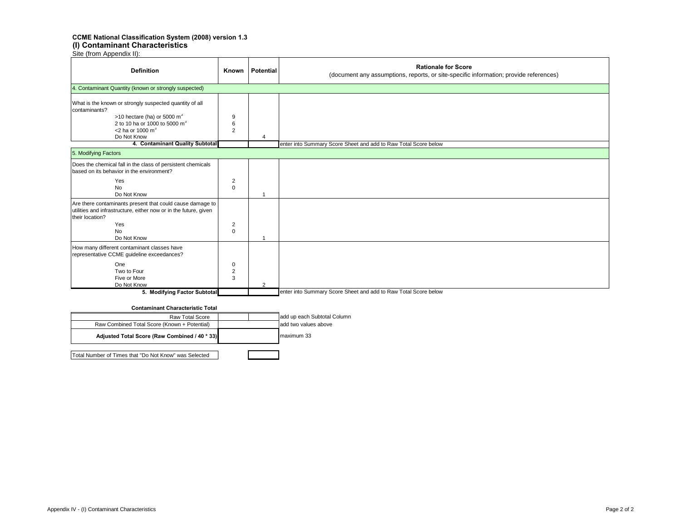#### **CCME National Classification System (2008) version 1.3 (I) Contaminant Characteristics**

Site (from Appendix II):

| <b>Definition</b>                                                                                                                                                                                         | Known                         | Potential      | <b>Rationale for Score</b><br>(document any assumptions, reports, or site-specific information; provide references) |
|-----------------------------------------------------------------------------------------------------------------------------------------------------------------------------------------------------------|-------------------------------|----------------|---------------------------------------------------------------------------------------------------------------------|
| 4. Contaminant Quantity (known or strongly suspected)                                                                                                                                                     |                               |                |                                                                                                                     |
| What is the known or strongly suspected quantity of all<br>contaminants?<br>>10 hectare (ha) or 5000 $m^3$<br>2 to 10 ha or 1000 to 5000 m <sup>3</sup><br>$<$ 2 ha or 1000 m <sup>3</sup><br>Do Not Know | 9<br>6<br>$\overline{2}$      |                |                                                                                                                     |
| 4. Contaminant Quality Subtotal                                                                                                                                                                           |                               |                | enter into Summary Score Sheet and add to Raw Total Score below                                                     |
| 5. Modifying Factors                                                                                                                                                                                      |                               |                |                                                                                                                     |
| Does the chemical fall in the class of persistent chemicals<br>based on its behavior in the environment?                                                                                                  |                               |                |                                                                                                                     |
| Yes<br><b>No</b><br>Do Not Know                                                                                                                                                                           | $\overline{2}$<br>$\mathbf 0$ |                |                                                                                                                     |
| Are there contaminants present that could cause damage to<br>utilities and infrastructure, either now or in the future, given<br>their location?<br>Yes<br><b>No</b>                                      | $\overline{2}$<br>$\mathbf 0$ |                |                                                                                                                     |
| Do Not Know                                                                                                                                                                                               |                               |                |                                                                                                                     |
| How many different contaminant classes have<br>representative CCME guideline exceedances?                                                                                                                 |                               |                |                                                                                                                     |
| One<br>Two to Four<br>Five or More<br>Do Not Know                                                                                                                                                         | 0<br>$\overline{2}$<br>3      | $\overline{2}$ |                                                                                                                     |
| 5. Modifying Factor Subtotal                                                                                                                                                                              |                               |                | enter into Summary Score Sheet and add to Raw Total Score below                                                     |

#### **Contaminant Characteristic Total**

| <b>Raw Total Score</b>                                | add up each Subtotal Column |
|-------------------------------------------------------|-----------------------------|
| Raw Combined Total Score (Known + Potential)          | add two values above        |
| Adjusted Total Score (Raw Combined / 40 * 33)         | maximum 33                  |
| Total Number of Times that "Do Not Know" was Selected |                             |

Appendix IV - (I) Contaminant Characteristics Page 2 of 2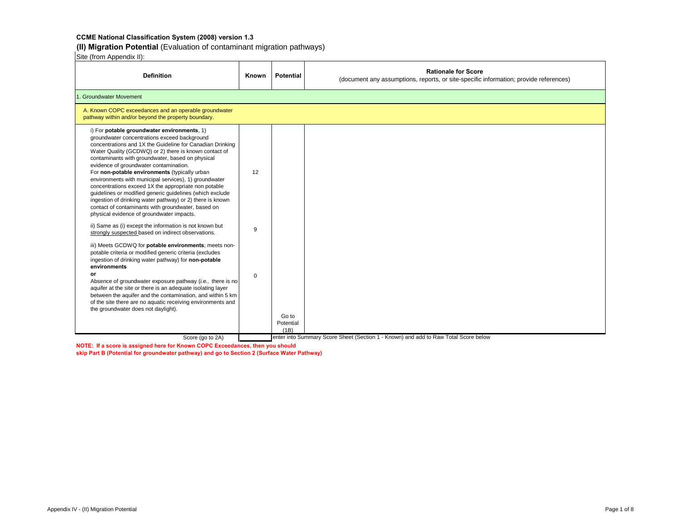**(II) Migration Potential** (Evaluation of contaminant migration pathways)

Site (from Appendix II):

| <b>Definition</b>                                                                                                                                                                                                                                                                                                                                                                                                                                                                                                                                                                                                                                                                                             | Known       | <b>Potential</b>           | <b>Rationale for Score</b><br>(document any assumptions, reports, or site-specific information; provide references) |
|---------------------------------------------------------------------------------------------------------------------------------------------------------------------------------------------------------------------------------------------------------------------------------------------------------------------------------------------------------------------------------------------------------------------------------------------------------------------------------------------------------------------------------------------------------------------------------------------------------------------------------------------------------------------------------------------------------------|-------------|----------------------------|---------------------------------------------------------------------------------------------------------------------|
| 1. Groundwater Movement                                                                                                                                                                                                                                                                                                                                                                                                                                                                                                                                                                                                                                                                                       |             |                            |                                                                                                                     |
| A. Known COPC exceedances and an operable groundwater<br>pathway within and/or beyond the property boundary.                                                                                                                                                                                                                                                                                                                                                                                                                                                                                                                                                                                                  |             |                            |                                                                                                                     |
| i) For potable groundwater environments, 1)<br>groundwater concentrations exceed background<br>concentrations and 1X the Guideline for Canadian Drinking<br>Water Quality (GCDWQ) or 2) there is known contact of<br>contaminants with groundwater, based on physical<br>evidence of groundwater contamination.<br>For non-potable environments (typically urban<br>environments with municipal services), 1) groundwater<br>concentrations exceed 1X the appropriate non potable<br>guidelines or modified generic guidelines (which exclude<br>ingestion of drinking water pathway) or 2) there is known<br>contact of contaminants with groundwater, based on<br>physical evidence of groundwater impacts. | 12          |                            |                                                                                                                     |
| ii) Same as (i) except the information is not known but<br>strongly suspected based on indirect observations.                                                                                                                                                                                                                                                                                                                                                                                                                                                                                                                                                                                                 | 9           |                            |                                                                                                                     |
| iii) Meets GCDWQ for potable environments; meets non-<br>potable criteria or modified generic criteria (excludes<br>ingestion of drinking water pathway) for non-potable<br>environments<br>or<br>Absence of groundwater exposure pathway (i.e., there is no<br>aquifer at the site or there is an adequate isolating layer<br>between the aquifer and the contamination, and within 5 km<br>of the site there are no aquatic receiving environments and<br>the groundwater does not daylight).                                                                                                                                                                                                               | $\mathbf 0$ | Go to<br>Potential<br>(1B) |                                                                                                                     |
| Score (go to 2A)                                                                                                                                                                                                                                                                                                                                                                                                                                                                                                                                                                                                                                                                                              |             |                            | enter into Summary Score Sheet (Section 1 - Known) and add to Raw Total Score below                                 |

**NOTE: If a score is assigned here for Known COPC Exceedances, then you should**

**skip Part B (Potential for groundwater pathway) and go to Section 2 (Surface Water Pathway)**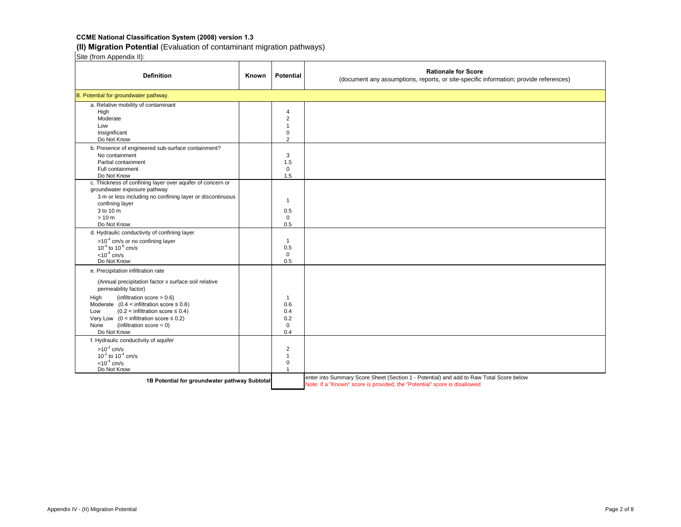# **(II) Migration Potential** (Evaluation of contaminant migration pathways)

| <b>Definition</b>                                                                               | Known | <b>Potential</b>    | <b>Rationale for Score</b><br>(document any assumptions, reports, or site-specific information; provide references) |
|-------------------------------------------------------------------------------------------------|-------|---------------------|---------------------------------------------------------------------------------------------------------------------|
| B. Potential for groundwater pathway.                                                           |       |                     |                                                                                                                     |
| a. Relative mobility of contaminant                                                             |       |                     |                                                                                                                     |
| High                                                                                            |       | $\overline{4}$      |                                                                                                                     |
| Moderate                                                                                        |       | $\overline{2}$      |                                                                                                                     |
| Low                                                                                             |       | $\mathbf{1}$        |                                                                                                                     |
| Insignificant                                                                                   |       | $\mathbf 0$         |                                                                                                                     |
| Do Not Know                                                                                     |       | $\overline{2}$      |                                                                                                                     |
| b. Presence of engineered sub-surface containment?                                              |       |                     |                                                                                                                     |
| No containment                                                                                  |       | 3                   |                                                                                                                     |
| Partial containment                                                                             |       | 1.5                 |                                                                                                                     |
| Full containment                                                                                |       | $\mathbf 0$         |                                                                                                                     |
| Do Not Know<br>c. Thickness of confining layer over aquifer of concern or                       |       | 1.5                 |                                                                                                                     |
| groundwater exposure pathway                                                                    |       |                     |                                                                                                                     |
| 3 m or less including no confining layer or discontinuous                                       |       |                     |                                                                                                                     |
| confining layer                                                                                 |       | $\mathbf{1}$        |                                                                                                                     |
| 3 to 10 m                                                                                       |       | 0.5                 |                                                                                                                     |
| >10 m                                                                                           |       | $\mathbf 0$         |                                                                                                                     |
| Do Not Know                                                                                     |       | 0.5                 |                                                                                                                     |
| d. Hydraulic conductivity of confining layer                                                    |       |                     |                                                                                                                     |
| $>10^{-4}$ cm/s or no confining layer                                                           |       | $\mathbf{1}$        |                                                                                                                     |
| $10^{-4}$ to $10^{-6}$ cm/s                                                                     |       | 0.5                 |                                                                                                                     |
| $< 10^{-6}$ cm/s                                                                                |       | $\mathbf 0$         |                                                                                                                     |
| Do Not Know                                                                                     |       | 0.5                 |                                                                                                                     |
| e. Precipitation infiltration rate                                                              |       |                     |                                                                                                                     |
| (Annual precipitation factor x surface soil relative<br>permeability factor)                    |       |                     |                                                                                                                     |
|                                                                                                 |       |                     |                                                                                                                     |
| (infiltration score $> 0.6$ )<br>High<br>Moderate $(0.4 \times$ infiltration score $\leq 0.6$ ) |       | $\mathbf{1}$<br>0.6 |                                                                                                                     |
| $(0.2 \leq \text{infiltration score} \leq 0.4)$<br>Low                                          |       | 0.4                 |                                                                                                                     |
| Very Low ( $0 \leq$ infiltration score $\leq 0.2$ )                                             |       | 0.2                 |                                                                                                                     |
| $(infiltration score = 0)$<br>None                                                              |       | $\mathbf 0$         |                                                                                                                     |
| Do Not Know                                                                                     |       | 0.4                 |                                                                                                                     |
| f. Hydraulic conductivity of aquifer                                                            |       |                     |                                                                                                                     |
| $>10^{-2}$ cm/s                                                                                 |       | $\overline{2}$      |                                                                                                                     |
| $10^{-2}$ to $10^{-4}$ cm/s                                                                     |       | $\mathbf{1}$        |                                                                                                                     |
| $< 10^{-4}$ cm/s                                                                                |       | $\mathbf 0$         |                                                                                                                     |
| Do Not Know                                                                                     |       | $\mathbf{1}$        |                                                                                                                     |
|                                                                                                 |       |                     | enter into Summary Score Sheet (Section 1 - Potential) and add to Raw Total Score below                             |
| 1B Potential for groundwater pathway Subtotal                                                   |       |                     | Note: if a "Known" score is provided, the "Potential" score is disallowed                                           |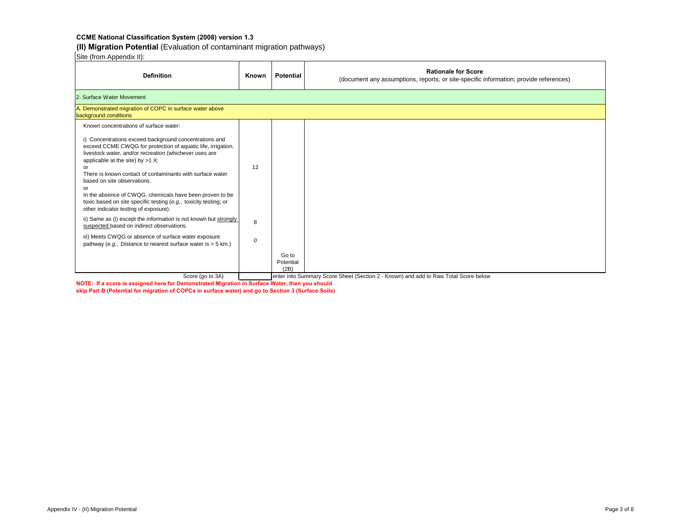**(II) Migration Potential** (Evaluation of contaminant migration pathways)

Site (from Appendix II):

| <b>Definition</b>                                                                                                                                                                                                                                                                                                                                                                                                                                                                                       | Known       | <b>Potential</b>           | <b>Rationale for Score</b><br>(document any assumptions, reports, or site-specific information; provide references) |  |  |
|---------------------------------------------------------------------------------------------------------------------------------------------------------------------------------------------------------------------------------------------------------------------------------------------------------------------------------------------------------------------------------------------------------------------------------------------------------------------------------------------------------|-------------|----------------------------|---------------------------------------------------------------------------------------------------------------------|--|--|
| 2. Surface Water Movement                                                                                                                                                                                                                                                                                                                                                                                                                                                                               |             |                            |                                                                                                                     |  |  |
| A. Demonstrated migration of COPC in surface water above<br>background conditions                                                                                                                                                                                                                                                                                                                                                                                                                       |             |                            |                                                                                                                     |  |  |
| Known concentrations of surface water:                                                                                                                                                                                                                                                                                                                                                                                                                                                                  |             |                            |                                                                                                                     |  |  |
| i) Concentrations exceed background concentrations and<br>exceed CCME CWQG for protection of aquatic life, irrigation,<br>livestock water, and/or recreation (whichever uses are<br>applicable at the site) by $>1$ X;<br>or<br>There is known contact of contaminants with surface water<br>based on site observations.<br>or<br>In the absence of CWQG, chemicals have been proven to be<br>toxic based on site specific testing (e.g., toxicity testing; or<br>other indicator testing of exposure). | 12          |                            |                                                                                                                     |  |  |
| ii) Same as (i) except the information is not known but strongly<br>suspected based on indirect observations.                                                                                                                                                                                                                                                                                                                                                                                           | 8           |                            |                                                                                                                     |  |  |
| iii) Meets CWQG or absence of surface water exposure<br>pathway (e.g., Distance to nearest surface water is > 5 km.)                                                                                                                                                                                                                                                                                                                                                                                    | $\mathbf 0$ |                            |                                                                                                                     |  |  |
|                                                                                                                                                                                                                                                                                                                                                                                                                                                                                                         |             | Go to<br>Potential<br>(2B) |                                                                                                                     |  |  |
| Score (go to 3A)                                                                                                                                                                                                                                                                                                                                                                                                                                                                                        |             |                            | enter into Summary Score Sheet (Section 2 - Known) and add to Raw Total Score below                                 |  |  |

**NOTE: If a score is assigned here for Demonstrated Migration in Surface Water, then you should skip Part B (Potential for migration of COPCs in surface water) and go to Section 3 (Surface Soils)**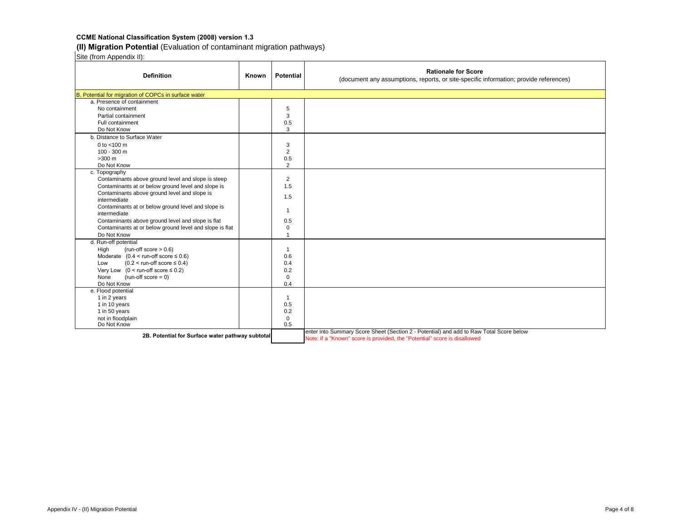# **(II) Migration Potential** (Evaluation of contaminant migration pathways)

| <b>Definition</b>                                       | Known | <b>Potential</b> | <b>Rationale for Score</b><br>(document any assumptions, reports, or site-specific information; provide references) |
|---------------------------------------------------------|-------|------------------|---------------------------------------------------------------------------------------------------------------------|
| B. Potential for migration of COPCs in surface water    |       |                  |                                                                                                                     |
| a. Presence of containment                              |       |                  |                                                                                                                     |
| No containment                                          |       | 5                |                                                                                                                     |
| Partial containment                                     |       | 3                |                                                                                                                     |
| Full containment                                        |       | 0.5              |                                                                                                                     |
| Do Not Know                                             |       | 3                |                                                                                                                     |
| b. Distance to Surface Water                            |       |                  |                                                                                                                     |
| 0 to $<$ 100 m                                          |       | 3                |                                                                                                                     |
| $100 - 300$ m                                           |       | $\overline{2}$   |                                                                                                                     |
| $>300$ m                                                |       | 0.5              |                                                                                                                     |
| Do Not Know                                             |       | $\overline{2}$   |                                                                                                                     |
| c. Topography                                           |       |                  |                                                                                                                     |
| Contaminants above ground level and slope is steep      |       | $\overline{2}$   |                                                                                                                     |
| Contaminants at or below ground level and slope is      |       | 1.5              |                                                                                                                     |
| Contaminants above ground level and slope is            |       |                  |                                                                                                                     |
| intermediate                                            |       | 1.5              |                                                                                                                     |
| Contaminants at or below ground level and slope is      |       | $\mathbf{1}$     |                                                                                                                     |
| intermediate                                            |       |                  |                                                                                                                     |
| Contaminants above ground level and slope is flat       |       | 0.5              |                                                                                                                     |
| Contaminants at or below ground level and slope is flat |       | $\mathbf 0$      |                                                                                                                     |
| Do Not Know                                             |       | $\overline{1}$   |                                                                                                                     |
| d. Run-off potential                                    |       |                  |                                                                                                                     |
| (run-off score $> 0.6$ )<br>High                        |       | $\mathbf{1}$     |                                                                                                                     |
| Moderate $(0.4 < \text{run-off score} \le 0.6)$         |       | 0.6              |                                                                                                                     |
| $(0.2 <$ run-off score $\leq 0.4$ )<br>Low              |       | 0.4              |                                                                                                                     |
| Very Low $(0 <$ run-off score $\le 0.2$ )               |       | 0.2              |                                                                                                                     |
| $(run-off score = 0)$<br>None                           |       | $\mathbf 0$      |                                                                                                                     |
| Do Not Know                                             |       | 0.4              |                                                                                                                     |
| e. Flood potential                                      |       |                  |                                                                                                                     |
| 1 in 2 years                                            |       | $\mathbf{1}$     |                                                                                                                     |
| 1 in 10 years                                           |       | 0.5              |                                                                                                                     |
| 1 in 50 years                                           |       | 0.2              |                                                                                                                     |
| not in floodplain                                       |       | $\mathbf 0$      |                                                                                                                     |
| Do Not Know                                             |       | 0.5              |                                                                                                                     |
| 2B. Potential for Surface water pathway subtotal        |       |                  | enter into Summary Score Sheet (Section 2 - Potential) and add to Raw Total Score below                             |
|                                                         |       |                  | Note: if a "Known" score is provided, the "Potential" score is disallowed                                           |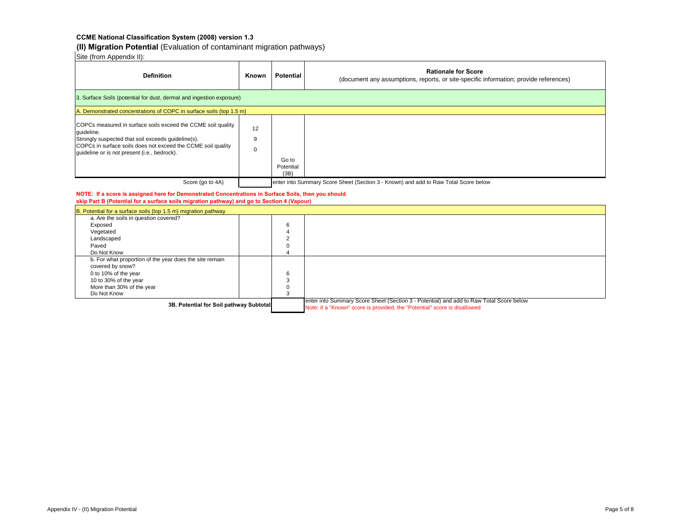**(II) Migration Potential** (Evaluation of contaminant migration pathways)

Site (from Appendix II):

| <b>Definition</b>                                                                                                                                                                                                                                | Known        | <b>Potential</b>           | <b>Rationale for Score</b><br>(document any assumptions, reports, or site-specific information; provide references) |
|--------------------------------------------------------------------------------------------------------------------------------------------------------------------------------------------------------------------------------------------------|--------------|----------------------------|---------------------------------------------------------------------------------------------------------------------|
| 3. Surface Soils (potential for dust, dermal and ingestion exposure)                                                                                                                                                                             |              |                            |                                                                                                                     |
| A. Demonstrated concentrations of COPC in surface soils (top 1.5 m)                                                                                                                                                                              |              |                            |                                                                                                                     |
| COPCs measured in surface soils exceed the CCME soil quality<br>quideline.<br>Strongly suspected that soil exceeds quideline(s).<br>COPCs in surface soils does not exceed the CCME soil quality<br>quideline or is not present (i.e., bedrock). | 12<br>9<br>0 | Go to<br>Potential<br>(3B) |                                                                                                                     |
| Score (go to 4A)                                                                                                                                                                                                                                 |              |                            | enter into Summary Score Sheet (Section 3 - Known) and add to Raw Total Score below                                 |

#### **NOTE: If a score is assigned here for Demonstrated Concentrations in Surface Soils, then you should skip Part B (Potential for a surface soils migration pathway) and go to Section 4 (Vapour)**

| B. Potential for a surface soils (top 1.5 m) migration pathway |          |                                                                                                                                                                      |
|----------------------------------------------------------------|----------|----------------------------------------------------------------------------------------------------------------------------------------------------------------------|
| a. Are the soils in question covered?                          |          |                                                                                                                                                                      |
| Exposed                                                        | b        |                                                                                                                                                                      |
| Vegetated                                                      |          |                                                                                                                                                                      |
| Landscaped                                                     |          |                                                                                                                                                                      |
| Paved                                                          | 0        |                                                                                                                                                                      |
| Do Not Know                                                    |          |                                                                                                                                                                      |
| b. For what proportion of the year does the site remain        |          |                                                                                                                                                                      |
| covered by snow?                                               |          |                                                                                                                                                                      |
| 0 to 10% of the year                                           | 6        |                                                                                                                                                                      |
| 10 to 30% of the year                                          |          |                                                                                                                                                                      |
| More than 30% of the year                                      | $\Omega$ |                                                                                                                                                                      |
| Do Not Know                                                    |          |                                                                                                                                                                      |
| 3B. Potential for Soil pathway Subtotal                        |          | enter into Summary Score Sheet (Section 3 - Potential) and add to Raw Total Score below<br>Note: if a "Known" score is provided, the "Potential" score is disallowed |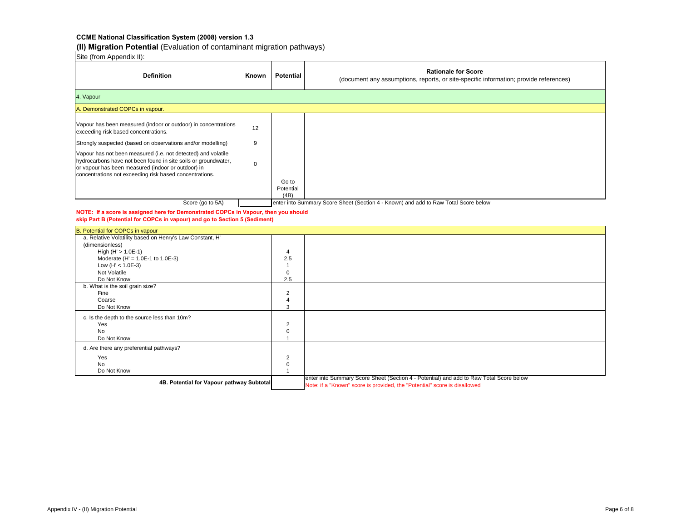**(II) Migration Potential** (Evaluation of contaminant migration pathways)

Site (from Appendix II):

| <b>Definition</b>                                                                                                                                                                                                                                                                                                                                                                                                         | Known        | <b>Potential</b>   | <b>Rationale for Score</b><br>(document any assumptions, reports, or site-specific information; provide references) |
|---------------------------------------------------------------------------------------------------------------------------------------------------------------------------------------------------------------------------------------------------------------------------------------------------------------------------------------------------------------------------------------------------------------------------|--------------|--------------------|---------------------------------------------------------------------------------------------------------------------|
| 4. Vapour                                                                                                                                                                                                                                                                                                                                                                                                                 |              |                    |                                                                                                                     |
| A. Demonstrated COPCs in vapour.                                                                                                                                                                                                                                                                                                                                                                                          |              |                    |                                                                                                                     |
| Vapour has been measured (indoor or outdoor) in concentrations<br>exceeding risk based concentrations.<br>Strongly suspected (based on observations and/or modelling)<br>Vapour has not been measured (i.e. not detected) and volatile<br>hydrocarbons have not been found in site soils or groundwater.<br>or vapour has been measured (indoor or outdoor) in<br>concentrations not exceeding risk based concentrations. | 12<br>9<br>0 | Go to<br>Potential |                                                                                                                     |
| Score (go to 5A)                                                                                                                                                                                                                                                                                                                                                                                                          |              | (4B)               | enter into Summary Score Sheet (Section 4 - Known) and add to Raw Total Score below                                 |

**NOTE: If a score is assigned here for Demonstrated COPCs in Vapour, then you should skip Part B (Potential for COPCs in vapour) and go to Section 5 (Sediment)**

| B. Potential for COPCs in vapour                         |                |                                                                                                                                                                      |
|----------------------------------------------------------|----------------|----------------------------------------------------------------------------------------------------------------------------------------------------------------------|
| a. Relative Volatility based on Henry's Law Constant, H' |                |                                                                                                                                                                      |
| (dimensionless)                                          |                |                                                                                                                                                                      |
| High $(H' > 1.0E-1)$                                     | 4              |                                                                                                                                                                      |
| Moderate (H' = $1.0E-1$ to $1.0E-3$ )                    | 2.5            |                                                                                                                                                                      |
| Low (H' < $1.0E-3$ )                                     |                |                                                                                                                                                                      |
| Not Volatile                                             | $\Omega$       |                                                                                                                                                                      |
| Do Not Know                                              | 2.5            |                                                                                                                                                                      |
| b. What is the soil grain size?                          |                |                                                                                                                                                                      |
| Fine                                                     | $\overline{2}$ |                                                                                                                                                                      |
| Coarse                                                   |                |                                                                                                                                                                      |
| Do Not Know                                              | 3              |                                                                                                                                                                      |
| c. Is the depth to the source less than 10m?             |                |                                                                                                                                                                      |
| Yes                                                      | $\overline{2}$ |                                                                                                                                                                      |
| <b>No</b>                                                | $\Omega$       |                                                                                                                                                                      |
| Do Not Know                                              |                |                                                                                                                                                                      |
| d. Are there any preferential pathways?                  |                |                                                                                                                                                                      |
| Yes                                                      | 2              |                                                                                                                                                                      |
| No                                                       | $\Omega$       |                                                                                                                                                                      |
| Do Not Know                                              |                |                                                                                                                                                                      |
| 4B. Potential for Vapour pathway Subtotal                |                | enter into Summary Score Sheet (Section 4 - Potential) and add to Raw Total Score below<br>Note: if a "Known" score is provided, the "Potential" score is disallowed |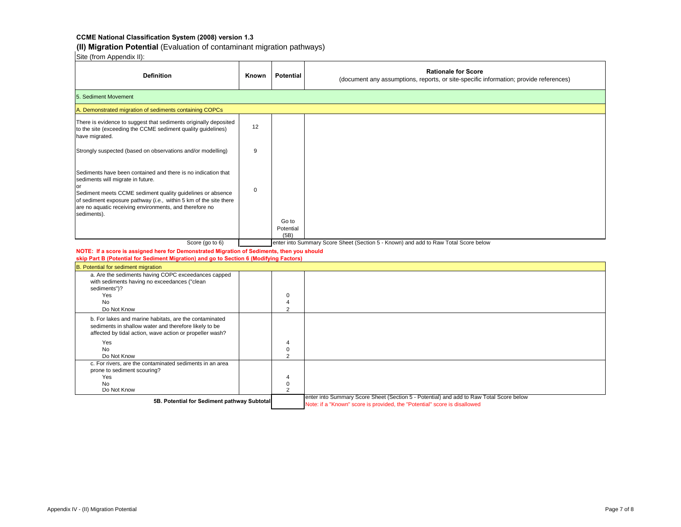**(II) Migration Potential** (Evaluation of contaminant migration pathways)

| Site (from Appendix II).                                                                                                                                                                                                                                                                                        |             |                                  |                                                                                                                                                                      |  |  |  |  |
|-----------------------------------------------------------------------------------------------------------------------------------------------------------------------------------------------------------------------------------------------------------------------------------------------------------------|-------------|----------------------------------|----------------------------------------------------------------------------------------------------------------------------------------------------------------------|--|--|--|--|
| <b>Definition</b>                                                                                                                                                                                                                                                                                               | Known       | <b>Potential</b>                 | <b>Rationale for Score</b><br>(document any assumptions, reports, or site-specific information; provide references)                                                  |  |  |  |  |
| 5. Sediment Movement                                                                                                                                                                                                                                                                                            |             |                                  |                                                                                                                                                                      |  |  |  |  |
| A. Demonstrated migration of sediments containing COPCs                                                                                                                                                                                                                                                         |             |                                  |                                                                                                                                                                      |  |  |  |  |
| There is evidence to suggest that sediments originally deposited<br>to the site (exceeding the CCME sediment quality guidelines)<br>have migrated.                                                                                                                                                              | 12          |                                  |                                                                                                                                                                      |  |  |  |  |
| Strongly suspected (based on observations and/or modelling)                                                                                                                                                                                                                                                     | 9           |                                  |                                                                                                                                                                      |  |  |  |  |
| Sediments have been contained and there is no indication that<br>sediments will migrate in future.<br>Sediment meets CCME sediment quality guidelines or absence<br>of sediment exposure pathway (i.e., within 5 km of the site there<br>are no aquatic receiving environments, and therefore no<br>sediments). | $\mathbf 0$ | Go to                            |                                                                                                                                                                      |  |  |  |  |
|                                                                                                                                                                                                                                                                                                                 |             | Potential<br>(5B)                |                                                                                                                                                                      |  |  |  |  |
| Score (go to 6)                                                                                                                                                                                                                                                                                                 |             |                                  | enter into Summary Score Sheet (Section 5 - Known) and add to Raw Total Score below                                                                                  |  |  |  |  |
| NOTE: If a score is assigned here for Demonstrated Migration of Sediments, then you should                                                                                                                                                                                                                      |             |                                  |                                                                                                                                                                      |  |  |  |  |
| skip Part B (Potential for Sediment Migration) and go to Section 6 (Modifying Factors)                                                                                                                                                                                                                          |             |                                  |                                                                                                                                                                      |  |  |  |  |
| B. Potential for sediment migration<br>a. Are the sediments having COPC exceedances capped                                                                                                                                                                                                                      |             |                                  |                                                                                                                                                                      |  |  |  |  |
| with sediments having no exceedances ("clean<br>sediments")?<br>Yes<br><b>No</b><br>Do Not Know                                                                                                                                                                                                                 |             | 0<br>4<br>$\overline{2}$         |                                                                                                                                                                      |  |  |  |  |
| b. For lakes and marine habitats, are the contaminated<br>sediments in shallow water and therefore likely to be<br>affected by tidal action, wave action or propeller wash?                                                                                                                                     |             |                                  |                                                                                                                                                                      |  |  |  |  |
| Yes<br><b>No</b><br>Do Not Know                                                                                                                                                                                                                                                                                 |             | 4<br>0<br>$\overline{2}$         |                                                                                                                                                                      |  |  |  |  |
| c. For rivers, are the contaminated sediments in an area<br>prone to sediment scouring?<br>Yes<br>No<br>Do Not Know                                                                                                                                                                                             |             | 4<br>$\pmb{0}$<br>$\overline{2}$ |                                                                                                                                                                      |  |  |  |  |
| 5B. Potential for Sediment pathway Subtotal                                                                                                                                                                                                                                                                     |             |                                  | enter into Summary Score Sheet (Section 5 - Potential) and add to Raw Total Score below<br>Note: if a "Known" score is provided, the "Potential" score is disallowed |  |  |  |  |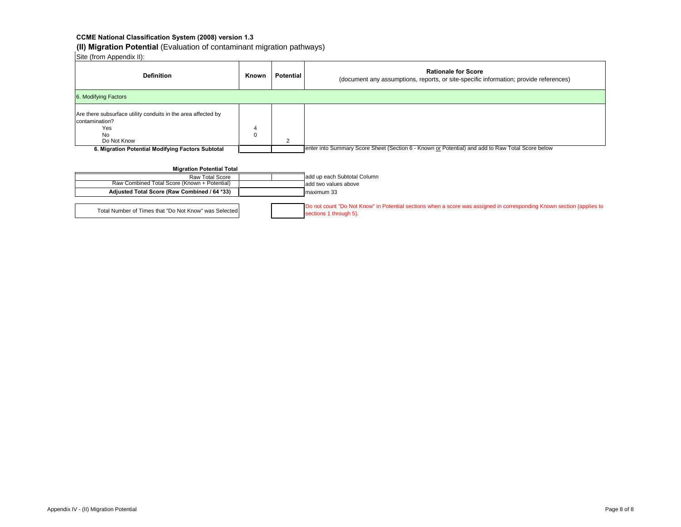**(II) Migration Potential** (Evaluation of contaminant migration pathways)

Site (from Appendix II):

| <b>Definition</b>                                                                                                                                                       | Known  | <b>Potential</b> | <b>Rationale for Score</b><br>(document any assumptions, reports, or site-specific information; provide references) |  |  |  |  |
|-------------------------------------------------------------------------------------------------------------------------------------------------------------------------|--------|------------------|---------------------------------------------------------------------------------------------------------------------|--|--|--|--|
| 6. Modifying Factors                                                                                                                                                    |        |                  |                                                                                                                     |  |  |  |  |
| Are there subsurface utility conduits in the area affected by<br>contamination?<br>Yes<br><b>No</b><br>Do Not Know<br>6. Migration Potential Modifying Factors Subtotal | 4<br>0 | $\overline{2}$   | enter into Summary Score Sheet (Section 6 - Known or Potential) and add to Raw Total Score below                    |  |  |  |  |
| <b>Migration Potential Total</b>                                                                                                                                        |        |                  |                                                                                                                     |  |  |  |  |
| Raw Total Score                                                                                                                                                         |        |                  | add up each Subtotal Column                                                                                         |  |  |  |  |
| Raw Combined Total Score (Known + Potential)                                                                                                                            |        |                  | add two values above                                                                                                |  |  |  |  |
| Adjusted Total Score (Raw Combined / 64 *33)                                                                                                                            |        |                  | maximum 33                                                                                                          |  |  |  |  |

Total Number of Times that "Do Not Know" was Selected Do not count "Do Not Know" in Potential sections when a score was assigned in corresponding Known section (applies to sections 1 through 5) sections 1 through 5).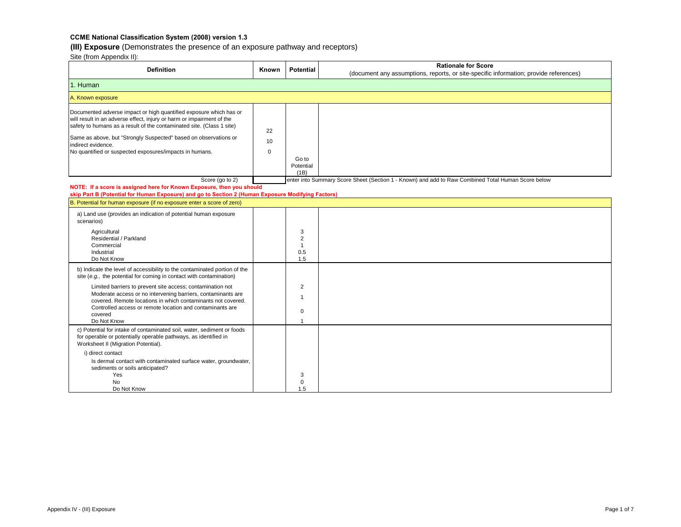# **(III) Exposure** (Demonstrates the presence of an exposure pathway and receptors)

| <b>Definition</b>                                                                                                                                                                                                                                                                                                                                                         | Known                   | Potential                                         | <b>Rationale for Score</b>                                                                         |  |  |  |
|---------------------------------------------------------------------------------------------------------------------------------------------------------------------------------------------------------------------------------------------------------------------------------------------------------------------------------------------------------------------------|-------------------------|---------------------------------------------------|----------------------------------------------------------------------------------------------------|--|--|--|
|                                                                                                                                                                                                                                                                                                                                                                           |                         |                                                   | (document any assumptions, reports, or site-specific information; provide references)              |  |  |  |
| 1. Human                                                                                                                                                                                                                                                                                                                                                                  |                         |                                                   |                                                                                                    |  |  |  |
| A. Known exposure                                                                                                                                                                                                                                                                                                                                                         |                         |                                                   |                                                                                                    |  |  |  |
| Documented adverse impact or high quantified exposure which has or<br>will result in an adverse effect, injury or harm or impairment of the<br>safety to humans as a result of the contaminated site. (Class 1 site)<br>Same as above, but "Strongly Suspected" based on observations or<br>indirect evidence.<br>No quantified or suspected exposures/impacts in humans. | 22<br>10<br>$\mathbf 0$ | Go to<br>Potential<br>(1B)                        |                                                                                                    |  |  |  |
| Score (go to 2)                                                                                                                                                                                                                                                                                                                                                           |                         |                                                   | enter into Summary Score Sheet (Section 1 - Known) and add to Raw Combined Total Human Score below |  |  |  |
| NOTE: If a score is assigned here for Known Exposure, then you should                                                                                                                                                                                                                                                                                                     |                         |                                                   |                                                                                                    |  |  |  |
| skip Part B (Potential for Human Exposure) and go to Section 2 (Human Exposure Modifying Factors)<br>B. Potential for human exposure (if no exposure enter a score of zero)                                                                                                                                                                                               |                         |                                                   |                                                                                                    |  |  |  |
| a) Land use (provides an indication of potential human exposure<br>scenarios)                                                                                                                                                                                                                                                                                             |                         |                                                   |                                                                                                    |  |  |  |
| Agricultural<br>Residential / Parkland<br>Commercial<br>Industrial<br>Do Not Know                                                                                                                                                                                                                                                                                         |                         | 3<br>$\overline{2}$<br>$\mathbf{1}$<br>0.5<br>1.5 |                                                                                                    |  |  |  |
| b) Indicate the level of accessibility to the contaminated portion of the<br>site (e.g., the potential for coming in contact with contamination)                                                                                                                                                                                                                          |                         |                                                   |                                                                                                    |  |  |  |
| Limited barriers to prevent site access; contamination not<br>Moderate access or no intervening barriers, contaminants are<br>covered. Remote locations in which contaminants not covered.<br>Controlled access or remote location and contaminants are<br>covered<br>Do Not Know                                                                                         |                         | $\overline{2}$<br>$\mathbf 1$<br>$\mathbf 0$      |                                                                                                    |  |  |  |
| c) Potential for intake of contaminated soil, water, sediment or foods<br>for operable or potentially operable pathways, as identified in<br>Worksheet II (Migration Potential).<br>i) direct contact<br>Is dermal contact with contaminated surface water, groundwater,<br>sediments or soils anticipated?<br>Yes<br>No                                                  |                         | 3                                                 |                                                                                                    |  |  |  |
| Do Not Know                                                                                                                                                                                                                                                                                                                                                               |                         | 0<br>1.5                                          |                                                                                                    |  |  |  |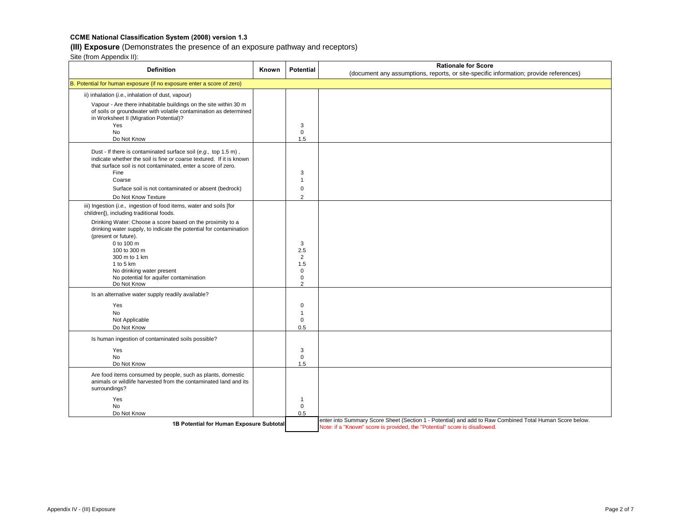# **(III) Exposure** (Demonstrates the presence of an exposure pathway and receptors)

Site (from Appendix II):

| <b>Definition</b>                                                                                                                                                                                                                                                                  | <b>Known</b> | <b>Potential</b>                                 | <b>Rationale for Score</b>                                                                                                                                                            |
|------------------------------------------------------------------------------------------------------------------------------------------------------------------------------------------------------------------------------------------------------------------------------------|--------------|--------------------------------------------------|---------------------------------------------------------------------------------------------------------------------------------------------------------------------------------------|
| B. Potential for human exposure (if no exposure enter a score of zero)                                                                                                                                                                                                             |              |                                                  | (document any assumptions, reports, or site-specific information; provide references)                                                                                                 |
|                                                                                                                                                                                                                                                                                    |              |                                                  |                                                                                                                                                                                       |
| ii) inhalation (i.e., inhalation of dust, vapour)                                                                                                                                                                                                                                  |              |                                                  |                                                                                                                                                                                       |
| Vapour - Are there inhabitable buildings on the site within 30 m<br>of soils or groundwater with volatile contamination as determined<br>in Worksheet II (Migration Potential)?                                                                                                    |              |                                                  |                                                                                                                                                                                       |
| Yes                                                                                                                                                                                                                                                                                |              | 3                                                |                                                                                                                                                                                       |
| No<br>Do Not Know                                                                                                                                                                                                                                                                  |              | $\mathbf 0$<br>1.5                               |                                                                                                                                                                                       |
| Dust - If there is contaminated surface soil (e.g., top 1.5 m),<br>indicate whether the soil is fine or coarse textured. If it is known<br>that surface soil is not contaminated, enter a score of zero.<br>Fine<br>Coarse<br>Surface soil is not contaminated or absent (bedrock) |              | 3<br>1<br>0                                      |                                                                                                                                                                                       |
| Do Not Know Texture                                                                                                                                                                                                                                                                |              | $\overline{2}$                                   |                                                                                                                                                                                       |
| iii) Ingestion (i.e., ingestion of food items, water and soils [for<br>children]), including traditional foods.                                                                                                                                                                    |              |                                                  |                                                                                                                                                                                       |
| Drinking Water: Choose a score based on the proximity to a<br>drinking water supply, to indicate the potential for contamination<br>(present or future).                                                                                                                           |              |                                                  |                                                                                                                                                                                       |
| 0 to 100 m<br>100 to 300 m<br>300 m to 1 km<br>1 to 5 km<br>No drinking water present<br>No potential for aquifer contamination<br>Do Not Know                                                                                                                                     |              | 3<br>2.5<br>2<br>1.5<br>0<br>0<br>$\overline{2}$ |                                                                                                                                                                                       |
| Is an alternative water supply readily available?                                                                                                                                                                                                                                  |              |                                                  |                                                                                                                                                                                       |
| Yes                                                                                                                                                                                                                                                                                |              | $\mathbf 0$                                      |                                                                                                                                                                                       |
| <b>No</b>                                                                                                                                                                                                                                                                          |              | 1                                                |                                                                                                                                                                                       |
| Not Applicable                                                                                                                                                                                                                                                                     |              | $\mathbf 0$                                      |                                                                                                                                                                                       |
| Do Not Know                                                                                                                                                                                                                                                                        |              | 0.5                                              |                                                                                                                                                                                       |
| Is human ingestion of contaminated soils possible?                                                                                                                                                                                                                                 |              |                                                  |                                                                                                                                                                                       |
| Yes                                                                                                                                                                                                                                                                                |              | 3                                                |                                                                                                                                                                                       |
| <b>No</b><br>Do Not Know                                                                                                                                                                                                                                                           |              | $\mathbf 0$<br>1.5                               |                                                                                                                                                                                       |
| Are food items consumed by people, such as plants, domestic<br>animals or wildlife harvested from the contaminated land and its                                                                                                                                                    |              |                                                  |                                                                                                                                                                                       |
| surroundings?                                                                                                                                                                                                                                                                      |              |                                                  |                                                                                                                                                                                       |
| Yes                                                                                                                                                                                                                                                                                |              | $\mathbf{1}$                                     |                                                                                                                                                                                       |
| No                                                                                                                                                                                                                                                                                 |              | $\mathbf 0$                                      |                                                                                                                                                                                       |
| Do Not Know                                                                                                                                                                                                                                                                        |              | 0.5                                              |                                                                                                                                                                                       |
| 1B Potential for Human Exposure Subtotal                                                                                                                                                                                                                                           |              |                                                  | enter into Summary Score Sheet (Section 1 - Potential) and add to Raw Combined Total Human Score below.<br>Note: if a "Known" score is provided, the "Potential" score is disallowed. |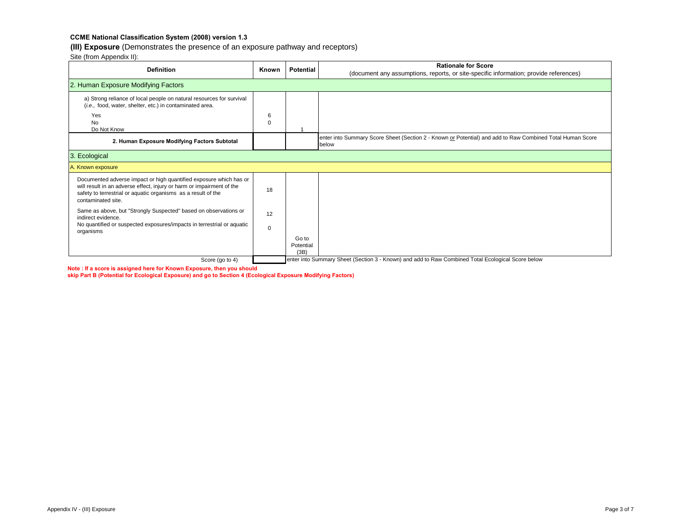# **(III) Exposure** (Demonstrates the presence of an exposure pathway and receptors)

Site (from Appendix II):

| <b>Definition</b>                                                                                                                                                                                                                  | Known         | <b>Potential</b>           | <b>Rationale for Score</b><br>(document any assumptions, reports, or site-specific information; provide references) |
|------------------------------------------------------------------------------------------------------------------------------------------------------------------------------------------------------------------------------------|---------------|----------------------------|---------------------------------------------------------------------------------------------------------------------|
| 2. Human Exposure Modifying Factors                                                                                                                                                                                                |               |                            |                                                                                                                     |
| a) Strong reliance of local people on natural resources for survival<br>(i.e., food, water, shelter, etc.) in contaminated area.                                                                                                   |               |                            |                                                                                                                     |
| Yes<br><b>No</b><br>Do Not Know                                                                                                                                                                                                    | 6<br>$\Omega$ |                            |                                                                                                                     |
| 2. Human Exposure Modifying Factors Subtotal                                                                                                                                                                                       |               |                            | enter into Summary Score Sheet (Section 2 - Known or Potential) and add to Raw Combined Total Human Score<br>below  |
| Ecological<br>3.                                                                                                                                                                                                                   |               |                            |                                                                                                                     |
| A. Known exposure                                                                                                                                                                                                                  |               |                            |                                                                                                                     |
| Documented adverse impact or high quantified exposure which has or<br>will result in an adverse effect, injury or harm or impairment of the<br>safety to terrestrial or aquatic organisms as a result of the<br>contaminated site. | 18            |                            |                                                                                                                     |
| Same as above, but "Strongly Suspected" based on observations or<br>indirect evidence.                                                                                                                                             | 12            |                            |                                                                                                                     |
| No quantified or suspected exposures/impacts in terrestrial or aquatic<br>organisms                                                                                                                                                | $\mathbf 0$   |                            |                                                                                                                     |
|                                                                                                                                                                                                                                    |               | Go to<br>Potential<br>(3B) |                                                                                                                     |
| Score (go to 4)                                                                                                                                                                                                                    |               |                            | enter into Summary Sheet (Section 3 - Known) and add to Raw Combined Total Ecological Score below                   |

**Note : If a score is assigned here for Known Exposure, then you should** 

**skip Part B (Potential for Ecological Exposure) and go to Section 4 (Ecological Exposure Modifying Factors)**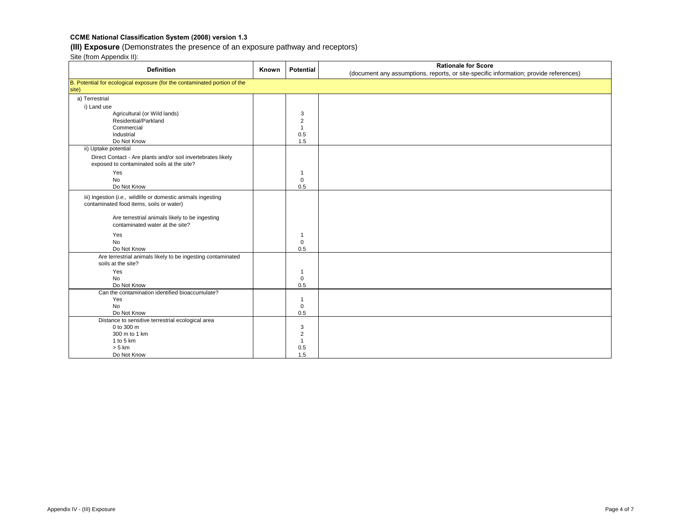# **(III) Exposure** (Demonstrates the presence of an exposure pathway and receptors)

|                                                                                   |       |                             | <b>Rationale for Score</b>                                                            |
|-----------------------------------------------------------------------------------|-------|-----------------------------|---------------------------------------------------------------------------------------|
| <b>Definition</b>                                                                 | Known | Potential                   | (document any assumptions, reports, or site-specific information; provide references) |
| B. Potential for ecological exposure (for the contaminated portion of the         |       |                             |                                                                                       |
| site)                                                                             |       |                             |                                                                                       |
| a) Terrestrial                                                                    |       |                             |                                                                                       |
| i) Land use                                                                       |       |                             |                                                                                       |
| Agricultural (or Wild lands)                                                      |       | 3                           |                                                                                       |
| Residential/Parkland                                                              |       | $\overline{2}$              |                                                                                       |
| Commercial                                                                        |       | $\overline{1}$              |                                                                                       |
| Industrial                                                                        |       | 0.5                         |                                                                                       |
| Do Not Know                                                                       |       | 1.5                         |                                                                                       |
| ii) Uptake potential                                                              |       |                             |                                                                                       |
| Direct Contact - Are plants and/or soil invertebrates likely                      |       |                             |                                                                                       |
| exposed to contaminated soils at the site?                                        |       |                             |                                                                                       |
| Yes                                                                               |       | $\mathbf 1$                 |                                                                                       |
| <b>No</b>                                                                         |       | $\mathbf 0$                 |                                                                                       |
| Do Not Know                                                                       |       | 0.5                         |                                                                                       |
| iii) Ingestion (i.e., wildlife or domestic animals ingesting                      |       |                             |                                                                                       |
| contaminated food items, soils or water)                                          |       |                             |                                                                                       |
|                                                                                   |       |                             |                                                                                       |
| Are terrestrial animals likely to be ingesting                                    |       |                             |                                                                                       |
| contaminated water at the site?                                                   |       |                             |                                                                                       |
| Yes                                                                               |       | $\overline{1}$              |                                                                                       |
| <b>No</b>                                                                         |       | $\mathbf 0$                 |                                                                                       |
| Do Not Know                                                                       |       | 0.5                         |                                                                                       |
|                                                                                   |       |                             |                                                                                       |
| Are terrestrial animals likely to be ingesting contaminated<br>soils at the site? |       |                             |                                                                                       |
| Yes                                                                               |       |                             |                                                                                       |
| <b>No</b>                                                                         |       | $\mathbf{1}$<br>$\mathbf 0$ |                                                                                       |
| Do Not Know                                                                       |       | 0.5                         |                                                                                       |
| Can the contamination identified bioaccumulate?                                   |       |                             |                                                                                       |
| Yes                                                                               |       | $\mathbf{1}$                |                                                                                       |
| <b>No</b>                                                                         |       | $\mathbf 0$                 |                                                                                       |
| Do Not Know                                                                       |       | 0.5                         |                                                                                       |
| Distance to sensitive terrestrial ecological area                                 |       |                             |                                                                                       |
| 0 to 300 m                                                                        |       | 3                           |                                                                                       |
| 300 m to 1 km                                                                     |       | $\overline{2}$              |                                                                                       |
| 1 to 5 $km$                                                                       |       | $\overline{1}$              |                                                                                       |
| $> 5$ km                                                                          |       | 0.5                         |                                                                                       |
| Do Not Know                                                                       |       | 1.5                         |                                                                                       |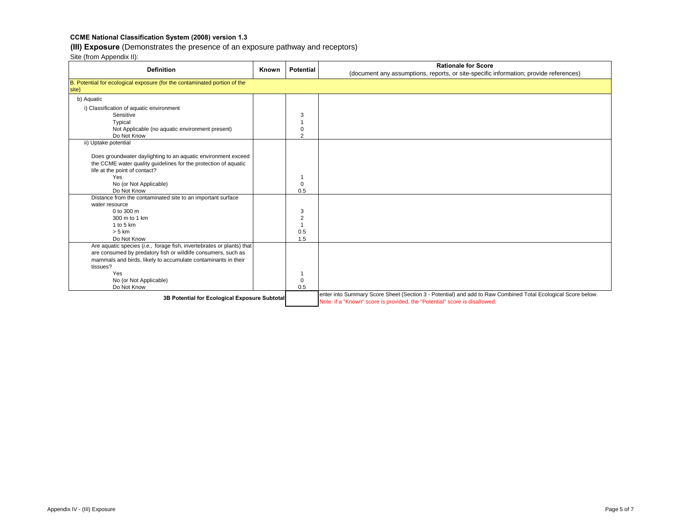# **(III) Exposure** (Demonstrates the presence of an exposure pathway and receptors)

| <b>Definition</b>                                                                                | Known | <b>Potential</b> | <b>Rationale for Score</b><br>(document any assumptions, reports, or site-specific information; provide references) |
|--------------------------------------------------------------------------------------------------|-------|------------------|---------------------------------------------------------------------------------------------------------------------|
| B. Potential for ecological exposure (for the contaminated portion of the<br>site)               |       |                  |                                                                                                                     |
| b) Aquatic                                                                                       |       |                  |                                                                                                                     |
| i) Classification of aquatic environment                                                         |       |                  |                                                                                                                     |
| Sensitive                                                                                        |       | 3                |                                                                                                                     |
| Typical                                                                                          |       |                  |                                                                                                                     |
| Not Applicable (no aquatic environment present)                                                  |       | $\Omega$         |                                                                                                                     |
| Do Not Know                                                                                      |       | 2                |                                                                                                                     |
| ii) Uptake potential                                                                             |       |                  |                                                                                                                     |
|                                                                                                  |       |                  |                                                                                                                     |
| Does groundwater daylighting to an aquatic environment exceed                                    |       |                  |                                                                                                                     |
| the CCME water quality quidelines for the protection of aquatic<br>life at the point of contact? |       |                  |                                                                                                                     |
| Yes                                                                                              |       |                  |                                                                                                                     |
| No (or Not Applicable)                                                                           |       | $\mathbf 0$      |                                                                                                                     |
| Do Not Know                                                                                      |       | 0.5              |                                                                                                                     |
| Distance from the contaminated site to an important surface                                      |       |                  |                                                                                                                     |
| water resource                                                                                   |       |                  |                                                                                                                     |
| 0 to 300 m                                                                                       |       | 3                |                                                                                                                     |
| 300 m to 1 km                                                                                    |       | $\overline{2}$   |                                                                                                                     |
| 1 to 5 $km$                                                                                      |       |                  |                                                                                                                     |
| $> 5$ km                                                                                         |       | 0.5              |                                                                                                                     |
| Do Not Know                                                                                      |       | 1.5              |                                                                                                                     |
| Are aquatic species (i.e., forage fish, invertebrates or plants) that                            |       |                  |                                                                                                                     |
| are consumed by predatory fish or wildlife consumers, such as                                    |       |                  |                                                                                                                     |
| mammals and birds, likely to accumulate contaminants in their                                    |       |                  |                                                                                                                     |
| tissues?                                                                                         |       |                  |                                                                                                                     |
| Yes                                                                                              |       |                  |                                                                                                                     |
| No (or Not Applicable)                                                                           |       | $\mathbf 0$      |                                                                                                                     |
| Do Not Know                                                                                      |       | 0.5              |                                                                                                                     |
| 3B Potential for Ecological Exposure Subtotal                                                    |       |                  | enter into Summary Score Sheet (Section 3 - Potential) and add to Raw Combined Total Ecological Score below.        |
|                                                                                                  |       |                  | Note: if a "Known" score is provided, the "Potential" score is disallowed.                                          |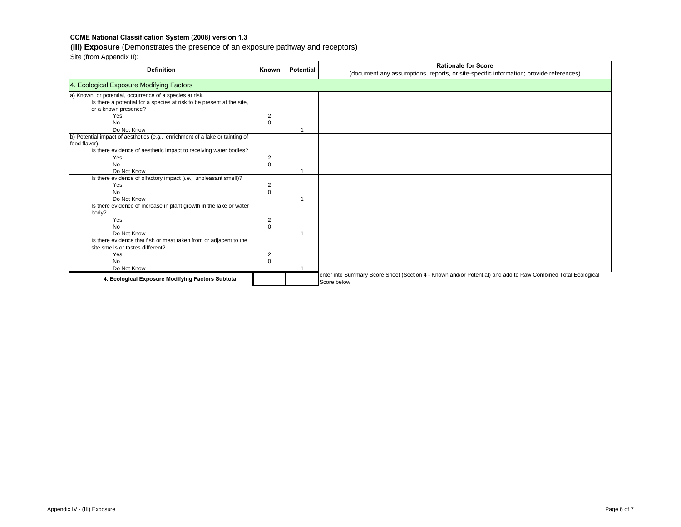# **(III) Exposure** (Demonstrates the presence of an exposure pathway and receptors)

| <b>Definition</b>                                                            | Known          | <b>Potential</b> | <b>Rationale for Score</b><br>(document any assumptions, reports, or site-specific information; provide references)         |
|------------------------------------------------------------------------------|----------------|------------------|-----------------------------------------------------------------------------------------------------------------------------|
| 4. Ecological Exposure Modifying Factors                                     |                |                  |                                                                                                                             |
| a) Known, or potential, occurrence of a species at risk.                     |                |                  |                                                                                                                             |
| Is there a potential for a species at risk to be present at the site,        |                |                  |                                                                                                                             |
| or a known presence?                                                         |                |                  |                                                                                                                             |
| Yes                                                                          | 2              |                  |                                                                                                                             |
| <b>No</b><br>Do Not Know                                                     | $\Omega$       |                  |                                                                                                                             |
| b) Potential impact of aesthetics (e.g., enrichment of a lake or tainting of |                |                  |                                                                                                                             |
| food flavor).                                                                |                |                  |                                                                                                                             |
| Is there evidence of aesthetic impact to receiving water bodies?             |                |                  |                                                                                                                             |
| Yes                                                                          | 2              |                  |                                                                                                                             |
| <b>No</b>                                                                    | $\Omega$       |                  |                                                                                                                             |
| Do Not Know                                                                  |                |                  |                                                                                                                             |
| Is there evidence of olfactory impact (i.e., unpleasant smell)?              |                |                  |                                                                                                                             |
| Yes                                                                          | $\overline{2}$ |                  |                                                                                                                             |
| <b>No</b>                                                                    | $\Omega$       |                  |                                                                                                                             |
| Do Not Know                                                                  |                |                  |                                                                                                                             |
| Is there evidence of increase in plant growth in the lake or water           |                |                  |                                                                                                                             |
| body?                                                                        |                |                  |                                                                                                                             |
| Yes                                                                          | 2              |                  |                                                                                                                             |
| <b>No</b><br>Do Not Know                                                     | $\Omega$       |                  |                                                                                                                             |
| Is there evidence that fish or meat taken from or adjacent to the            |                |                  |                                                                                                                             |
| site smells or tastes different?                                             |                |                  |                                                                                                                             |
| Yes                                                                          | 2              |                  |                                                                                                                             |
| <b>No</b>                                                                    | $\Omega$       |                  |                                                                                                                             |
| Do Not Know                                                                  |                |                  |                                                                                                                             |
| 4. Ecological Exposure Modifying Factors Subtotal                            |                |                  | enter into Summary Score Sheet (Section 4 - Known and/or Potential) and add to Raw Combined Total Ecological<br>Score below |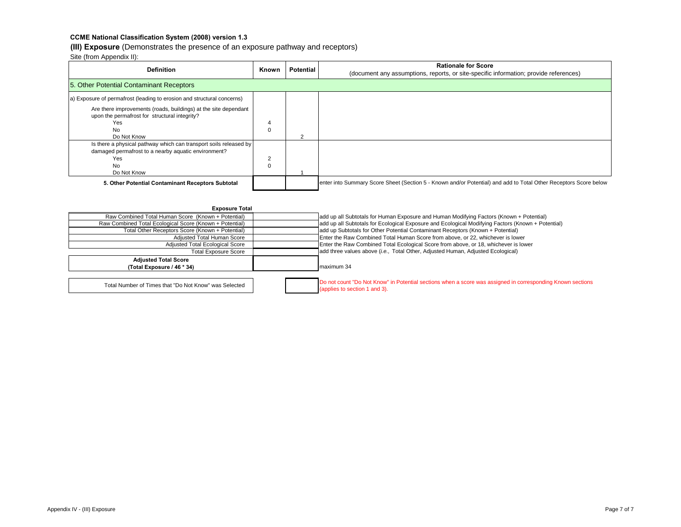#### **(III) Exposure** (Demonstrates the presence of an exposure pathway and receptors)

| <b>Definition</b>                                                                                                                                                                                                             | Known    | <b>Potential</b> | <b>Rationale for Score</b><br>(document any assumptions, reports, or site-specific information; provide references) |  |  |
|-------------------------------------------------------------------------------------------------------------------------------------------------------------------------------------------------------------------------------|----------|------------------|---------------------------------------------------------------------------------------------------------------------|--|--|
| 5. Other Potential Contaminant Receptors                                                                                                                                                                                      |          |                  |                                                                                                                     |  |  |
| a) Exposure of permafrost (leading to erosion and structural concerns)<br>Are there improvements (roads, buildings) at the site dependant<br>upon the permafrost for structural integrity?<br>Yes<br><b>No</b><br>Do Not Know | $\Omega$ | $\sqrt{2}$       |                                                                                                                     |  |  |
| Is there a physical pathway which can transport soils released by<br>damaged permafrost to a nearby aquatic environment?<br>Yes<br><b>No</b><br>Do Not Know                                                                   | $\Omega$ |                  |                                                                                                                     |  |  |
| 5. Other Potential Contaminant Receptors Subtotal                                                                                                                                                                             |          |                  | enter into Summary Score Sheet (Section 5 - Known and/or Potential) and add to Total Other Receptors Score below    |  |  |

| <b>Exposure Total</b>                                   |                                                                                                                                             |
|---------------------------------------------------------|---------------------------------------------------------------------------------------------------------------------------------------------|
| Raw Combined Total Human Score (Known + Potential)      | add up all Subtotals for Human Exposure and Human Modifying Factors (Known + Potential)                                                     |
| Raw Combined Total Ecological Score (Known + Potential) | add up all Subtotals for Ecological Exposure and Ecological Modifying Factors (Known + Potential)                                           |
| Total Other Receptors Score (Known + Potential)         | add up Subtotals for Other Potential Contaminant Receptors (Known + Potential)                                                              |
| Adjusted Total Human Score                              | Enter the Raw Combined Total Human Score from above, or 22, whichever is lower                                                              |
| Adjusted Total Ecological Score                         | Enter the Raw Combined Total Ecological Score from above, or 18, whichever is lower                                                         |
| <b>Total Exposure Score</b>                             | add three values above (i.e., Total Other, Adjusted Human, Adjusted Ecological)                                                             |
| <b>Adjusted Total Score</b>                             |                                                                                                                                             |
| (Total Exposure / 46 * 34)                              | maximum 34                                                                                                                                  |
|                                                         |                                                                                                                                             |
| Total Number of Times that "Do Not Know" was Selected   | Do not count "Do Not Know" in Potential sections when a score was assigned in corresponding Known sections<br>(applies to section 1 and 3). |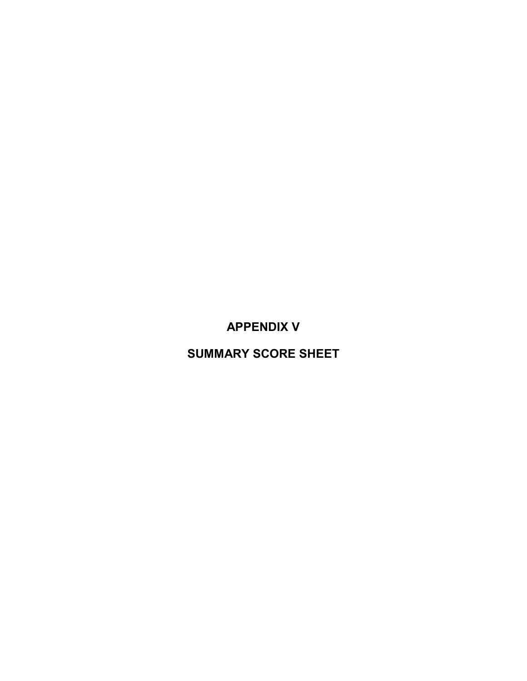**APPENDIX V**

**SUMMARY SCORE SHEET**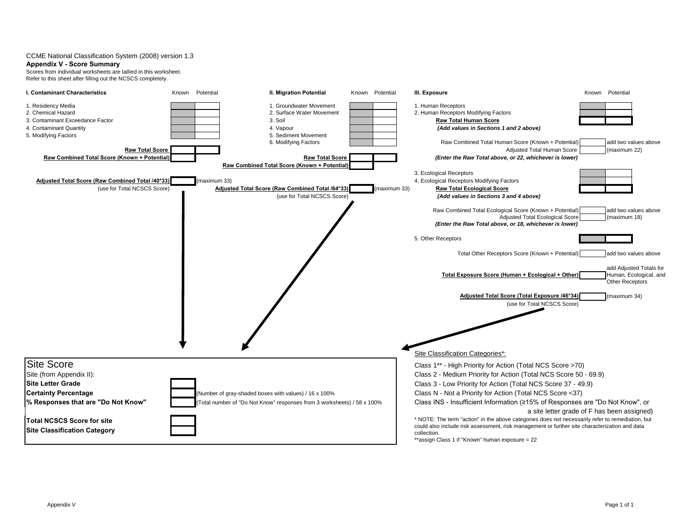#### **Appendix V - Score Summary**

Scores from individual worksheets are tallied in this worksheet. Refer to this sheet after filling out the NCSCS completely.

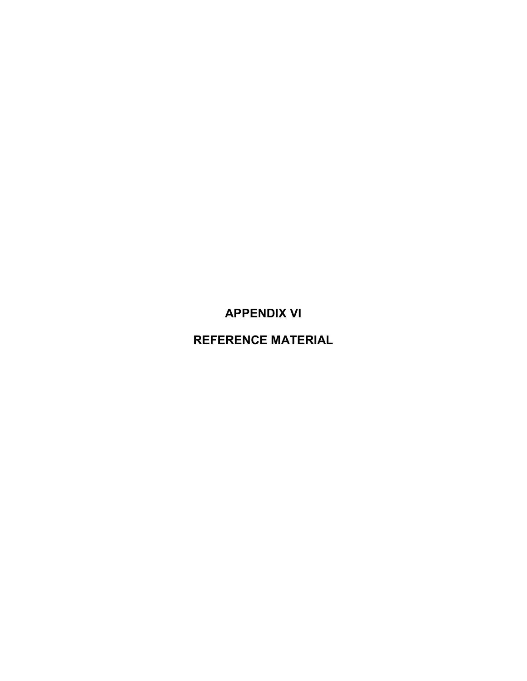**APPENDIX VI**

**REFERENCE MATERIAL**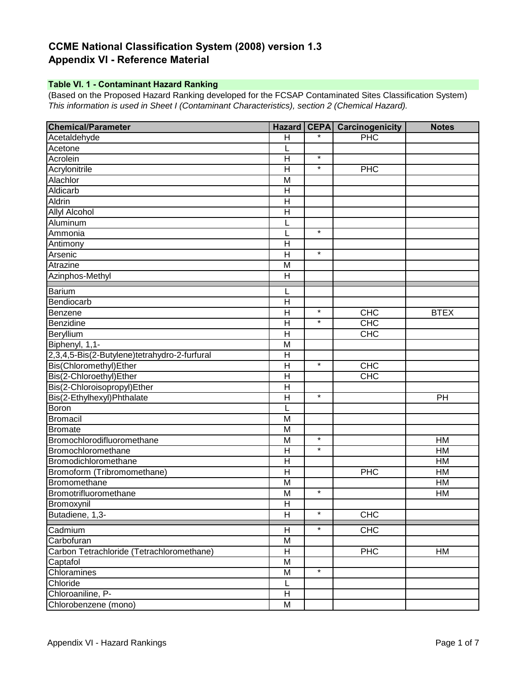# **CCME National Classification System (2008) version 1.3 Appendix VI - Reference Material**

# **Table VI. 1 - Contaminant Hazard Ranking**

(Based on the Proposed Hazard Ranking developed for the FCSAP Contaminated Sites Classification System) *This information is used in Sheet I (Contaminant Characteristics), section 2 (Chemical Hazard).*

| <b>Chemical/Parameter</b>                    | <b>Hazard</b>             | <b>CEPA</b> | <b>Carcinogenicity</b> | <b>Notes</b>    |
|----------------------------------------------|---------------------------|-------------|------------------------|-----------------|
| Acetaldehyde                                 | H                         |             | PHC                    |                 |
| Acetone                                      | L                         |             |                        |                 |
| Acrolein                                     | H                         | $\star$     |                        |                 |
| Acrylonitrile                                | H                         | $\star$     | <b>PHC</b>             |                 |
| Alachlor                                     | M                         |             |                        |                 |
| Aldicarb                                     | $\mathsf{H}$              |             |                        |                 |
| <b>Aldrin</b>                                | H                         |             |                        |                 |
| <b>Allyl Alcohol</b>                         | $\mathsf{H}$              |             |                        |                 |
| Aluminum                                     |                           |             |                        |                 |
| Ammonia                                      | L                         | $\star$     |                        |                 |
| Antimony                                     | $\mathsf{H}$              |             |                        |                 |
| Arsenic                                      | H                         | $\star$     |                        |                 |
| Atrazine                                     | M                         |             |                        |                 |
| Azinphos-Methyl                              | $\mathsf{H}$              |             |                        |                 |
| <b>Barium</b>                                | L                         |             |                        |                 |
| Bendiocarb                                   | H                         |             |                        |                 |
| Benzene                                      | $\overline{\mathsf{H}}$   | $\ast$      | CHC                    | <b>BTEX</b>     |
| Benzidine                                    | $\overline{\mathsf{H}}$   | $\star$     | CHC                    |                 |
| Beryllium                                    | $\mathsf{H}$              |             | CHC                    |                 |
| Biphenyl, 1,1-                               | M                         |             |                        |                 |
| 2,3,4,5-Bis(2-Butylene)tetrahydro-2-furfural | H                         |             |                        |                 |
| Bis(Chloromethyl)Ether                       | $\mathsf{H}$              | $\star$     | <b>CHC</b>             |                 |
| Bis(2-Chloroethyl)Ether                      | $\mathsf{H}$              |             | CHC                    |                 |
| Bis(2-Chloroisopropyl)Ether                  | H                         |             |                        |                 |
| Bis(2-Ethylhexyl)Phthalate                   | $\mathsf{H}$              | $\star$     |                        | PH              |
| Boron                                        |                           |             |                        |                 |
| <b>Bromacil</b>                              | M                         |             |                        |                 |
| <b>Bromate</b>                               | M                         |             |                        |                 |
| Bromochlorodifluoromethane                   | M                         | $\star$     |                        | HM              |
| Bromochloromethane                           | $\overline{\mathsf{H}}$   | $\star$     |                        | $\overline{HM}$ |
| Bromodichloromethane                         | $\mathsf{H}$              |             |                        | HM              |
| Bromoform (Tribromomethane)                  | $\mathsf{H}$              |             | PHC                    | HM              |
| Bromomethane                                 | M                         |             |                        | HM              |
| Bromotrifluoromethane                        | M                         | $\star$     |                        | HM              |
| Bromoxynil                                   | $\overline{H}$            |             |                        |                 |
| Butadiene, 1,3-                              | H                         | $\star$     | <b>CHC</b>             |                 |
| Cadmium                                      | Н                         | $\star$     | CHC                    |                 |
| Carbofuran                                   | M                         |             |                        |                 |
| Carbon Tetrachloride (Tetrachloromethane)    | $\boldsymbol{\mathsf{H}}$ |             | <b>PHC</b>             | HM              |
| Captafol                                     | M                         |             |                        |                 |
| Chloramines                                  | M                         | $\star$     |                        |                 |
| Chloride                                     | L                         |             |                        |                 |
| Chloroaniline, P-                            | $\overline{H}$            |             |                        |                 |
| Chlorobenzene (mono)                         | M                         |             |                        |                 |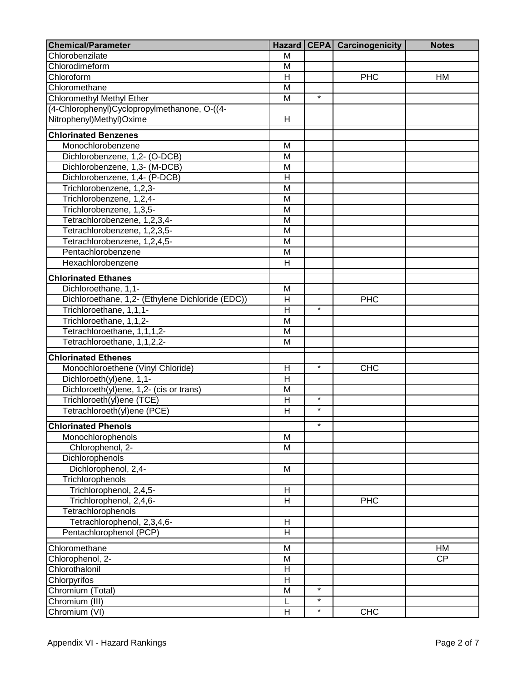| <b>Chemical/Parameter</b>                        | <b>Hazard</b>           |         | <b>CEPA</b> Carcinogenicity | <b>Notes</b> |
|--------------------------------------------------|-------------------------|---------|-----------------------------|--------------|
| Chlorobenzilate                                  | M                       |         |                             |              |
| Chlorodimeform                                   | M                       |         |                             |              |
| Chloroform                                       | $\overline{\mathsf{H}}$ |         | PHC                         | HM           |
| Chloromethane                                    | M                       |         |                             |              |
| <b>Chloromethyl Methyl Ether</b>                 | M                       | $\star$ |                             |              |
| (4-Chlorophenyl)Cyclopropylmethanone, O-((4-     |                         |         |                             |              |
| Nitrophenyl)Methyl)Oxime                         | Н                       |         |                             |              |
| <b>Chlorinated Benzenes</b>                      |                         |         |                             |              |
| Monochlorobenzene                                | M                       |         |                             |              |
| Dichlorobenzene, 1,2- (O-DCB)                    | M                       |         |                             |              |
| Dichlorobenzene, 1,3- (M-DCB)                    | M                       |         |                             |              |
| Dichlorobenzene, 1,4- (P-DCB)                    | $\overline{\mathsf{H}}$ |         |                             |              |
| Trichlorobenzene, 1,2,3-                         | M                       |         |                             |              |
| Trichlorobenzene, 1,2,4-                         | M                       |         |                             |              |
| Trichlorobenzene, 1,3,5-                         | M                       |         |                             |              |
| Tetrachlorobenzene, 1,2,3,4-                     | $\overline{\mathsf{M}}$ |         |                             |              |
| Tetrachlorobenzene, 1,2,3,5-                     | M                       |         |                             |              |
| Tetrachlorobenzene, 1,2,4,5-                     | M                       |         |                             |              |
| Pentachlorobenzene                               | M                       |         |                             |              |
| Hexachlorobenzene                                | $\overline{\mathsf{H}}$ |         |                             |              |
| <b>Chlorinated Ethanes</b>                       |                         |         |                             |              |
| Dichloroethane, 1,1-                             | M                       |         |                             |              |
| Dichloroethane, 1,2- (Ethylene Dichloride (EDC)) | $\overline{H}$          |         | <b>PHC</b>                  |              |
| Trichloroethane, 1,1,1-                          | H                       | $\star$ |                             |              |
| Trichloroethane, 1,1,2-                          | M                       |         |                             |              |
| Tetrachloroethane, 1,1,1,2-                      | M                       |         |                             |              |
| Tetrachloroethane, 1,1,2,2-                      | M                       |         |                             |              |
| <b>Chlorinated Ethenes</b>                       |                         |         |                             |              |
| Monochloroethene (Vinyl Chloride)                | Н                       | $\star$ | <b>CHC</b>                  |              |
| Dichloroeth(yl)ene, 1,1-                         | $\overline{\mathsf{H}}$ |         |                             |              |
| Dichloroeth(yl)ene, 1,2- (cis or trans)          | M                       |         |                             |              |
| Trichloroeth(yl)ene (TCE)                        | H                       | $\star$ |                             |              |
| Tetrachloroeth(yl)ene (PCE)                      | Η                       | $\star$ |                             |              |
| <b>Chlorinated Phenols</b>                       |                         |         |                             |              |
| Monochlorophenols                                | M                       |         |                             |              |
| Chlorophenol, 2-                                 | M                       |         |                             |              |
| Dichlorophenols                                  |                         |         |                             |              |
| Dichlorophenol, 2,4-                             | M                       |         |                             |              |
| Trichlorophenols                                 |                         |         |                             |              |
| Trichlorophenol, 2,4,5-                          | Н                       |         |                             |              |
| Trichlorophenol, 2,4,6-                          | H                       |         | <b>PHC</b>                  |              |
| Tetrachlorophenols                               |                         |         |                             |              |
| Tetrachlorophenol, 2,3,4,6-                      | $\overline{H}$          |         |                             |              |
| Pentachlorophenol (PCP)                          | $\overline{\mathsf{H}}$ |         |                             |              |
| Chloromethane                                    | M                       |         |                             | HM           |
| Chlorophenol, 2-                                 | M                       |         |                             | <b>CP</b>    |
| Chlorothalonil                                   | H                       |         |                             |              |
| Chlorpyrifos                                     | $\overline{H}$          |         |                             |              |
| Chromium (Total)                                 | M                       | $\star$ |                             |              |
| Chromium (III)                                   | L                       | $\star$ |                             |              |
| Chromium (VI)                                    | H                       | $\star$ | <b>CHC</b>                  |              |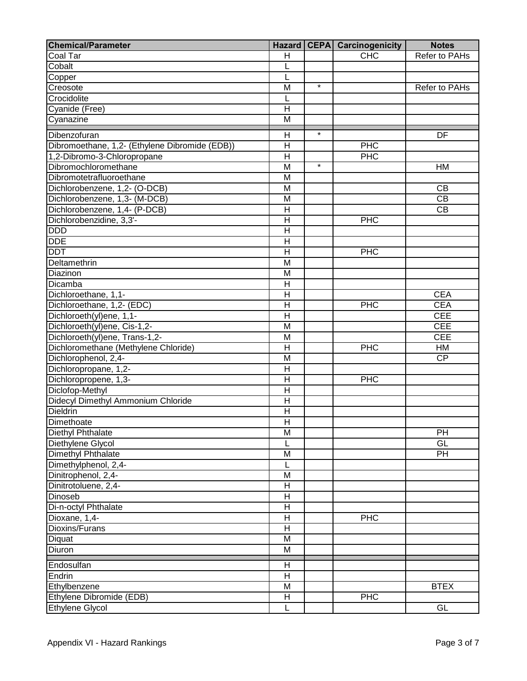| <b>Chemical/Parameter</b>                      |                         |         | <b>Hazard CEPA Carcinogenicity</b> | <b>Notes</b>         |
|------------------------------------------------|-------------------------|---------|------------------------------------|----------------------|
| Coal Tar                                       | H                       |         | CHC                                | <b>Refer to PAHs</b> |
| Cobalt                                         | L                       |         |                                    |                      |
| Copper                                         | L                       |         |                                    |                      |
| Creosote                                       | M                       | $\star$ |                                    | Refer to PAHs        |
| Crocidolite                                    | L                       |         |                                    |                      |
| Cyanide (Free)                                 | Η                       |         |                                    |                      |
| Cyanazine                                      | $\overline{M}$          |         |                                    |                      |
| Dibenzofuran                                   | H                       | $\star$ |                                    | DF                   |
| Dibromoethane, 1,2- (Ethylene Dibromide (EDB)) | H                       |         | <b>PHC</b>                         |                      |
| 1,2-Dibromo-3-Chloropropane                    | $\overline{\mathsf{H}}$ |         | <b>PHC</b>                         |                      |
| Dibromochloromethane                           | M                       | $\star$ |                                    | HM                   |
| Dibromotetrafluoroethane                       | M                       |         |                                    |                      |
|                                                |                         |         |                                    |                      |
| Dichlorobenzene, 1,2- (O-DCB)                  | M                       |         |                                    | CB                   |
| Dichlorobenzene, 1,3- (M-DCB)                  | M                       |         |                                    | $\overline{CB}$      |
| Dichlorobenzene, 1,4- (P-DCB)                  | $\overline{\mathsf{H}}$ |         |                                    | $\overline{CB}$      |
| Dichlorobenzidine, 3,3'-                       | $\overline{\mathsf{H}}$ |         | <b>PHC</b>                         |                      |
| <b>DDD</b>                                     | Н                       |         |                                    |                      |
| <b>DDE</b>                                     | $\overline{\mathsf{H}}$ |         |                                    |                      |
| <b>DDT</b>                                     | $\overline{\mathsf{H}}$ |         | PHC                                |                      |
| Deltamethrin                                   | M                       |         |                                    |                      |
| Diazinon                                       | M                       |         |                                    |                      |
| Dicamba                                        | $\overline{\mathsf{H}}$ |         |                                    |                      |
| Dichloroethane, 1,1-                           | $\overline{\mathsf{H}}$ |         |                                    | <b>CEA</b>           |
| Dichloroethane, 1,2- (EDC)                     | H                       |         | <b>PHC</b>                         | <b>CEA</b>           |
| Dichloroeth(yl)ene, 1,1-                       | $\overline{H}$          |         |                                    | <b>CEE</b>           |
| Dichloroeth(yl)ene, Cis-1,2-                   | M                       |         |                                    | <b>CEE</b>           |
| Dichloroeth(yl)ene, Trans-1,2-                 | M                       |         |                                    | <b>CEE</b>           |
| Dichloromethane (Methylene Chloride)           | H                       |         | <b>PHC</b>                         | HM                   |
| Dichlorophenol, 2,4-                           | M                       |         |                                    | <b>CP</b>            |
| Dichloropropane, 1,2-                          | Н                       |         |                                    |                      |
| Dichloropropene, 1,3-                          | $\overline{H}$          |         | <b>PHC</b>                         |                      |
| Diclofop-Methyl                                | H                       |         |                                    |                      |
| Didecyl Dimethyl Ammonium Chloride             | Н                       |         |                                    |                      |
| Dieldrin                                       | Η                       |         |                                    |                      |
| Dimethoate                                     | $\overline{H}$          |         |                                    |                      |
| Diethyl Phthalate                              | M                       |         |                                    | PH                   |
| Diethylene Glycol                              | L                       |         |                                    | GL                   |
| Dimethyl Phthalate                             | М                       |         |                                    | <b>PH</b>            |
| Dimethylphenol, 2,4-                           |                         |         |                                    |                      |
| Dinitrophenol, 2,4-                            | M                       |         |                                    |                      |
| Dinitrotoluene, 2,4-                           | Н                       |         |                                    |                      |
| Dinoseb                                        | Н                       |         |                                    |                      |
| Di-n-octyl Phthalate                           | Н                       |         |                                    |                      |
| Dioxane, 1,4-                                  | Н                       |         | <b>PHC</b>                         |                      |
| Dioxins/Furans                                 | Η                       |         |                                    |                      |
| Diquat                                         | M                       |         |                                    |                      |
| Diuron                                         | M                       |         |                                    |                      |
| Endosulfan                                     | Η                       |         |                                    |                      |
| Endrin                                         | H                       |         |                                    |                      |
| Ethylbenzene                                   | M                       |         |                                    | <b>BTEX</b>          |
| Ethylene Dibromide (EDB)                       | H                       |         | <b>PHC</b>                         |                      |
| Ethylene Glycol                                | L                       |         |                                    | GL                   |
|                                                |                         |         |                                    |                      |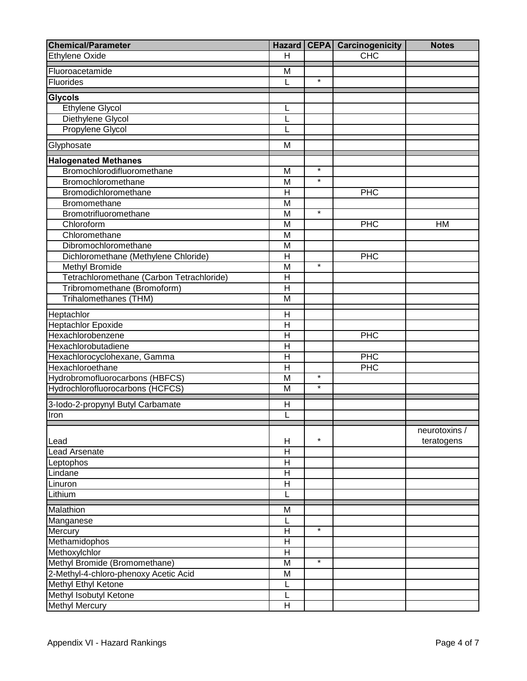| <b>Chemical/Parameter</b>                      |                              |         | Hazard   CEPA   Carcinogenicity | <b>Notes</b>  |
|------------------------------------------------|------------------------------|---------|---------------------------------|---------------|
| <b>Ethylene Oxide</b>                          | Н                            |         | CHC                             |               |
| Fluoroacetamide                                | M                            |         |                                 |               |
| Fluorides                                      | L                            | $\star$ |                                 |               |
|                                                |                              |         |                                 |               |
| <b>Glycols</b>                                 |                              |         |                                 |               |
| Ethylene Glycol                                | L                            |         |                                 |               |
| Diethylene Glycol                              | L                            |         |                                 |               |
| Propylene Glycol                               | L                            |         |                                 |               |
| Glyphosate                                     | M                            |         |                                 |               |
| <b>Halogenated Methanes</b>                    |                              |         |                                 |               |
| Bromochlorodifluoromethane                     | M                            | $\star$ |                                 |               |
| Bromochloromethane                             | M                            | $\star$ |                                 |               |
| Bromodichloromethane                           | $\overline{H}$               |         | PHC                             |               |
| Bromomethane                                   | M                            |         |                                 |               |
| Bromotrifluoromethane                          | M                            | $\star$ |                                 |               |
| Chloroform                                     | M                            |         | <b>PHC</b>                      | HM            |
| Chloromethane                                  | M                            |         |                                 |               |
| Dibromochloromethane                           | M                            |         |                                 |               |
| Dichloromethane (Methylene Chloride)           | $\mathsf{H}$                 |         | <b>PHC</b>                      |               |
| Methyl Bromide                                 | M                            | $\star$ |                                 |               |
| Tetrachloromethane (Carbon Tetrachloride)      | $\overline{\mathsf{H}}$      |         |                                 |               |
| Tribromomethane (Bromoform)                    | H                            |         |                                 |               |
| Trihalomethanes (THM)                          | M                            |         |                                 |               |
|                                                |                              |         |                                 |               |
| Heptachlor                                     | H<br>$\mathsf{H}$            |         |                                 |               |
| <b>Heptachlor Epoxide</b><br>Hexachlorobenzene | $\mathsf{H}$                 |         | PHC                             |               |
| Hexachlorobutadiene                            | $\mathsf{H}$                 |         |                                 |               |
| Hexachlorocyclohexane, Gamma                   | $\overline{\mathsf{H}}$      |         | <b>PHC</b>                      |               |
| Hexachloroethane                               | $\mathsf{H}$                 |         | PHC                             |               |
| Hydrobromofluorocarbons (HBFCS)                | M                            | $\star$ |                                 |               |
| Hydrochlorofluorocarbons (HCFCS)               | M                            | $\star$ |                                 |               |
|                                                |                              |         |                                 |               |
| 3-lodo-2-propynyl Butyl Carbamate              | H                            |         |                                 |               |
| Iron                                           | Ĺ                            |         |                                 |               |
|                                                |                              |         |                                 | neurotoxins / |
| Lead                                           | H                            | $\star$ |                                 | teratogens    |
| <b>Lead Arsenate</b>                           | $\mathsf{H}$                 |         |                                 |               |
| Leptophos                                      | Н                            |         |                                 |               |
| Lindane                                        | $\mathsf{H}$                 |         |                                 |               |
| Linuron                                        | Н                            |         |                                 |               |
| Lithium                                        | L                            |         |                                 |               |
|                                                |                              |         |                                 |               |
| Malathion                                      | M                            |         |                                 |               |
| Manganese                                      | L                            | $\star$ |                                 |               |
| Mercury                                        | H<br>$\overline{\mathsf{H}}$ |         |                                 |               |
| Methamidophos                                  |                              |         |                                 |               |
| Methoxylchlor                                  | H                            | $\star$ |                                 |               |
| Methyl Bromide (Bromomethane)                  | $\overline{\mathsf{M}}$      |         |                                 |               |
| 2-Methyl-4-chloro-phenoxy Acetic Acid          | M                            |         |                                 |               |
| Methyl Ethyl Ketone                            | L                            |         |                                 |               |
| Methyl Isobutyl Ketone                         |                              |         |                                 |               |
| <b>Methyl Mercury</b>                          | H                            |         |                                 |               |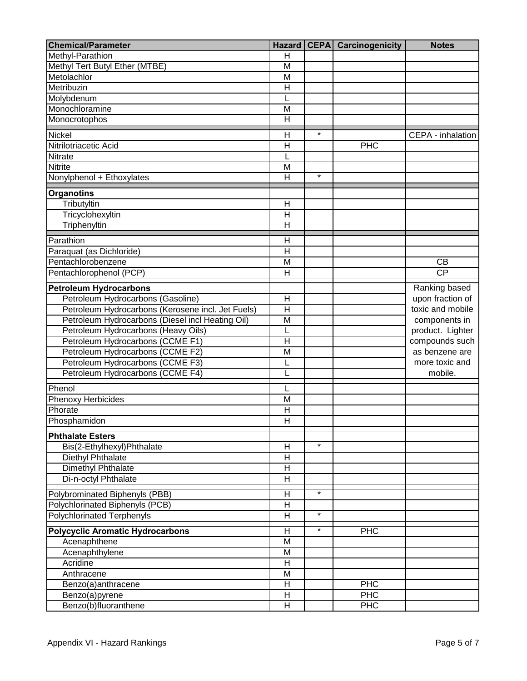| <b>Chemical/Parameter</b>                         |                         |         | <b>Hazard CEPA Carcinogenicity</b> | <b>Notes</b>      |
|---------------------------------------------------|-------------------------|---------|------------------------------------|-------------------|
| Methyl-Parathion                                  | $\mathsf{H}$            |         |                                    |                   |
| Methyl Tert Butyl Ether (MTBE)                    | $\overline{\mathsf{M}}$ |         |                                    |                   |
| Metolachlor                                       | M                       |         |                                    |                   |
| Metribuzin                                        | $\overline{\mathsf{H}}$ |         |                                    |                   |
| Molybdenum                                        |                         |         |                                    |                   |
| Monochloramine                                    | M                       |         |                                    |                   |
| Monocrotophos                                     | $\overline{\mathsf{H}}$ |         |                                    |                   |
| Nickel                                            | $\mathsf{H}$            | $\star$ |                                    | CEPA - inhalation |
| Nitrilotriacetic Acid                             | $\overline{\mathsf{H}}$ |         | PHC                                |                   |
| Nitrate                                           |                         |         |                                    |                   |
| <b>Nitrite</b>                                    | M                       |         |                                    |                   |
| Nonylphenol + Ethoxylates                         | $\mathsf{H}$            | $\star$ |                                    |                   |
| <b>Organotins</b>                                 |                         |         |                                    |                   |
| Tributyltin                                       | H                       |         |                                    |                   |
| Tricyclohexyltin                                  | $\mathsf{H}$            |         |                                    |                   |
| Triphenyltin                                      | $\mathsf{H}$            |         |                                    |                   |
| Parathion                                         | H                       |         |                                    |                   |
| Paraquat (as Dichloride)                          | $\overline{H}$          |         |                                    |                   |
| Pentachlorobenzene                                | M                       |         |                                    | CB                |
| Pentachlorophenol (PCP)                           | $\mathsf{H}$            |         |                                    | CP                |
| <b>Petroleum Hydrocarbons</b>                     |                         |         |                                    | Ranking based     |
| Petroleum Hydrocarbons (Gasoline)                 | $\overline{\mathsf{H}}$ |         |                                    | upon fraction of  |
| Petroleum Hydrocarbons (Kerosene incl. Jet Fuels) | $\overline{\sf H}$      |         |                                    | toxic and mobile  |
| Petroleum Hydrocarbons (Diesel incl Heating Oil)  | M                       |         |                                    | components in     |
| Petroleum Hydrocarbons (Heavy Oils)               |                         |         |                                    | product. Lighter  |
| Petroleum Hydrocarbons (CCME F1)                  | $\mathsf{H}$            |         |                                    | compounds such    |
| Petroleum Hydrocarbons (CCME F2)                  | $\overline{\mathsf{M}}$ |         |                                    | as benzene are    |
| Petroleum Hydrocarbons (CCME F3)                  | L                       |         |                                    | more toxic and    |
| Petroleum Hydrocarbons (CCME F4)                  |                         |         |                                    | mobile.           |
| Phenol                                            | L                       |         |                                    |                   |
| <b>Phenoxy Herbicides</b>                         | M                       |         |                                    |                   |
| Phorate                                           | $\mathsf{H}$            |         |                                    |                   |
| Phosphamidon                                      | $\overline{\mathsf{H}}$ |         |                                    |                   |
| <b>Phthalate Esters</b>                           |                         |         |                                    |                   |
| Bis(2-Ethylhexyl)Phthalate                        | н                       | $\star$ |                                    |                   |
| Diethyl Phthalate                                 | H                       |         |                                    |                   |
| Dimethyl Phthalate                                | H                       |         |                                    |                   |
| Di-n-octyl Phthalate                              | H                       |         |                                    |                   |
| Polybrominated Biphenyls (PBB)                    | H                       | $\star$ |                                    |                   |
| Polychlorinated Biphenyls (PCB)                   | Η                       |         |                                    |                   |
| <b>Polychlorinated Terphenyls</b>                 | Η                       | $\star$ |                                    |                   |
| <b>Polycyclic Aromatic Hydrocarbons</b>           | $\overline{\mathsf{H}}$ | $\star$ | PHC                                |                   |
| Acenaphthene                                      | M                       |         |                                    |                   |
| Acenaphthylene                                    | M                       |         |                                    |                   |
| Acridine                                          | H                       |         |                                    |                   |
| Anthracene                                        | M                       |         |                                    |                   |
| Benzo(a)anthracene                                | $\mathsf{H}$            |         | <b>PHC</b>                         |                   |
| Benzo(a)pyrene                                    | Н                       |         | PHC                                |                   |
| Benzo(b)fluoranthene                              | Н                       |         | <b>PHC</b>                         |                   |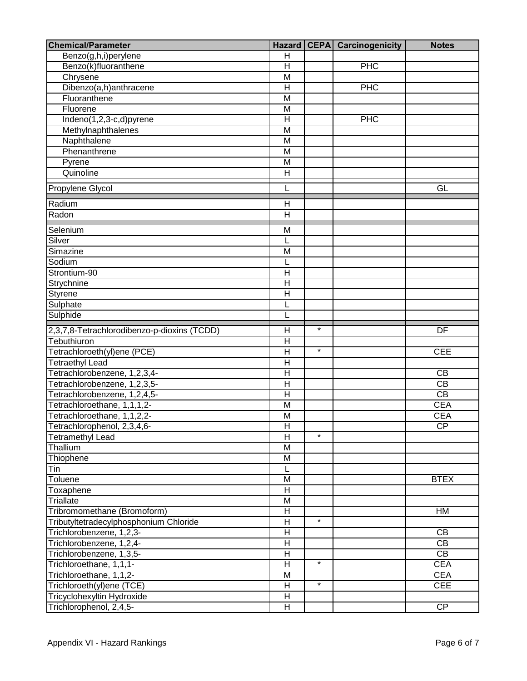| <b>Chemical/Parameter</b>                   | <b>Hazard</b>             |                   | <b>CEPA</b> Carcinogenicity | <b>Notes</b>    |
|---------------------------------------------|---------------------------|-------------------|-----------------------------|-----------------|
| Benzo(g,h,i)perylene                        | $\mathsf{H}$              |                   |                             |                 |
| Benzo(k)fluoranthene                        | $\overline{\mathsf{H}}$   |                   | <b>PHC</b>                  |                 |
| Chrysene                                    | $\overline{\mathsf{M}}$   |                   |                             |                 |
| Dibenzo(a,h)anthracene                      | $\overline{\mathsf{H}}$   |                   | <b>PHC</b>                  |                 |
| Fluoranthene                                | $\overline{\mathsf{M}}$   |                   |                             |                 |
| Fluorene                                    | $\overline{\mathsf{M}}$   |                   |                             |                 |
| Indeno(1,2,3-c,d)pyrene                     | $\overline{\mathsf{H}}$   |                   | <b>PHC</b>                  |                 |
| Methylnaphthalenes                          | M                         |                   |                             |                 |
| Naphthalene                                 | M                         |                   |                             |                 |
| Phenanthrene                                | M                         |                   |                             |                 |
| Pyrene                                      | $\overline{M}$            |                   |                             |                 |
| Quinoline                                   | $\mathsf{H}$              |                   |                             |                 |
|                                             |                           |                   |                             |                 |
| Propylene Glycol                            | Ĺ                         |                   |                             | GL              |
| Radium                                      | H                         |                   |                             |                 |
| Radon                                       | H                         |                   |                             |                 |
| Selenium                                    | M                         |                   |                             |                 |
| Silver                                      |                           |                   |                             |                 |
| Simazine                                    | M                         |                   |                             |                 |
| Sodium                                      | L                         |                   |                             |                 |
| Strontium-90                                | H                         |                   |                             |                 |
| Strychnine                                  | $\overline{H}$            |                   |                             |                 |
| <b>Styrene</b>                              | $\mathsf{H}$              |                   |                             |                 |
| Sulphate                                    | L                         |                   |                             |                 |
|                                             | L                         |                   |                             |                 |
| Sulphide                                    |                           |                   |                             |                 |
| 2,3,7,8-Tetrachlorodibenzo-p-dioxins (TCDD) | $\overline{\mathsf{H}}$   | $\star$           |                             | DF              |
| Tebuthiuron                                 | $\overline{\mathsf{H}}$   |                   |                             |                 |
| Tetrachloroeth(yl)ene (PCE)                 | $\overline{\mathsf{H}}$   | $\overline{\ast}$ |                             | <b>CEE</b>      |
| <b>Tetraethyl Lead</b>                      | $\overline{\mathsf{H}}$   |                   |                             |                 |
| Tetrachlorobenzene, 1,2,3,4-                | $\overline{\mathsf{H}}$   |                   |                             | CB              |
| Tetrachlorobenzene, 1,2,3,5-                | $\overline{\mathsf{H}}$   |                   |                             | $\overline{CB}$ |
| Tetrachlorobenzene, 1,2,4,5-                | $\overline{\mathsf{H}}$   |                   |                             | $\overline{CB}$ |
| Tetrachloroethane, 1,1,1,2-                 | M                         |                   |                             | <b>CEA</b>      |
| Tetrachloroethane, 1,1,2,2-                 | M                         |                   |                             | <b>CEA</b>      |
| Tetrachlorophenol, 2,3,4,6-                 | H                         |                   |                             | CP              |
| <b>Tetramethyl Lead</b>                     | $\mathsf{H}$              | $\star$           |                             |                 |
| Thallium                                    | M                         |                   |                             |                 |
| Thiophene                                   | M                         |                   |                             |                 |
| Tin                                         | $\mathsf{L}$              |                   |                             |                 |
| Toluene                                     | M                         |                   |                             | <b>BTEX</b>     |
| Toxaphene                                   | H                         |                   |                             |                 |
| Triallate                                   | M                         |                   |                             |                 |
| Tribromomethane (Bromoform)                 | $\overline{H}$            |                   |                             | HM              |
| Tributyltetradecylphosphonium Chloride      | H                         | $\star$           |                             |                 |
| Trichlorobenzene, 1,2,3-                    | H                         |                   |                             | CB              |
| Trichlorobenzene, 1,2,4-                    | $\mathsf{H}$              |                   |                             | CB              |
| Trichlorobenzene, 1,3,5-                    | $\overline{H}$            |                   |                             | $\overline{CB}$ |
| Trichloroethane, 1,1,1-                     | $\overline{H}$            | $\star$           |                             | <b>CEA</b>      |
| Trichloroethane, 1,1,2-                     | M                         |                   |                             | <b>CEA</b>      |
| Trichloroeth(yl)ene (TCE)                   | H                         | $\star$           |                             | <b>CEE</b>      |
| Tricyclohexyltin Hydroxide                  | $\boldsymbol{\mathsf{H}}$ |                   |                             |                 |
| Trichlorophenol, 2,4,5-                     | $\boldsymbol{\mathsf{H}}$ |                   |                             | $\overline{CP}$ |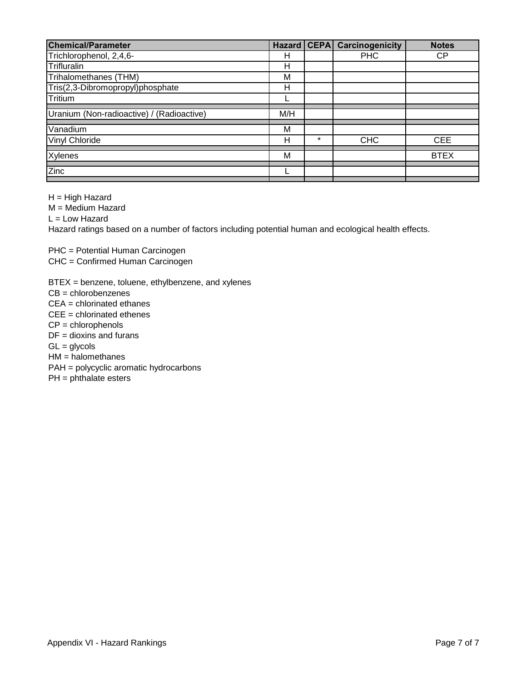| <b>Chemical/Parameter</b>                 |     |         | <b>Hazard CEPA Carcinogenicity</b> | <b>Notes</b> |
|-------------------------------------------|-----|---------|------------------------------------|--------------|
| Trichlorophenol, 2,4,6-                   | н   |         | <b>PHC</b>                         | <b>CP</b>    |
| Trifluralin                               | н   |         |                                    |              |
| Trihalomethanes (THM)                     | М   |         |                                    |              |
| Tris(2,3-Dibromopropyl)phosphate          | н   |         |                                    |              |
| Tritium                                   |     |         |                                    |              |
| Uranium (Non-radioactive) / (Radioactive) | M/H |         |                                    |              |
| Vanadium                                  | M   |         |                                    |              |
| Vinyl Chloride                            | н   | $\star$ | <b>CHC</b>                         | <b>CEE</b>   |
| <b>Xylenes</b>                            | M   |         |                                    | <b>BTEX</b>  |
| Zinc                                      |     |         |                                    |              |

H = High Hazard

M = Medium Hazard

 $L =$  Low Hazard

Hazard ratings based on a number of factors including potential human and ecological health effects.

PHC = Potential Human Carcinogen

CHC = Confirmed Human Carcinogen

BTEX = benzene, toluene, ethylbenzene, and xylenes

CB = chlorobenzenes

CEA = chlorinated ethanes

CEE = chlorinated ethenes

CP = chlorophenols

 $DF =$  dioxins and furans

 $GL =$  glycols

HM = halomethanes

PAH = polycyclic aromatic hydrocarbons

PH = phthalate esters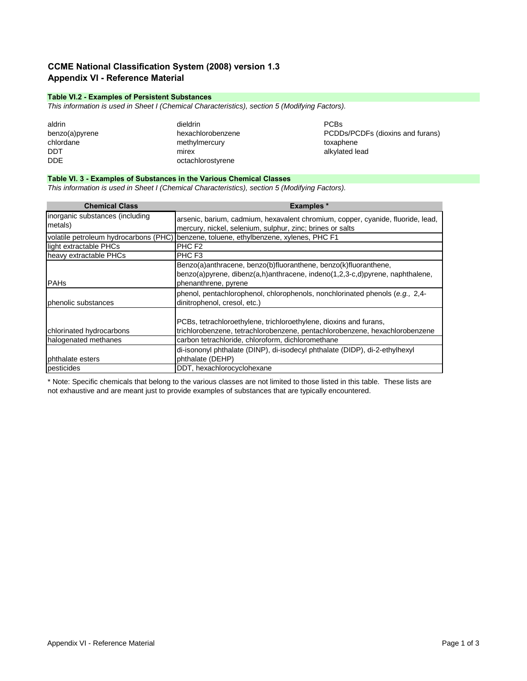## **CCME National Classification System (2008) version 1.3 Appendix VI - Reference Material**

## **Table VI.2 - Examples of Persistent Substances**

*This information is used in Sheet I (Chemical Characteristics), section 5 (Modifying Factors).*

| aldrin         | dieldrin          | <b>PCBs</b>          |
|----------------|-------------------|----------------------|
| benzo(a)pyrene | hexachlorobenzene | PCDD <sub>s</sub> /P |
| chlordane      | methylmercury     | toxaphene            |
| DDT            | mirex             | alkylated le         |
| <b>DDE</b>     | octachlorostyrene |                      |

benzo(a)pyrene hexachlorobenzene PCDDs/PCDFs (dioxins and furans)<br>toxaphene alkylated lead

## **Table VI. 3 - Examples of Substances in the Various Chemical Classes**

*This information is used in Sheet I (Chemical Characteristics), section 5 (Modifying Factors).*

| <b>Chemical Class</b>                      | <b>Examples</b> *                                                                                                                                                       |
|--------------------------------------------|-------------------------------------------------------------------------------------------------------------------------------------------------------------------------|
| inorganic substances (including<br>metals) | arsenic, barium, cadmium, hexavalent chromium, copper, cyanide, fluoride, lead,<br>mercury, nickel, selenium, sulphur, zinc; brines or salts                            |
|                                            | volatile petroleum hydrocarbons (PHC) benzene, toluene, ethylbenzene, xylenes, PHC F1                                                                                   |
| light extractable PHCs                     | PHC F <sub>2</sub>                                                                                                                                                      |
| heavy extractable PHCs                     | PHC F <sub>3</sub>                                                                                                                                                      |
| <b>PAHs</b>                                | Benzo(a)anthracene, benzo(b)fluoranthene, benzo(k)fluoranthene,<br>benzo(a)pyrene, dibenz(a,h)anthracene, indeno(1,2,3-c,d)pyrene, naphthalene,<br>phenanthrene, pyrene |
| phenolic substances                        | phenol, pentachlorophenol, chlorophenols, nonchlorinated phenols (e.g., 2,4-<br>dinitrophenol, cresol, etc.)                                                            |
| chlorinated hydrocarbons                   | PCBs, tetrachloroethylene, trichloroethylene, dioxins and furans,<br>trichlorobenzene, tetrachlorobenzene, pentachlorobenzene, hexachlorobenzene                        |
| halogenated methanes                       | carbon tetrachloride, chloroform, dichloromethane                                                                                                                       |
| phthalate esters                           | di-isononyl phthalate (DINP), di-isodecyl phthalate (DIDP), di-2-ethylhexyl<br>phthalate (DEHP)                                                                         |
| pesticides                                 | DDT, hexachlorocyclohexane                                                                                                                                              |

\* Note: Specific chemicals that belong to the various classes are not limited to those listed in this table. These lists are not exhaustive and are meant just to provide examples of substances that are typically encountered.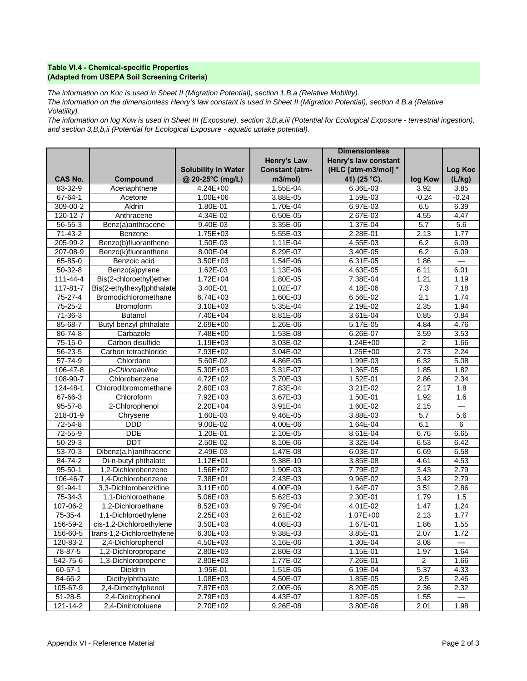## **Table VI.4 - Chemical-specific Properties (Adapted from USEPA Soil Screening Criteria)**

*The information on Koc is used in Sheet II (Migration Potential), section 1,B,a (Relative Mobility).* 

*The information on the dimensionless Henry's law constant is used in Sheet II (Migration Potential), section 4,B,a (Relative Volatility).* 

*The information on log Kow is used in Sheet III (Exposure), section 3,B,a,iii (Potential for Ecological Exposure - terrestrial ingestion), and section 3,B,b,ii (Potential for Ecological Exposure - aquatic uptake potential).*

|                |                            |                            |                       | <b>Dimensionless</b> |                  |                          |
|----------------|----------------------------|----------------------------|-----------------------|----------------------|------------------|--------------------------|
|                |                            |                            | <b>Henry's Law</b>    | Henry's law constant |                  |                          |
|                |                            | <b>Solubility in Water</b> | <b>Constant (atm-</b> | (HLC [atm-m3/mol] *  |                  | Log Koc                  |
| <b>CAS No.</b> | Compound                   | @ 20-25°C (mg/L)           | m3/mol)               | 41) (25 °C).         | log Kow          | (L/kg)                   |
| 83-32-9        | Acenaphthene               | $4.24E + 00$               | 1.55E-04              | 6.36E-03             | 3.92             | 3.85                     |
| $67 - 64 - 1$  | Acetone                    | 1.00E+06                   | 3.88E-05              | 1.59E-03             | $-0.24$          | $-0.24$                  |
| 309-00-2       | Aldrin                     | 1.80E-01                   | 1.70E-04              | 6.97E-03             | 6.5              | 6.39                     |
| $120 - 12 - 7$ | Anthracene                 | 4.34E-02                   | 6.50E-05              | 2.67E-03             | 4.55             | 4.47                     |
| 56-55-3        | Benz(a)anthracene          | 9.40E-03                   | 3.35E-06              | 1.37E-04             | 5.7              | 5.6                      |
| $71 - 43 - 2$  | Benzene                    | $1.75E + 03$               | 5.55E-03              | 2.28E-01             | 2.13             | 1.77                     |
| 205-99-2       | Benzo(b)fluoranthene       | 1.50E-03                   | $1.11E-04$            | 4.55E-03             | 6.2              | 6.09                     |
| 207-08-9       | Benzo(k)fluoranthene       | 8.00E-04                   | 8.29E-07              | 3.40E-05             | 6.2              | 6.09                     |
| $65 - 85 - 0$  | Benzoic acid               | $3.50E + 03$               | 1.54E-06              | 6.31E-05             | 1.86             |                          |
| $50 - 32 - 8$  | Benzo(a)pyrene             | 1.62E-03                   | $1.13E-06$            | 4.63E-05             | 6.11             | 6.01                     |
| 111-44-4       | Bis(2-chloroethyl)ether    | $1.72E + 04$               | 1.80E-05              | 7.38E-04             | 1.21             | 1.19                     |
| $117 - 81 - 7$ | Bis(2-ethylhexyl)phthalate | 3.40E-01                   | $1.02E - 07$          | 4.18E-06             | 7.3              | 7.18                     |
| 75-27-4        | Bromodichloromethane       | $6.74E + 03$               | 1.60E-03              | 6.56E-02             | 2.1              | 1.74                     |
| $75 - 25 - 2$  | <b>Bromoform</b>           | $3.10E + 03$               | 5.35E-04              | 2.19E-02             | 2.35             | 1.94                     |
| $71 - 36 - 3$  | <b>Butanol</b>             | 7.40E+04                   | 8.81E-06              | $3.61E - 04$         | 0.85             | 0.84                     |
| 85-68-7        | Butyl benzyl phthalate     | $2.69E + 00$               | 1.26E-06              | 5.17E-05             | 4.84             | 4.76                     |
| 86-74-8        | Carbazole                  | $7.48E + 00$               | 1.53E-08              | 6.26E-07             | 3.59             | 3.53                     |
| $75-15-0$      | Carbon disulfide           | 1.19E+03                   | 3.03E-02              | 1.24E+00             | $\boldsymbol{2}$ | 1.66                     |
| $56 - 23 - 5$  | Carbon tetrachloride       | 7.93E+02                   | 3.04E-02              | $1.25E + 00$         | 2.73             | 2.24                     |
| 57-74-9        | Chlordane                  | 5.60E-02                   | 4.86E-05              | 1.99E-03             | 6.32             | 5.08                     |
| 106-47-8       | p-Chloroaniline            | $5.30E + 03$               | 3.31E-07              | 1.36E-05             | 1.85             | 1.82                     |
| 108-90-7       | Chlorobenzene              | $4.72E + 02$               | 3.70E-03              | 1.52E-01             | 2.86             | 2.34                     |
| 124-48-1       | Chlorodibromomethane       | 2.60E+03                   | 7.83E-04              | 3.21E-02             | 2.17             | 1.8                      |
| 67-66-3        | Chloroform                 | 7.92E+03                   | 3.67E-03              | 1.50E-01             | 1.92             | 1.6                      |
| $95 - 57 - 8$  | 2-Chlorophenol             | 2.20E+04                   | 3.91E-04              | 1.60E-02             | 2.15             | $\overline{\phantom{0}}$ |
| 218-01-9       | Chrysene                   | 1.60E-03                   | 9.46E-05              | 3.88E-03             | 5.7              | 5.6                      |
| $72 - 54 - 8$  | <b>DDD</b>                 | $9.00E - 02$               | 4.00E-06              | 1.64E-04             | 6.1              | 6                        |
| 72-55-9        | <b>DDE</b>                 | 1.20E-01                   | 2.10E-05              | 8.61E-04             | 6.76             | 6.65                     |
| 50-29-3        | <b>DDT</b>                 | 2.50E-02                   | 8.10E-06              | 3.32E-04             | 6.53             | 6.42                     |
| 53-70-3        | Dibenz(a,h)anthracene      | 2.49E-03                   | 1.47E-08              | 6.03E-07             | 6.69             | 6.58                     |
| 84-74-2        | Di-n-butyl phthalate       | $1.12E + 01$               | 9.38E-10              | 3.85E-08             | 4.61             | 4.53                     |
| $95 - 50 - 1$  | 1,2-Dichlorobenzene        | 1.56E+02                   | 1.90E-03              | 7.79E-02             | 3.43             | 2.79                     |
| 106-46-7       | 1,4-Dichlorobenzene        | 7.38E+01                   | 2.43E-03              | 9.96E-02             | 3.42             | 2.79                     |
| 91-94-1        | 3,3-Dichlorobenzidine      | $3.11E + 00$               | 4.00E-09              | 1.64E-07             | 3.51             | 2.86                     |
| 75-34-3        | 1,1-Dichloroethane         | 5.06E+03                   | 5.62E-03              | 2.30E-01             | 1.79             | 1.5                      |
| 107-06-2       | 1.2-Dichloroethane         | 8.52E+03                   | 9.79E-04              | 4.01E-02             | 1.47             | 1.24                     |
| $75 - 35 - 4$  | 1,1-Dichloroethylene       | $2.25E + 03$               | $2.61E-02$            | $1.07E + 00$         | 2.13             | 1.77                     |
| 156-59-2       | cis-1,2-Dichloroethylene   | 3.50E+03                   | 4.08E-03              | 1.67E-01             | 1.86             | 1.55                     |
| 156-60-5       | trans-1,2-Dichloroethylene | $6.30E + 0.3$              | $9.38E - 03$          | 3.85E-01             | 2.07             | 1.72                     |
| 120-83-2       | 2,4-Dichlorophenol         | 4.50E+03                   | 3.16E-06              | 1.30E-04             | 3.08             |                          |
| 78-87-5        | 1,2-Dichloropropane        | 2.80E+03                   | 2.80E-03              | 1.15E-01             | 1.97             | 1.64                     |
| 542-75-6       | 1,3-Dichloropropene        | 2.80E+03                   | 1.77E-02              | 7.26E-01             | $\overline{2}$   | 1.66                     |
| $60 - 57 - 1$  | Dieldrin                   | $1.95E-01$                 | 1.51E-05              | 6.19E-04             | 5.37             | 4.33                     |
| 84-66-2        | Diethylphthalate           | 1.08E+03                   | 4.50E-07              | 1.85E-05             | 2.5              | 2.46                     |
| 105-67-9       | 2.4-Dimethylphenol         | 7.87E+03                   | 2.00E-06              | 8.20E-05             | 2.36             | 2.32                     |
| $51 - 28 - 5$  | 2,4-Dinitrophenol          | 2.79E+03                   | 4.43E-07              | 1.82E-05             | 1.55             |                          |
| 121-14-2       | 2,4-Dinitrotoluene         | 2.70E+02                   | 9.26E-08              | 3.80E-06             | 2.01             | 1.98                     |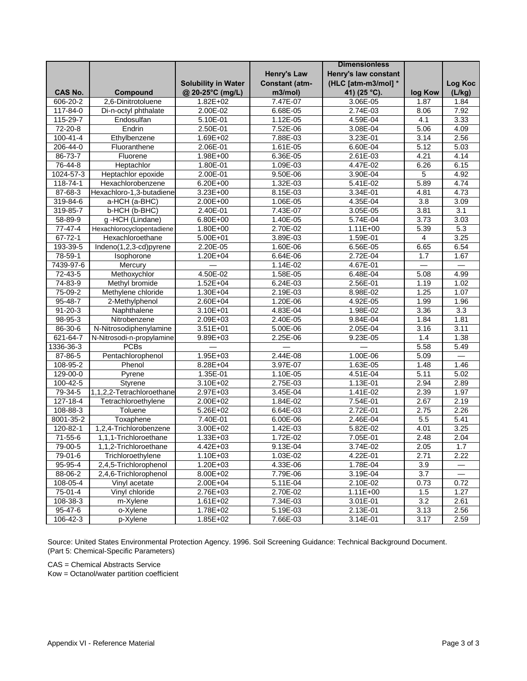|                            |                           |                            |                       | <b>Dimensionless</b> |                  |                 |
|----------------------------|---------------------------|----------------------------|-----------------------|----------------------|------------------|-----------------|
|                            |                           |                            | <b>Henry's Law</b>    | Henry's law constant |                  |                 |
|                            |                           | <b>Solubility in Water</b> | <b>Constant (atm-</b> | (HLC [atm-m3/mol] *  |                  | Log Koc         |
| <b>CAS No.</b>             | Compound                  | @ 20-25°C (mg/L)           | m3/mol)               | 41) (25 °C).         | log Kow          | (L/kg)          |
| 606-20-2                   | 2,6-Dinitrotoluene        | 1.82E+02                   | 7.47E-07              | 3.06E-05             | 1.87             | 1.84            |
| 117-84-0                   | Di-n-octyl phthalate      | 2.00E-02                   | 6.68E-05              | 2.74E-03             | 8.06             | 7.92            |
| 115-29-7                   | Endosulfan                | 5.10E-01                   | 1.12E-05              | 4.59E-04             | 4.1              | 3.33            |
| 72-20-8                    | Endrin                    | 2.50E-01                   | 7.52E-06              | 3.08E-04             | 5.06             | 4.09            |
| 100-41-4                   | Ethylbenzene              | 1.69E+02                   | 7.88E-03              | 3.23E-01             | 3.14             | 2.56            |
| 206-44-0                   | Fluoranthene              | 2.06E-01                   | 1.61E-05              | 6.60E-04             | 5.12             | 5.03            |
| 86-73-7                    | Fluorene                  | 1.98E+00                   | 6.36E-05              | $2.61E-03$           | 4.21             | 4.14            |
| 76-44-8                    | Heptachlor                | 1.80E-01                   | 1.09E-03              | 4.47E-02             | 6.26             | 6.15            |
| 1024-57-3                  | Heptachlor epoxide        | 2.00E-01                   | 9.50E-06              | 3.90E-04             | 5                | 4.92            |
| $118 - 74 - 1$             | Hexachlorobenzene         | 6.20E+00                   | 1.32E-03              | $5.41E-02$           | 5.89             | 4.74            |
| 87-68-3                    | Hexachloro-1,3-butadiene  | $3.23E + 00$               | 8.15E-03              | 3.34E-01             | 4.81             | 4.73            |
| 319-84-6                   | a-HCH (a-BHC)             | 2.00E+00                   | 1.06E-05              | 4.35E-04             | 3.8              | 3.09            |
| 319-85-7                   | b-HCH (b-BHC)             | 2.40E-01                   | 7.43E-07              | 3.05E-05             | 3.81             | 3.1             |
| 58-89-9                    | g-HCH (Lindane)           | 6.80E+00                   | 1.40E-05              | 5.74E-04             | 3.73             | 3.03            |
| $77 - 47 - 4$              | Hexachlorocyclopentadiene | 1.80E+00                   | 2.70E-02              | $1.11E + 00$         | 5.39             | 5.3             |
| $67 - 72 - 1$              | Hexachloroethane          | 5.00E+01                   | 3.89E-03              | 1.59E-01             | 4                | 3.25            |
| 193-39-5                   | Indeno(1,2,3-cd)pyrene    | 2.20E-05                   | 1.60E-06              | 6.56E-05             | 6.65             | 6.54            |
| $78-59-1$                  | Isophorone                | 1.20E+04                   | 6.64E-06              | 2.72E-04             | 1.7              | 1.67            |
| 7439-97-6                  | Mercury                   |                            | 1.14E-02              | 4.67E-01             |                  |                 |
| $72 - 43 - 5$              | Methoxychlor              | 4.50E-02                   | 1.58E-05              | 6.48E-04             | 5.08             | 4.99            |
| 74-83-9                    | Methyl bromide            | $1.52E + 04$               | $6.24E-03$            | 2.56E-01             | 1.19             | 1.02            |
| 75-09-2                    | Methylene chloride        | 1.30E+04                   | 2.19E-03              | 8.98E-02             | 1.25             | 1.07            |
| 95-48-7                    | 2-Methylphenol            | $2.60E + 04$               | 1.20E-06              | 4.92E-05             | 1.99             | 1.96            |
| $91 - 20 - 3$              | Naphthalene               | 3.10E+01                   | 4.83E-04              | 1.98E-02             | 3.36             | 3.3             |
| 98-95-3                    | Nitrobenzene              | $2.09E + 03$               | 2.40E-05              | $9.84E - 04$         | 1.84             | 1.81            |
| 86-30-6                    | N-Nitrosodiphenylamine    | $3.51E + 01$               | 5.00E-06              | 2.05E-04             | 3.16             | 3.11            |
| 621-64-7                   | N-Nitrosodi-n-propylamine | $9.89E + 03$               | 2.25E-06              | 9.23E-05             | 1.4              | 1.38            |
| 1336-36-3                  | <b>PCBs</b>               |                            |                       |                      | 5.58             | 5.49            |
| 87-86-5                    | Pentachlorophenol         | $1.95E + 03$               | 2.44E-08              | 1.00E-06             | 5.09             |                 |
| 108-95-2                   | Phenol                    | 8.28E+04                   | 3.97E-07              | 1.63E-05             |                  | 1.46            |
|                            | Pyrene                    | 1.35E-01                   |                       | 4.51E-04             | 1.48<br>5.11     | 5.02            |
| 129-00-0<br>$100 - 42 - 5$ | Styrene                   |                            | 1.10E-05<br>2.75E-03  | 1.13E-01             | 2.94             | 2.89            |
| 79-34-5                    | 1,1,2,2-Tetrachloroethane | 3.10E+02<br>2.97E+03       | 3.45E-04              | 1.41E-02             | 2.39             | 1.97            |
|                            |                           |                            |                       |                      |                  | 2.19            |
| 127-18-4<br>108-88-3       | Tetrachloroethylene       | 2.00E+02                   | 1.84E-02              | 7.54E-01<br>2.72E-01 | 2.67             |                 |
|                            | Toluene                   | $5.26E + 02$               | 6.64E-03              |                      | 2.75             | 2.26<br>5.41    |
| 8001-35-2                  | Toxaphene                 | 7.40E-01                   | 6.00E-06              | 2.46E-04             | 5.5              |                 |
| 120-82-1                   | 1,2,4-Trichlorobenzene    | 3.00E+02                   | 1.42E-03              | 5.82E-02             | 4.01             | 3.25            |
| 71-55-6                    | 1,1,1-Trichloroethane     | 1.33E+03                   | 1.72E-02              | 7.05E-01             | 2.48             | 2.04            |
| 79-00-5                    | 1,1,2-Trichloroethane     | 4.42E+03                   | 9.13E-04              | 3.74E-02             | 2.05             | 1.7             |
| 79-01-6                    | Trichloroethylene         | 1.10E+03                   | 1.03E-02              | 4.22E-01             | 2.71             | 2.22            |
| $95 - 95 - 4$              | 2,4,5-Trichlorophenol     | 1.20E+03                   | 4.33E-06              | 1.78E-04             | 3.9              |                 |
| 88-06-2                    | 2,4,6-Trichlorophenol     | 8.00E+02                   | 7.79E-06              | 3.19E-04             | $\overline{3.7}$ | $\qquad \qquad$ |
| 108-05-4                   | Vinyl acetate             | 2.00E+04                   | 5.11E-04              | 2.10E-02             | 0.73             | 0.72            |
| 75-01-4                    | Vinyl chloride            | 2.76E+03                   | 2.70E-02              | 1.11E+00             | 1.5              | 1.27            |
| 108-38-3                   | m-Xylene                  | 1.61E+02                   | 7.34E-03              | 3.01E-01             | 3.2              | 2.61            |
| $95 - 47 - 6$              | o-Xylene                  | $1.78E + 02$               | 5.19E-03              | $2.13E-01$           | 3.13             | 2.56            |
| 106-42-3                   | p-Xylene                  | 1.85E+02                   | 7.66E-03              | $3.14E-01$           | 3.17             | 2.59            |

Source: United States Environmental Protection Agency. 1996. Soil Screening Guidance: Technical Background Document. (Part 5: Chemical-Specific Parameters)

CAS = Chemical Abstracts Service

Kow = Octanol/water partition coefficient